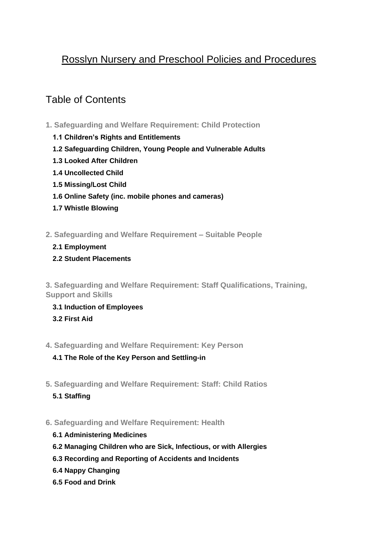# Rosslyn Nursery and Preschool Policies and Procedures

# Table of Contents

- **[1. Safeguarding and Welfare Requirement: Child Protection](#page-2-0)**
	- **[1.1 Children's Rights and Entitlements](#page-2-1)**
	- **[1.2 Safeguarding Children, Young People and Vulnerable Adults](#page-3-0)**
	- **1.3 Looked After Children**
	- **[1.4 Uncollected Child](#page-20-0)**
	- **[1.5 Missing/Lost Child](#page-22-0)**
	- **[1.6 Online Safety \(inc. mobile phones and cameras\)](#page-25-0)**
	- **[1.7 Whistle Blowing](#page-28-0)**
- **[2. Safeguarding and Welfare Requirement –](#page-32-0) Suitable People**
	- **[2.1 Employment](#page-32-1)**
	- **[2.2 Student Placements](#page-35-0)**

**[3. Safeguarding and Welfare Requirement: Staff Qualifications, Training,](#page-37-0)  [Support and Skills](#page-37-0)**

- **[3.1 Induction of Employees](#page-37-1)**
- **[3.2 First Aid](#page-38-0)**
- **[4. Safeguarding and Welfare Requirement: Key Person](#page-41-0)**
	- **[4.1 The Role of the Key Person and Settling-in](#page-41-1)**
- **[5. Safeguarding and Welfare Requirement: Staff: Child Ratios](#page-44-0)**
	- **[5.1 Staffing](#page-44-1)**

## **[6. Safeguarding and Welfare Requirement: Health](#page-46-0)**

- **[6.1 Administering Medicines](#page-46-1)**
- **[6.2 Managing Children who are Sick, Infectious, or with Allergies](#page-49-0)**
- **[6.3 Recording and Reporting of Accidents and Incidents](#page-54-0)**
- **[6.4 Nappy Changing](#page-57-0)**
- **[6.5 Food and Drink](#page-59-0)**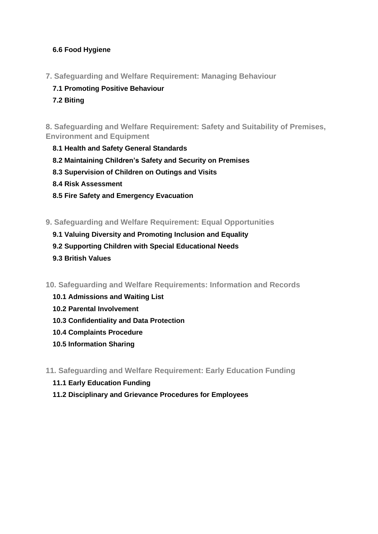## **[6.6 Food Hygiene](#page-61-0)**

- **[7. Safeguarding and Welfare Requirement: Managing Behaviour](#page-63-0)**
	- **[7.1 Promoting Positive Behaviour](#page-63-1)**
	- **[7.2 Biting](#page-67-0)**

**[8. Safeguarding and Welfare Requirement: Safety and Suitability of Premises,](#page-71-0)  [Environment and Equipment](#page-71-0)**

- **[8.1 Health and Safety General Standards](#page-71-1)**
- **[8.2 Maintaining Children's Safety and Security on Premises](#page-76-0)**
- **[8.3 Supervision of Children on Outings and Visits](#page-77-0)**
- **[8.4 Risk Assessment](#page-79-0)**
- **[8.5 Fire Safety and Emergency Evacuation](#page-81-0)**
- **[9. Safeguarding and Welfare Requirement: Equal Opportunities](#page-84-0)**
	- **[9.1 Valuing Diversity and Promoting Inclusion and Equality](#page-84-1)**
	- **[9.2 Supporting Children with Special Educational Needs](#page-89-0)**
	- **[9.3 British Values](#page-91-0)**
- **[10. Safeguarding and Welfare Requirements: Information and Records](#page-94-0)**
	- **[10.1 Admissions and Waiting List](#page-94-1)**
	- **[10.2 Parental Involvement](#page-96-0)**
	- **[10.3 Confidentiality and Data Protection](#page-98-0)**
	- **[10.4 Complaints Procedure](#page-101-0)**
	- **[10.5 Information Sharing](#page-105-0)**
- **[11. Safeguarding and Welfare Requirement: Early Education Funding](#page-111-0)**
	- **[11.1 Early Education Funding](#page-111-1)**
	- **[11.2 Disciplinary and Grievance Procedures for Employees](#page-113-0)**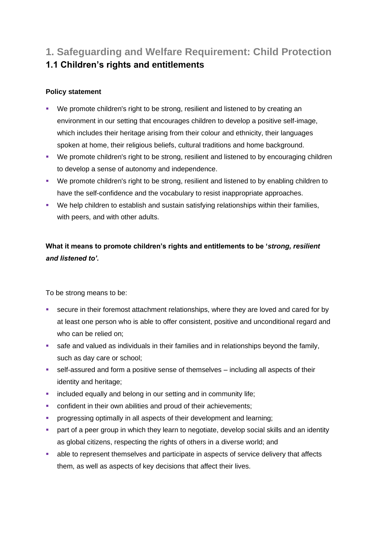# <span id="page-2-1"></span><span id="page-2-0"></span>**1. Safeguarding and Welfare Requirement: Child Protection 1.1 Children's rights and entitlements**

## **Policy statement**

- We promote children's right to be strong, resilient and listened to by creating an environment in our setting that encourages children to develop a positive self-image, which includes their heritage arising from their colour and ethnicity, their languages spoken at home, their religious beliefs, cultural traditions and home background.
- We promote children's right to be strong, resilient and listened to by encouraging children to develop a sense of autonomy and independence.
- We promote children's right to be strong, resilient and listened to by enabling children to have the self-confidence and the vocabulary to resist inappropriate approaches.
- We help children to establish and sustain satisfying relationships within their families, with peers, and with other adults.

**What it means to promote children's rights and entitlements to be '***strong, resilient and listened to'.*

To be strong means to be:

- **EXECUTE:** secure in their foremost attachment relationships, where they are loved and cared for by at least one person who is able to offer consistent, positive and unconditional regard and who can be relied on;
- safe and valued as individuals in their families and in relationships beyond the family, such as day care or school;
- self-assured and form a positive sense of themselves including all aspects of their identity and heritage;
- **•** included equally and belong in our setting and in community life;
- confident in their own abilities and proud of their achievements;
- **•** progressing optimally in all aspects of their development and learning;
- **•** part of a peer group in which they learn to negotiate, develop social skills and an identity as global citizens, respecting the rights of others in a diverse world; and
- able to represent themselves and participate in aspects of service delivery that affects them, as well as aspects of key decisions that affect their lives.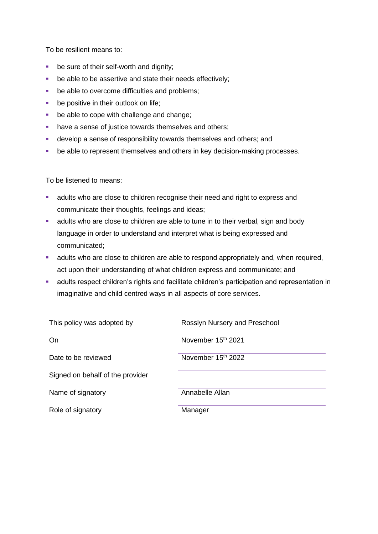To be resilient means to:

- be sure of their self-worth and dignity;
- be able to be assertive and state their needs effectively;
- be able to overcome difficulties and problems;
- **•** be positive in their outlook on life;
- be able to cope with challenge and change;
- have a sense of justice towards themselves and others;
- develop a sense of responsibility towards themselves and others; and
- be able to represent themselves and others in key decision-making processes.

To be listened to means:

- **EXECT** adults who are close to children recognise their need and right to express and communicate their thoughts, feelings and ideas;
- adults who are close to children are able to tune in to their verbal, sign and body language in order to understand and interpret what is being expressed and communicated;
- **EXED** adults who are close to children are able to respond appropriately and, when required, act upon their understanding of what children express and communicate; and
- **■** adults respect children's rights and facilitate children's participation and representation in imaginative and child centred ways in all aspects of core services.

<span id="page-3-0"></span>

| Rosslyn Nursery and Preschool |
|-------------------------------|
| November 15th 2021            |
| November 15th 2022            |
|                               |
| Annabelle Allan               |
| Manager                       |
|                               |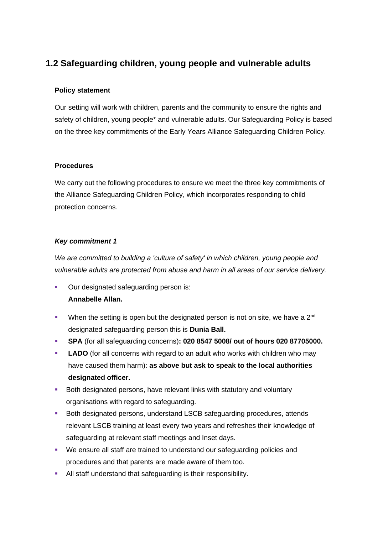## **1.2 Safeguarding children, young people and vulnerable adults**

## **Policy statement**

Our setting will work with children, parents and the community to ensure the rights and safety of children, young people\* and vulnerable adults. Our Safeguarding Policy is based on the three key commitments of the Early Years Alliance Safeguarding Children Policy.

#### **Procedures**

We carry out the following procedures to ensure we meet the three key commitments of the Alliance Safeguarding Children Policy, which incorporates responding to child protection concerns.

#### *Key commitment 1*

*We are committed to building a 'culture of safety' in which children, young people and vulnerable adults are protected from abuse and harm in all areas of our service delivery.*

- Our designated safeguarding person is: **Annabelle Allan.**
- When the setting is open but the designated person is not on site, we have a 2<sup>nd</sup> designated safeguarding person this is **Dunia Ball.**
- **SPA** (for all safeguarding concerns)**: 020 8547 5008/ out of hours 020 87705000.**
- **LADO** (for all concerns with regard to an adult who works with children who may have caused them harm): **as above but ask to speak to the local authorities designated officer.**
- Both designated persons, have relevant links with statutory and voluntary organisations with regard to safeguarding.
- Both designated persons, understand LSCB safeguarding procedures, attends relevant LSCB training at least every two years and refreshes their knowledge of safeguarding at relevant staff meetings and Inset days.
- We ensure all staff are trained to understand our safeguarding policies and procedures and that parents are made aware of them too.
- **EXECT** All staff understand that safeguarding is their responsibility.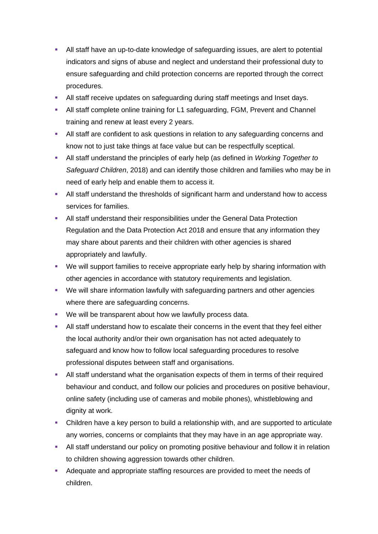- All staff have an up-to-date knowledge of safeguarding issues, are alert to potential indicators and signs of abuse and neglect and understand their professional duty to ensure safeguarding and child protection concerns are reported through the correct procedures.
- All staff receive updates on safeguarding during staff meetings and Inset days.
- All staff complete online training for L1 safeguarding, FGM, Prevent and Channel training and renew at least every 2 years.
- **EXTERN** All staff are confident to ask questions in relation to any safeguarding concerns and know not to just take things at face value but can be respectfully sceptical.
- All staff understand the principles of early help (as defined in *Working Together to Safeguard Children*, 2018) and can identify those children and families who may be in need of early help and enable them to access it.
- All staff understand the thresholds of significant harm and understand how to access services for families.
- **E** All staff understand their responsibilities under the General Data Protection Regulation and the Data Protection Act 2018 and ensure that any information they may share about parents and their children with other agencies is shared appropriately and lawfully.
- We will support families to receive appropriate early help by sharing information with other agencies in accordance with statutory requirements and legislation.
- We will share information lawfully with safeguarding partners and other agencies where there are safeguarding concerns.
- We will be transparent about how we lawfully process data.
- **EXECT** All staff understand how to escalate their concerns in the event that they feel either the local authority and/or their own organisation has not acted adequately to safeguard and know how to follow local safeguarding procedures to resolve professional disputes between staff and organisations.
- **EXECT** All staff understand what the organisation expects of them in terms of their required behaviour and conduct, and follow our policies and procedures on positive behaviour, online safety (including use of cameras and mobile phones), whistleblowing and dignity at work.
- Children have a key person to build a relationship with, and are supported to articulate any worries, concerns or complaints that they may have in an age appropriate way.
- All staff understand our policy on promoting positive behaviour and follow it in relation to children showing aggression towards other children.
- Adequate and appropriate staffing resources are provided to meet the needs of children.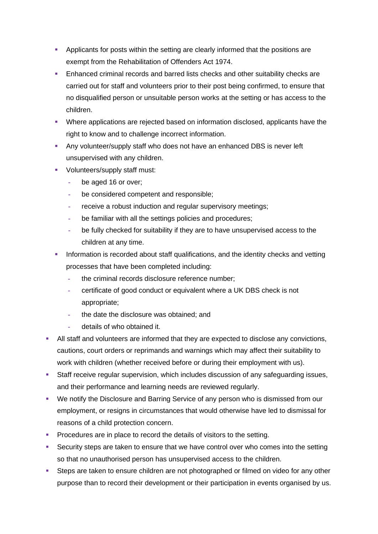- Applicants for posts within the setting are clearly informed that the positions are exempt from the Rehabilitation of Offenders Act 1974.
- Enhanced criminal records and barred lists checks and other suitability checks are carried out for staff and volunteers prior to their post being confirmed, to ensure that no disqualified person or unsuitable person works at the setting or has access to the children.
- Where applications are rejected based on information disclosed, applicants have the right to know and to challenge incorrect information.
- **EXECT** Any volunteer/supply staff who does not have an enhanced DBS is never left unsupervised with any children.
- Volunteers/supply staff must:
	- **-** be aged 16 or over;
	- **-** be considered competent and responsible;
	- **-** receive a robust induction and regular supervisory meetings;
	- **-** be familiar with all the settings policies and procedures;
	- **-** be fully checked for suitability if they are to have unsupervised access to the children at any time.
- Information is recorded about staff qualifications, and the identity checks and vetting processes that have been completed including:
	- **-** the criminal records disclosure reference number;
	- **-** certificate of good conduct or equivalent where a UK DBS check is not appropriate;
	- **-** the date the disclosure was obtained; and
	- **-** details of who obtained it.
- All staff and volunteers are informed that they are expected to disclose any convictions, cautions, court orders or reprimands and warnings which may affect their suitability to work with children (whether received before or during their employment with us).
- Staff receive regular supervision, which includes discussion of any safeguarding issues, and their performance and learning needs are reviewed regularly.
- We notify the Disclosure and Barring Service of any person who is dismissed from our employment, or resigns in circumstances that would otherwise have led to dismissal for reasons of a child protection concern.
- **Procedures are in place to record the details of visitors to the setting.**
- Security steps are taken to ensure that we have control over who comes into the setting so that no unauthorised person has unsupervised access to the children.
- **EXECTS** Steps are taken to ensure children are not photographed or filmed on video for any other purpose than to record their development or their participation in events organised by us.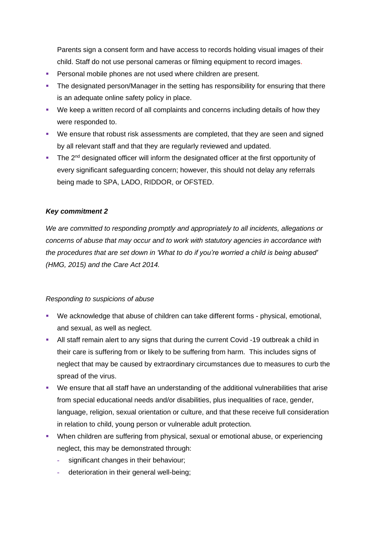Parents sign a consent form and have access to records holding visual images of their child. Staff do not use personal cameras or filming equipment to record images.

- Personal mobile phones are not used where children are present.
- **The designated person/Manager in the setting has responsibility for ensuring that there** is an adequate online safety policy in place.
- We keep a written record of all complaints and concerns including details of how they were responded to.
- We ensure that robust risk assessments are completed, that they are seen and signed by all relevant staff and that they are regularly reviewed and updated.
- The 2<sup>nd</sup> designated officer will inform the designated officer at the first opportunity of every significant safeguarding concern; however, this should not delay any referrals being made to SPA, LADO, RIDDOR, or OFSTED.

### *Key commitment 2*

*We are committed to responding promptly and appropriately to all incidents, allegations or concerns of abuse that may occur and to work with statutory agencies in accordance with the procedures that are set down in 'What to do if you're worried a child is being abused' (HMG, 2015) and the Care Act 2014.*

#### *Responding to suspicions of abuse*

- We acknowledge that abuse of children can take different forms physical, emotional, and sexual, as well as neglect.
- All staff remain alert to any signs that during the current Covid -19 outbreak a child in their care is suffering from or likely to be suffering from harm. This includes signs of neglect that may be caused by extraordinary circumstances due to measures to curb the spread of the virus.
- We ensure that all staff have an understanding of the additional vulnerabilities that arise from special educational needs and/or disabilities, plus inequalities of race, gender, language, religion, sexual orientation or culture, and that these receive full consideration in relation to child, young person or vulnerable adult protection.
- **When children are suffering from physical, sexual or emotional abuse, or experiencing** neglect, this may be demonstrated through:
	- **-** significant changes in their behaviour;
	- **-** deterioration in their general well-being;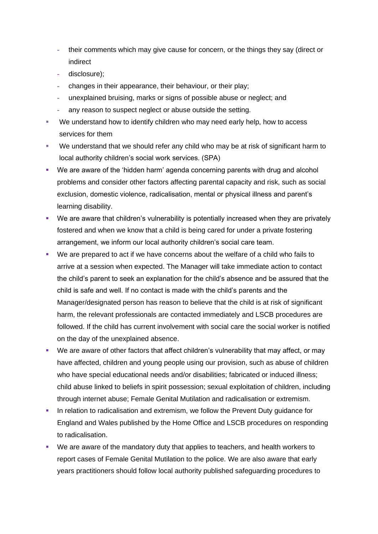- **-** their comments which may give cause for concern, or the things they say (direct or indirect
- **-** disclosure);
- **-** changes in their appearance, their behaviour, or their play;
- **-** unexplained bruising, marks or signs of possible abuse or neglect; and
- **-** any reason to suspect neglect or abuse outside the setting.
- We understand how to identify children who may need early help, how to access services for them
- We understand that we should refer any child who may be at risk of significant harm to local authority children's social work services. (SPA)
- We are aware of the 'hidden harm' agenda concerning parents with drug and alcohol problems and consider other factors affecting parental capacity and risk, such as social exclusion, domestic violence, radicalisation, mental or physical illness and parent's learning disability.
- We are aware that children's vulnerability is potentially increased when they are privately fostered and when we know that a child is being cared for under a private fostering arrangement, we inform our local authority children's social care team.
- We are prepared to act if we have concerns about the welfare of a child who fails to arrive at a session when expected. The Manager will take immediate action to contact the child's parent to seek an explanation for the child's absence and be assured that the child is safe and well. If no contact is made with the child's parents and the Manager/designated person has reason to believe that the child is at risk of significant harm, the relevant professionals are contacted immediately and LSCB procedures are followed. If the child has current involvement with social care the social worker is notified on the day of the unexplained absence.
- We are aware of other factors that affect children's vulnerability that may affect, or may have affected, children and young people using our provision, such as abuse of children who have special educational needs and/or disabilities; fabricated or induced illness; child abuse linked to beliefs in spirit possession; sexual exploitation of children, including through internet abuse; Female Genital Mutilation and radicalisation or extremism.
- **.** In relation to radicalisation and extremism, we follow the Prevent Duty quidance for England and Wales published by the Home Office and LSCB procedures on responding to radicalisation.
- We are aware of the mandatory duty that applies to teachers, and health workers to report cases of Female Genital Mutilation to the police. We are also aware that early years practitioners should follow local authority published safeguarding procedures to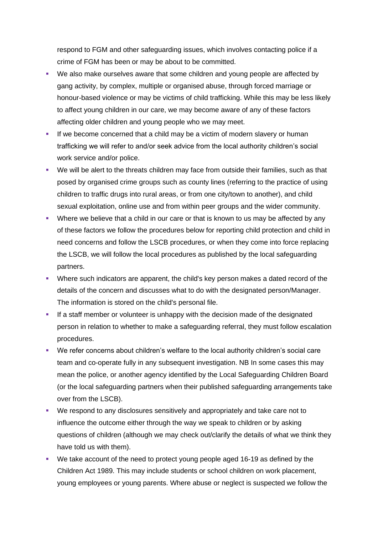respond to FGM and other safeguarding issues, which involves contacting police if a crime of FGM has been or may be about to be committed.

- We also make ourselves aware that some children and young people are affected by gang activity, by complex, multiple or organised abuse, through forced marriage or honour-based violence or may be victims of child trafficking. While this may be less likely to affect young children in our care, we may become aware of any of these factors affecting older children and young people who we may meet.
- **.** If we become concerned that a child may be a victim of modern slavery or human trafficking we will refer to and/or seek advice from the local authority children's social work service and/or police.
- We will be alert to the threats children may face from outside their families, such as that posed by organised crime groups such as county lines (referring to the practice of using children to traffic drugs into rural areas, or from one city/town to another), and child sexual exploitation, online use and from within peer groups and the wider community.
- **•** Where we believe that a child in our care or that is known to us may be affected by any of these factors we follow the procedures below for reporting child protection and child in need concerns and follow the LSCB procedures, or when they come into force replacing the LSCB, we will follow the local procedures as published by the local safeguarding partners.
- Where such indicators are apparent, the child's key person makes a dated record of the details of the concern and discusses what to do with the designated person/Manager. The information is stored on the child's personal file.
- **.** If a staff member or volunteer is unhappy with the decision made of the designated person in relation to whether to make a safeguarding referral, they must follow escalation procedures.
- We refer concerns about children's welfare to the local authority children's social care team and co-operate fully in any subsequent investigation. NB In some cases this may mean the police, or another agency identified by the Local Safeguarding Children Board (or the local safeguarding partners when their published safeguarding arrangements take over from the LSCB).
- We respond to any disclosures sensitively and appropriately and take care not to influence the outcome either through the way we speak to children or by asking questions of children (although we may check out/clarify the details of what we think they have told us with them).
- We take account of the need to protect young people aged 16-19 as defined by the Children Act 1989. This may include students or school children on work placement, young employees or young parents. Where abuse or neglect is suspected we follow the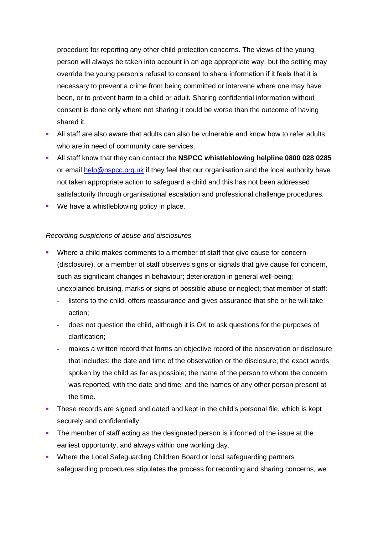procedure for reporting any other child protection concerns. The views of the young person will always be taken into account in an age appropriate way, but the setting may override the young person's refusal to consent to share information if it feels that it is necessary to prevent a crime from being committed or intervene where one may have been, or to prevent harm to a child or adult. Sharing confidential information without consent is done only where not sharing it could be worse than the outcome of having shared it.

- All staff are also aware that adults can also be vulnerable and know how to refer adults who are in need of community care services.
- All staff know that they can contact the **NSPCC whistleblowing helpline 0800 028 0285** or email [help@nspcc.org.uk](mailto:help@nspcc.org.uk) if they feel that our organisation and the local authority have not taken appropriate action to safeguard a child and this has not been addressed satisfactorily through organisational escalation and professional challenge procedures.
- We have a whistleblowing policy in place.

### *Recording suspicions of abuse and disclosures*

- **•** Where a child makes comments to a member of staff that give cause for concern (disclosure), or a member of staff observes signs or signals that give cause for concern, such as significant changes in behaviour; deterioration in general well-being; unexplained bruising, marks or signs of possible abuse or neglect; that member of staff:
	- **-** listens to the child, offers reassurance and gives assurance that she or he will take action;
	- **-** does not question the child, although it is OK to ask questions for the purposes of clarification;
	- **-** makes a written record that forms an objective record of the observation or disclosure that includes: the date and time of the observation or the disclosure; the exact words spoken by the child as far as possible; the name of the person to whom the concern was reported, with the date and time; and the names of any other person present at the time.
- **•** These records are signed and dated and kept in the child's personal file, which is kept securely and confidentially.
- **•** The member of staff acting as the designated person is informed of the issue at the earliest opportunity, and always within one working day.
- Where the Local Safeguarding Children Board or local safeguarding partners safeguarding procedures stipulates the process for recording and sharing concerns, we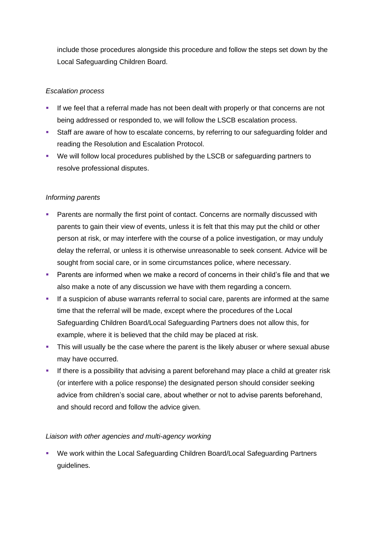include those procedures alongside this procedure and follow the steps set down by the Local Safeguarding Children Board.

## *Escalation process*

- If we feel that a referral made has not been dealt with properly or that concerns are not being addressed or responded to, we will follow the LSCB escalation process.
- **EXTERF** Staff are aware of how to escalate concerns, by referring to our safeguarding folder and reading the Resolution and Escalation Protocol.
- We will follow local procedures published by the LSCB or safeguarding partners to resolve professional disputes.

## *Informing parents*

- **Parents are normally the first point of contact. Concerns are normally discussed with** parents to gain their view of events, unless it is felt that this may put the child or other person at risk, or may interfere with the course of a police investigation, or may unduly delay the referral, or unless it is otherwise unreasonable to seek consent. Advice will be sought from social care, or in some circumstances police, where necessary.
- Parents are informed when we make a record of concerns in their child's file and that we also make a note of any discussion we have with them regarding a concern.
- **.** If a suspicion of abuse warrants referral to social care, parents are informed at the same time that the referral will be made, except where the procedures of the Local Safeguarding Children Board/Local Safeguarding Partners does not allow this, for example, where it is believed that the child may be placed at risk.
- **•** This will usually be the case where the parent is the likely abuser or where sexual abuse may have occurred.
- **EXT** If there is a possibility that advising a parent beforehand may place a child at greater risk (or interfere with a police response) the designated person should consider seeking advice from children's social care, about whether or not to advise parents beforehand, and should record and follow the advice given.

## *Liaison with other agencies and multi-agency working*

■ We work within the Local Safeguarding Children Board/Local Safeguarding Partners guidelines.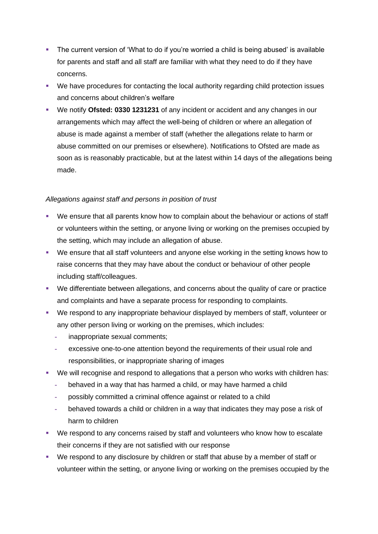- **•** The current version of 'What to do if you're worried a child is being abused' is available for parents and staff and all staff are familiar with what they need to do if they have concerns.
- We have procedures for contacting the local authority regarding child protection issues and concerns about children's welfare
- We notify **Ofsted: 0330 1231231** of any incident or accident and any changes in our arrangements which may affect the well-being of children or where an allegation of abuse is made against a member of staff (whether the allegations relate to harm or abuse committed on our premises or elsewhere). Notifications to Ofsted are made as soon as is reasonably practicable, but at the latest within 14 days of the allegations being made.

## *Allegations against staff and persons in position of trust*

- We ensure that all parents know how to complain about the behaviour or actions of staff or volunteers within the setting, or anyone living or working on the premises occupied by the setting, which may include an allegation of abuse.
- We ensure that all staff volunteers and anyone else working in the setting knows how to raise concerns that they may have about the conduct or behaviour of other people including staff/colleagues.
- We differentiate between allegations, and concerns about the quality of care or practice and complaints and have a separate process for responding to complaints.
- We respond to any inappropriate behaviour displayed by members of staff, volunteer or any other person living or working on the premises, which includes:
	- **-** inappropriate sexual comments;
	- **-** excessive one-to-one attention beyond the requirements of their usual role and responsibilities, or inappropriate sharing of images
- We will recognise and respond to allegations that a person who works with children has:
	- **-** behaved in a way that has harmed a child, or may have harmed a child
	- **-** possibly committed a criminal offence against or related to a child
	- **-** behaved towards a child or children in a way that indicates they may pose a risk of harm to children
- We respond to any concerns raised by staff and volunteers who know how to escalate their concerns if they are not satisfied with our response
- We respond to any disclosure by children or staff that abuse by a member of staff or volunteer within the setting, or anyone living or working on the premises occupied by the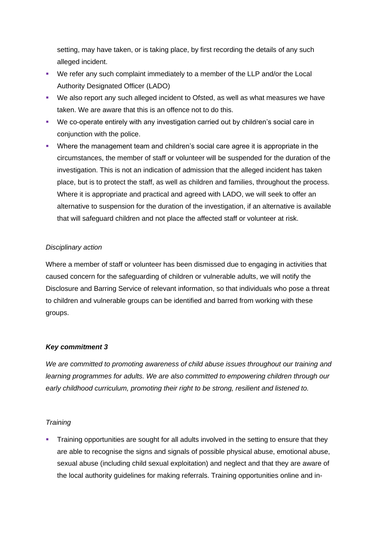setting, may have taken, or is taking place, by first recording the details of any such alleged incident.

- We refer any such complaint immediately to a member of the LLP and/or the Local Authority Designated Officer (LADO)
- We also report any such alleged incident to Ofsted, as well as what measures we have taken. We are aware that this is an offence not to do this.
- We co-operate entirely with any investigation carried out by children's social care in conjunction with the police.
- Where the management team and children's social care agree it is appropriate in the circumstances, the member of staff or volunteer will be suspended for the duration of the investigation. This is not an indication of admission that the alleged incident has taken place, but is to protect the staff, as well as children and families, throughout the process. Where it is appropriate and practical and agreed with LADO, we will seek to offer an alternative to suspension for the duration of the investigation, if an alternative is available that will safeguard children and not place the affected staff or volunteer at risk.

### *Disciplinary action*

Where a member of staff or volunteer has been dismissed due to engaging in activities that caused concern for the safeguarding of children or vulnerable adults, we will notify the Disclosure and Barring Service of relevant information, so that individuals who pose a threat to children and vulnerable groups can be identified and barred from working with these groups.

## *Key commitment 3*

*We are committed to promoting awareness of child abuse issues throughout our training and learning programmes for adults. We are also committed to empowering children through our early childhood curriculum, promoting their right to be strong, resilient and listened to.*

## *Training*

Training opportunities are sought for all adults involved in the setting to ensure that they are able to recognise the signs and signals of possible physical abuse, emotional abuse, sexual abuse (including child sexual exploitation) and neglect and that they are aware of the local authority guidelines for making referrals. Training opportunities online and in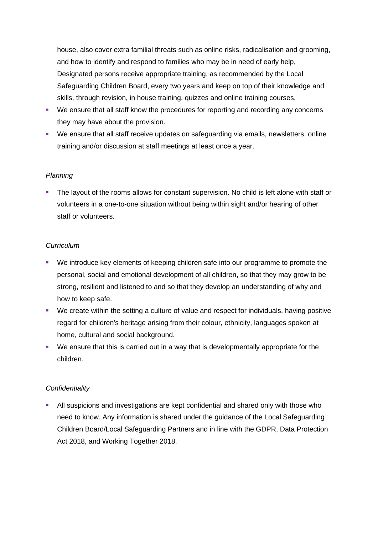house, also cover extra familial threats such as online risks, radicalisation and grooming, and how to identify and respond to families who may be in need of early help, Designated persons receive appropriate training, as recommended by the Local Safeguarding Children Board, every two years and keep on top of their knowledge and skills, through revision, in house training, quizzes and online training courses.

- We ensure that all staff know the procedures for reporting and recording any concerns they may have about the provision.
- We ensure that all staff receive updates on safeguarding via emails, newsletters, online training and/or discussion at staff meetings at least once a year.

### *Planning*

**•** The layout of the rooms allows for constant supervision. No child is left alone with staff or volunteers in a one-to-one situation without being within sight and/or hearing of other staff or volunteers.

### *Curriculum*

- We introduce key elements of keeping children safe into our programme to promote the personal, social and emotional development of all children, so that they may grow to be strong, resilient and listened to and so that they develop an understanding of why and how to keep safe.
- We create within the setting a culture of value and respect for individuals, having positive regard for children's heritage arising from their colour, ethnicity, languages spoken at home, cultural and social background.
- We ensure that this is carried out in a way that is developmentally appropriate for the children.

## *Confidentiality*

**EXTEND 10** All suspicions and investigations are kept confidential and shared only with those who need to know. Any information is shared under the guidance of the Local Safeguarding Children Board/Local Safeguarding Partners and in line with the GDPR, Data Protection Act 2018, and Working Together 2018.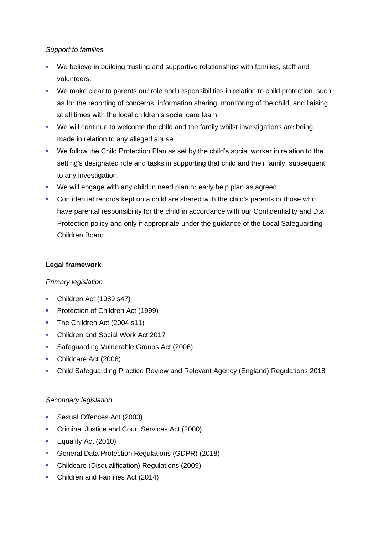#### *Support to families*

- We believe in building trusting and supportive relationships with families, staff and volunteers.
- We make clear to parents our role and responsibilities in relation to child protection, such as for the reporting of concerns, information sharing, monitoring of the child, and liaising at all times with the local children's social care team.
- We will continue to welcome the child and the family whilst investigations are being made in relation to any alleged abuse.
- We follow the Child Protection Plan as set by the child's social worker in relation to the setting's designated role and tasks in supporting that child and their family, subsequent to any investigation.
- We will engage with any child in need plan or early help plan as agreed.
- **•** Confidential records kept on a child are shared with the child's parents or those who have parental responsibility for the child in accordance with our Confidentiality and Dta Protection policy and only if appropriate under the guidance of the Local Safeguarding Children Board.

### **Legal framework**

## *Primary legislation*

- Children Act (1989 s47)
- **•** Protection of Children Act (1999)
- **The Children Act (2004 s11)**
- Children and Social Work Act 2017
- Safeguarding Vulnerable Groups Act (2006)
- Childcare Act (2006)
- Child Safeguarding Practice Review and Relevant Agency (England) Regulations 2018

## *Secondary legislation*

- Sexual Offences Act (2003)
- **Criminal Justice and Court Services Act (2000)**
- **Equality Act (2010)**
- General Data Protection Regulations (GDPR) (2018)
- Childcare (Disqualification) Regulations (2009)
- Children and Families Act (2014)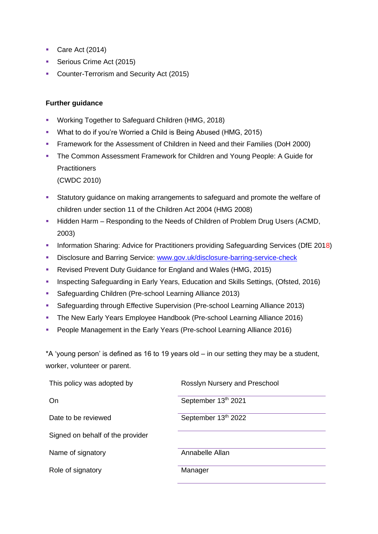- Care Act (2014)
- **Serious Crime Act (2015)**
- Counter-Terrorism and Security Act (2015)

### **Further guidance**

- Working Together to Safeguard Children (HMG, 2018)
- What to do if you're Worried a Child is Being Abused (HMG, 2015)
- **Framework for the Assessment of Children in Need and their Families (DoH 2000)**
- **The Common Assessment Framework for Children and Young People: A Guide for Practitioners**

(CWDC 2010)

- **EXECT** Statutory guidance on making arrangements to safeguard and promote the welfare of children under section 11 of the Children Act 2004 (HMG 2008)
- **Hidden Harm Responding to the Needs of Children of Problem Drug Users (ACMD,** 2003)
- **Information Sharing: Advice for Practitioners providing Safeguarding Services (DfE 2018)**
- Disclosure and Barring Service: [www.gov.uk/disclosure-barring-service-check](http://www.gov.uk/disclosure-barring-service-check)
- Revised Prevent Duty Guidance for England and Wales (HMG, 2015)
- **Inspecting Safeguarding in Early Years, Education and Skills Settings, (Ofsted, 2016)**
- Safeguarding Children (Pre-school Learning Alliance 2013)
- Safeguarding through Effective Supervision (Pre-school Learning Alliance 2013)
- **The New Early Years Employee Handbook (Pre-school Learning Alliance 2016)**
- People Management in the Early Years (Pre-school Learning Alliance 2016)

\*A 'young person' is defined as 16 to 19 years old – in our setting they may be a student, worker, volunteer or parent.

| This policy was adopted by       | Rosslyn Nursery and Preschool |
|----------------------------------|-------------------------------|
| On.                              | September 13th 2021           |
| Date to be reviewed              | September 13th 2022           |
| Signed on behalf of the provider |                               |
| Name of signatory                | Annabelle Allan               |
| Role of signatory                | Manager                       |
|                                  |                               |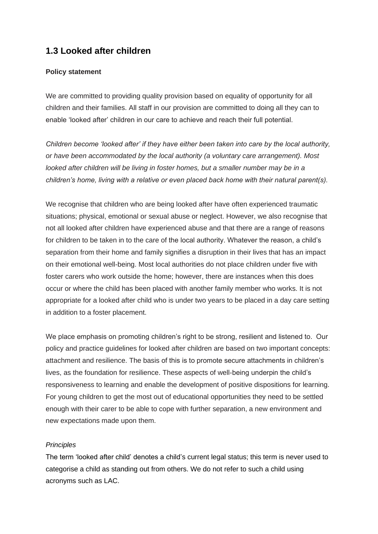## **1.3 Looked after children**

### **Policy statement**

We are committed to providing quality provision based on equality of opportunity for all children and their families. All staff in our provision are committed to doing all they can to enable 'looked after' children in our care to achieve and reach their full potential.

*Children become 'looked after' if they have either been taken into care by the local authority, or have been accommodated by the local authority (a voluntary care arrangement). Most looked after children will be living in foster homes, but a smaller number may be in a children's home, living with a relative or even placed back home with their natural parent(s).*

We recognise that children who are being looked after have often experienced traumatic situations; physical, emotional or sexual abuse or neglect. However, we also recognise that not all looked after children have experienced abuse and that there are a range of reasons for children to be taken in to the care of the local authority. Whatever the reason, a child's separation from their home and family signifies a disruption in their lives that has an impact on their emotional well-being. Most local authorities do not place children under five with foster carers who work outside the home; however, there are instances when this does occur or where the child has been placed with another family member who works. It is not appropriate for a looked after child who is under two years to be placed in a day care setting in addition to a foster placement.

We place emphasis on promoting children's right to be strong, resilient and listened to. Our policy and practice guidelines for looked after children are based on two important concepts: attachment and resilience. The basis of this is to promote secure attachments in children's lives, as the foundation for resilience. These aspects of well-being underpin the child's responsiveness to learning and enable the development of positive dispositions for learning. For young children to get the most out of educational opportunities they need to be settled enough with their carer to be able to cope with further separation, a new environment and new expectations made upon them.

#### *Principles*

The term 'looked after child' denotes a child's current legal status; this term is never used to categorise a child as standing out from others. We do not refer to such a child using acronyms such as LAC.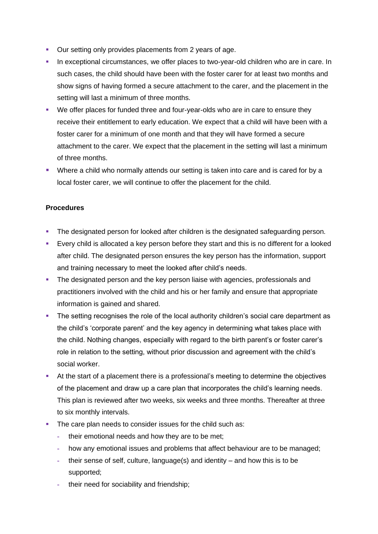- Our setting only provides placements from 2 years of age.
- **•** In exceptional circumstances, we offer places to two-year-old children who are in care. In such cases, the child should have been with the foster carer for at least two months and show signs of having formed a secure attachment to the carer, and the placement in the setting will last a minimum of three months.
- We offer places for funded three and four-year-olds who are in care to ensure they receive their entitlement to early education. We expect that a child will have been with a foster carer for a minimum of one month and that they will have formed a secure attachment to the carer. We expect that the placement in the setting will last a minimum of three months.
- Where a child who normally attends our setting is taken into care and is cared for by a local foster carer, we will continue to offer the placement for the child.

### **Procedures**

- **The designated person for looked after children is the designated safeguarding person.**
- **Exery child is allocated a key person before they start and this is no different for a looked** after child. The designated person ensures the key person has the information, support and training necessary to meet the looked after child's needs.
- **•** The designated person and the key person liaise with agencies, professionals and practitioners involved with the child and his or her family and ensure that appropriate information is gained and shared.
- **The setting recognises the role of the local authority children's social care department as** the child's 'corporate parent' and the key agency in determining what takes place with the child. Nothing changes, especially with regard to the birth parent's or foster carer's role in relation to the setting, without prior discussion and agreement with the child's social worker.
- At the start of a placement there is a professional's meeting to determine the objectives of the placement and draw up a care plan that incorporates the child's learning needs. This plan is reviewed after two weeks, six weeks and three months. Thereafter at three to six monthly intervals.
- **The care plan needs to consider issues for the child such as:** 
	- **-** their emotional needs and how they are to be met;
	- **-** how any emotional issues and problems that affect behaviour are to be managed;
	- **-** their sense of self, culture, language(s) and identity and how this is to be supported;
	- **-** their need for sociability and friendship;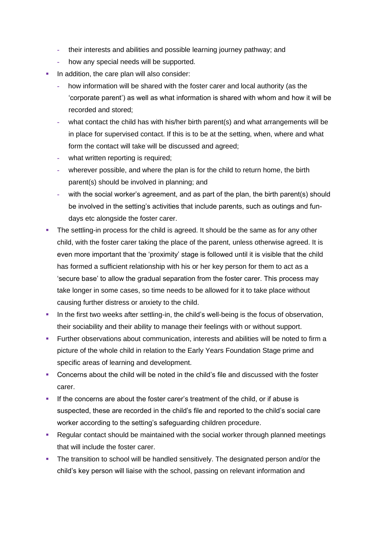- **-** their interests and abilities and possible learning journey pathway; and
- **-** how any special needs will be supported.
- **In addition, the care plan will also consider:** 
	- **-** how information will be shared with the foster carer and local authority (as the 'corporate parent') as well as what information is shared with whom and how it will be recorded and stored;
	- **-** what contact the child has with his/her birth parent(s) and what arrangements will be in place for supervised contact. If this is to be at the setting, when, where and what form the contact will take will be discussed and agreed;
	- **-** what written reporting is required;
	- **-** wherever possible, and where the plan is for the child to return home, the birth parent(s) should be involved in planning; and
	- with the social worker's agreement, and as part of the plan, the birth parent(s) should be involved in the setting's activities that include parents, such as outings and fundays etc alongside the foster carer.
- **•** The settling-in process for the child is agreed. It should be the same as for any other child, with the foster carer taking the place of the parent, unless otherwise agreed. It is even more important that the 'proximity' stage is followed until it is visible that the child has formed a sufficient relationship with his or her key person for them to act as a 'secure base' to allow the gradual separation from the foster carer. This process may take longer in some cases, so time needs to be allowed for it to take place without causing further distress or anxiety to the child.
- **•** In the first two weeks after settling-in, the child's well-being is the focus of observation, their sociability and their ability to manage their feelings with or without support.
- Further observations about communication, interests and abilities will be noted to firm a picture of the whole child in relation to the Early Years Foundation Stage prime and specific areas of learning and development.
- Concerns about the child will be noted in the child's file and discussed with the foster carer.
- **.** If the concerns are about the foster carer's treatment of the child, or if abuse is suspected, these are recorded in the child's file and reported to the child's social care worker according to the setting's safeguarding children procedure.
- Regular contact should be maintained with the social worker through planned meetings that will include the foster carer.
- **•** The transition to school will be handled sensitively. The designated person and/or the child's key person will liaise with the school, passing on relevant information and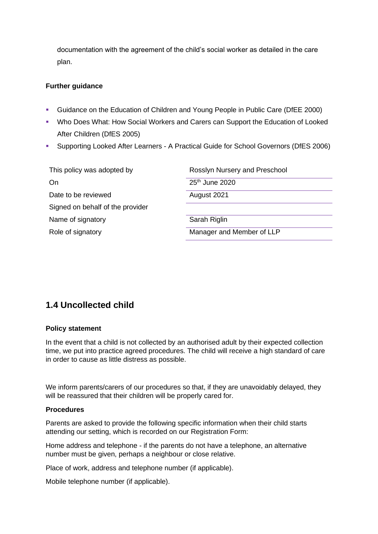documentation with the agreement of the child's social worker as detailed in the care plan.

#### **Further guidance**

- Guidance on the Education of Children and Young People in Public Care (DfEE 2000)
- Who Does What: How Social Workers and Carers can Support the Education of Looked After Children (DfES 2005)
- Supporting Looked After Learners A Practical Guide for School Governors (DfES 2006)

| This policy was adopted by       | Rosslyn Nursery and Preschool |
|----------------------------------|-------------------------------|
| On                               | 25 <sup>th</sup> June 2020    |
| Date to be reviewed              | August 2021                   |
| Signed on behalf of the provider |                               |
| Name of signatory                | Sarah Riglin                  |
| Role of signatory                | Manager and Member of LLP     |

## <span id="page-20-0"></span>**1.4 Uncollected child**

#### **Policy statement**

In the event that a child is not collected by an authorised adult by their expected collection time, we put into practice agreed procedures. The child will receive a high standard of care in order to cause as little distress as possible.

We inform parents/carers of our procedures so that, if they are unavoidably delayed, they will be reassured that their children will be properly cared for.

#### **Procedures**

Parents are asked to provide the following specific information when their child starts attending our setting, which is recorded on our Registration Form:

Home address and telephone - if the parents do not have a telephone, an alternative number must be given, perhaps a neighbour or close relative.

Place of work, address and telephone number (if applicable).

Mobile telephone number (if applicable).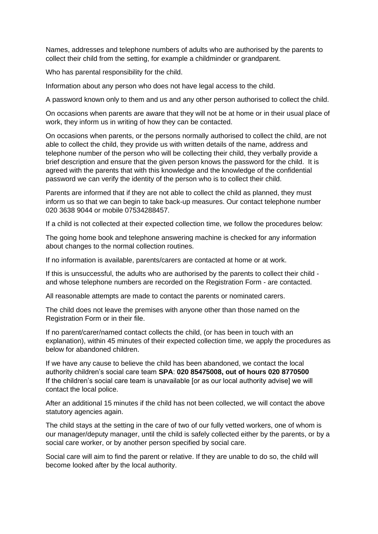Names, addresses and telephone numbers of adults who are authorised by the parents to collect their child from the setting, for example a childminder or grandparent.

Who has parental responsibility for the child.

Information about any person who does not have legal access to the child.

A password known only to them and us and any other person authorised to collect the child.

On occasions when parents are aware that they will not be at home or in their usual place of work, they inform us in writing of how they can be contacted.

On occasions when parents, or the persons normally authorised to collect the child, are not able to collect the child, they provide us with written details of the name, address and telephone number of the person who will be collecting their child, they verbally provide a brief description and ensure that the given person knows the password for the child. It is agreed with the parents that with this knowledge and the knowledge of the confidential password we can verify the identity of the person who is to collect their child.

Parents are informed that if they are not able to collect the child as planned, they must inform us so that we can begin to take back-up measures. Our contact telephone number 020 3638 9044 or mobile 07534288457.

If a child is not collected at their expected collection time, we follow the procedures below:

The going home book and telephone answering machine is checked for any information about changes to the normal collection routines.

If no information is available, parents/carers are contacted at home or at work.

If this is unsuccessful, the adults who are authorised by the parents to collect their child and whose telephone numbers are recorded on the Registration Form - are contacted.

All reasonable attempts are made to contact the parents or nominated carers.

The child does not leave the premises with anyone other than those named on the Registration Form or in their file.

If no parent/carer/named contact collects the child, (or has been in touch with an explanation), within 45 minutes of their expected collection time, we apply the procedures as below for abandoned children.

If we have any cause to believe the child has been abandoned, we contact the local authority children's social care team **SPA**: **020 85475008, out of hours 020 8770500** If the children's social care team is unavailable [or as our local authority advise] we will contact the local police.

After an additional 15 minutes if the child has not been collected, we will contact the above statutory agencies again.

The child stays at the setting in the care of two of our fully vetted workers, one of whom is our manager/deputy manager, until the child is safely collected either by the parents, or by a social care worker, or by another person specified by social care.

Social care will aim to find the parent or relative. If they are unable to do so, the child will become looked after by the local authority.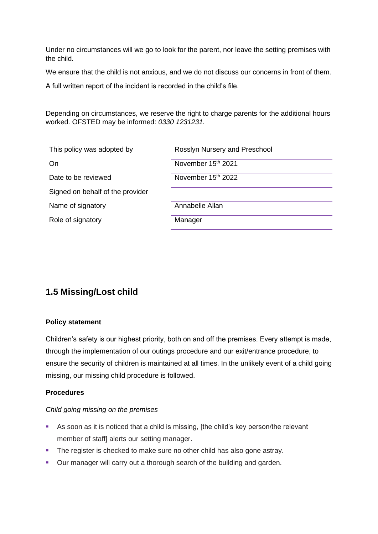Under no circumstances will we go to look for the parent, nor leave the setting premises with the child.

We ensure that the child is not anxious, and we do not discuss our concerns in front of them.

A full written report of the incident is recorded in the child's file.

Depending on circumstances, we reserve the right to charge parents for the additional hours worked. OFSTED may be informed: *0330 1231231.*

| This policy was adopted by       | Rosslyn Nursery and Preschool |
|----------------------------------|-------------------------------|
| On.                              | November 15th 2021            |
| Date to be reviewed              | November 15th 2022            |
| Signed on behalf of the provider |                               |
| Name of signatory                | Annabelle Allan               |
| Role of signatory                | Manager                       |
|                                  |                               |

## <span id="page-22-0"></span>**1.5 Missing/Lost child**

#### **Policy statement**

Children's safety is our highest priority, both on and off the premises. Every attempt is made, through the implementation of our outings procedure and our exit/entrance procedure, to ensure the security of children is maintained at all times. In the unlikely event of a child going missing, our missing child procedure is followed.

## **Procedures**

#### *Child going missing on the premises*

- As soon as it is noticed that a child is missing, [the child's key person/the relevant member of staff] alerts our setting manager.
- **•** The register is checked to make sure no other child has also gone astray.
- Our manager will carry out a thorough search of the building and garden.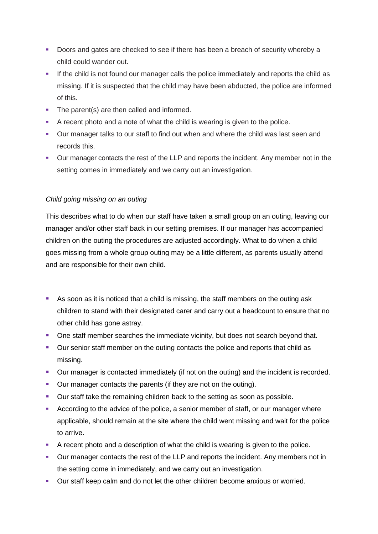- Doors and gates are checked to see if there has been a breach of security whereby a child could wander out.
- **.** If the child is not found our manager calls the police immediately and reports the child as missing. If it is suspected that the child may have been abducted, the police are informed of this.
- The parent(s) are then called and informed.
- A recent photo and a note of what the child is wearing is given to the police.
- Our manager talks to our staff to find out when and where the child was last seen and records this.
- Our manager contacts the rest of the LLP and reports the incident. Any member not in the setting comes in immediately and we carry out an investigation.

## *Child going missing on an outing*

This describes what to do when our staff have taken a small group on an outing, leaving our manager and/or other staff back in our setting premises. If our manager has accompanied children on the outing the procedures are adjusted accordingly. What to do when a child goes missing from a whole group outing may be a little different, as parents usually attend and are responsible for their own child.

- As soon as it is noticed that a child is missing, the staff members on the outing ask children to stand with their designated carer and carry out a headcount to ensure that no other child has gone astray.
- One staff member searches the immediate vicinity, but does not search beyond that.
- Our senior staff member on the outing contacts the police and reports that child as missing.
- Our manager is contacted immediately (if not on the outing) and the incident is recorded.
- Our manager contacts the parents (if they are not on the outing).
- **•** Our staff take the remaining children back to the setting as soon as possible.
- **EXECO** According to the advice of the police, a senior member of staff, or our manager where applicable, should remain at the site where the child went missing and wait for the police to arrive.
- A recent photo and a description of what the child is wearing is given to the police.
- Our manager contacts the rest of the LLP and reports the incident. Any members not in the setting come in immediately, and we carry out an investigation.
- Our staff keep calm and do not let the other children become anxious or worried.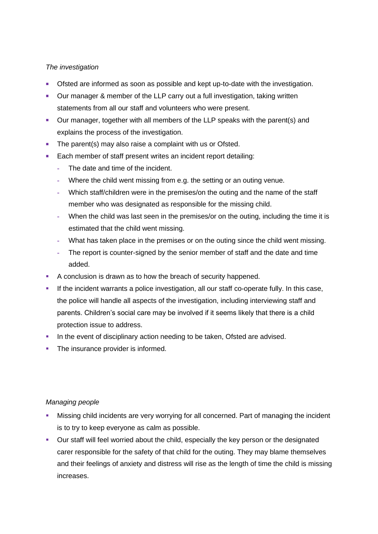### *The investigation*

- Ofsted are informed as soon as possible and kept up-to-date with the investigation.
- Our manager & member of the LLP carry out a full investigation, taking written statements from all our staff and volunteers who were present.
- Our manager, together with all members of the LLP speaks with the parent(s) and explains the process of the investigation.
- The parent(s) may also raise a complaint with us or Ofsted.
- Each member of staff present writes an incident report detailing:
	- **-** The date and time of the incident.
	- **-** Where the child went missing from e.g. the setting or an outing venue.
	- **-** Which staff/children were in the premises/on the outing and the name of the staff member who was designated as responsible for the missing child.
	- **-** When the child was last seen in the premises/or on the outing, including the time it is estimated that the child went missing.
	- **-** What has taken place in the premises or on the outing since the child went missing.
	- **-** The report is counter-signed by the senior member of staff and the date and time added.
- A conclusion is drawn as to how the breach of security happened.
- **.** If the incident warrants a police investigation, all our staff co-operate fully. In this case, the police will handle all aspects of the investigation, including interviewing staff and parents. Children's social care may be involved if it seems likely that there is a child protection issue to address.
- In the event of disciplinary action needing to be taken, Ofsted are advised.
- **•** The insurance provider is informed.

#### *Managing people*

- Missing child incidents are very worrying for all concerned. Part of managing the incident is to try to keep everyone as calm as possible.
- Our staff will feel worried about the child, especially the key person or the designated carer responsible for the safety of that child for the outing. They may blame themselves and their feelings of anxiety and distress will rise as the length of time the child is missing increases.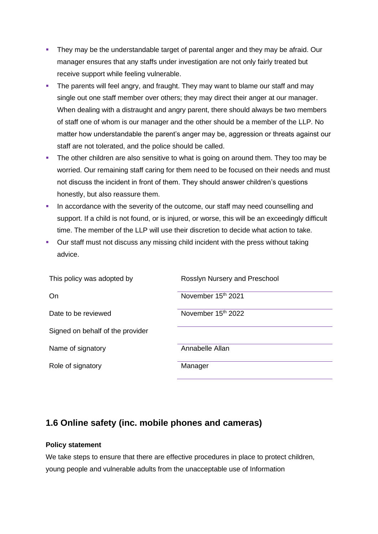- **•** They may be the understandable target of parental anger and they may be afraid. Our manager ensures that any staffs under investigation are not only fairly treated but receive support while feeling vulnerable.
- **•** The parents will feel angry, and fraught. They may want to blame our staff and may single out one staff member over others; they may direct their anger at our manager. When dealing with a distraught and angry parent, there should always be two members of staff one of whom is our manager and the other should be a member of the LLP. No matter how understandable the parent's anger may be, aggression or threats against our staff are not tolerated, and the police should be called.
- **•** The other children are also sensitive to what is going on around them. They too may be worried. Our remaining staff caring for them need to be focused on their needs and must not discuss the incident in front of them. They should answer children's questions honestly, but also reassure them.
- **•** In accordance with the severity of the outcome, our staff may need counselling and support. If a child is not found, or is injured, or worse, this will be an exceedingly difficult time. The member of the LLP will use their discretion to decide what action to take.
- Our staff must not discuss any missing child incident with the press without taking advice.

| This policy was adopted by       | Rosslyn Nursery and Preschool  |
|----------------------------------|--------------------------------|
| On                               | November 15 <sup>th</sup> 2021 |
| Date to be reviewed              | November 15th 2022             |
| Signed on behalf of the provider |                                |
| Name of signatory                | Annabelle Allan                |
| Role of signatory                | Manager                        |

## <span id="page-25-0"></span>**1.6 Online safety (inc. mobile phones and cameras)**

## **Policy statement**

We take steps to ensure that there are effective procedures in place to protect children, young people and vulnerable adults from the unacceptable use of Information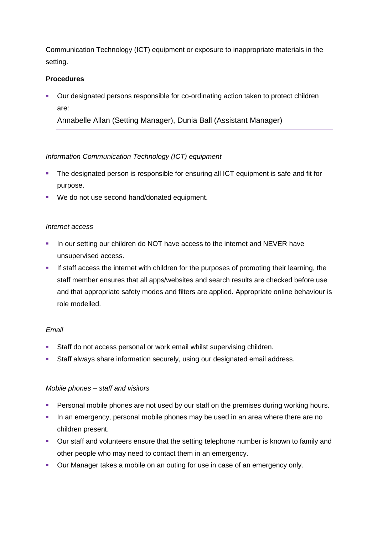Communication Technology (ICT) equipment or exposure to inappropriate materials in the setting.

### **Procedures**

▪ Our designated persons responsible for co-ordinating action taken to protect children are:

Annabelle Allan (Setting Manager), Dunia Ball (Assistant Manager)

### *Information Communication Technology (ICT) equipment*

- The designated person is responsible for ensuring all ICT equipment is safe and fit for purpose.
- We do not use second hand/donated equipment.

#### *Internet access*

- **.** In our setting our children do NOT have access to the internet and NEVER have unsupervised access.
- **EXECT** If staff access the internet with children for the purposes of promoting their learning, the staff member ensures that all apps/websites and search results are checked before use and that appropriate safety modes and filters are applied. Appropriate online behaviour is role modelled.

#### *Email*

- Staff do not access personal or work email whilst supervising children.
- **EXEL Staff always share information securely, using our designated email address.**

#### *Mobile phones – staff and visitors*

- **Personal mobile phones are not used by our staff on the premises during working hours.**
- **•** In an emergency, personal mobile phones may be used in an area where there are no children present.
- Our staff and volunteers ensure that the setting telephone number is known to family and other people who may need to contact them in an emergency.
- Our Manager takes a mobile on an outing for use in case of an emergency only.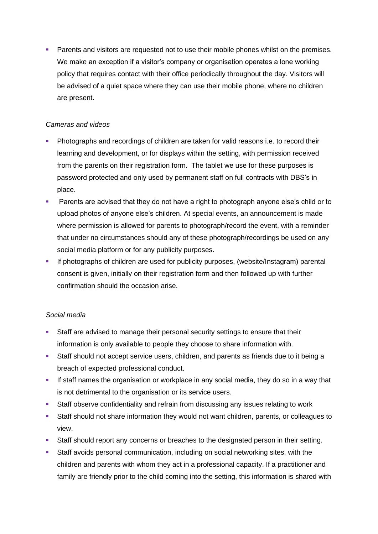**• Parents and visitors are requested not to use their mobile phones whilst on the premises.** We make an exception if a visitor's company or organisation operates a lone working policy that requires contact with their office periodically throughout the day. Visitors will be advised of a quiet space where they can use their mobile phone, where no children are present.

## *Cameras and videos*

- **Photographs and recordings of children are taken for valid reasons i.e. to record their** learning and development, or for displays within the setting, with permission received from the parents on their registration form. The tablet we use for these purposes is password protected and only used by permanent staff on full contracts with DBS's in place.
- Parents are advised that they do not have a right to photograph anyone else's child or to upload photos of anyone else's children. At special events, an announcement is made where permission is allowed for parents to photograph/record the event, with a reminder that under no circumstances should any of these photograph/recordings be used on any social media platform or for any publicity purposes.
- If photographs of children are used for publicity purposes, (website/Instagram) parental consent is given, initially on their registration form and then followed up with further confirmation should the occasion arise.

## *Social media*

- **EXECTE Staff are advised to manage their personal security settings to ensure that their** information is only available to people they choose to share information with.
- **EXECT:** Staff should not accept service users, children, and parents as friends due to it being a breach of expected professional conduct.
- **.** If staff names the organisation or workplace in any social media, they do so in a way that is not detrimental to the organisation or its service users.
- **EXECT** Staff observe confidentiality and refrain from discussing any issues relating to work
- Staff should not share information they would not want children, parents, or colleagues to view.
- **EXECT:** Staff should report any concerns or breaches to the designated person in their setting.
- Staff avoids personal communication, including on social networking sites, with the children and parents with whom they act in a professional capacity. If a practitioner and family are friendly prior to the child coming into the setting, this information is shared with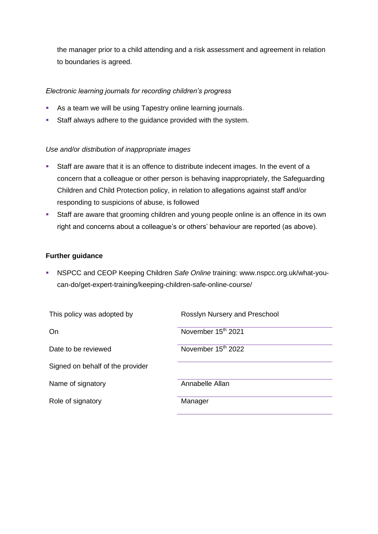the manager prior to a child attending and a risk assessment and agreement in relation to boundaries is agreed.

## *Electronic learning journals for recording children's progress*

- **EXECT** As a team we will be using Tapestry online learning journals.
- **EXECT:** Staff always adhere to the guidance provided with the system.

## *Use and/or distribution of inappropriate images*

- Staff are aware that it is an offence to distribute indecent images. In the event of a concern that a colleague or other person is behaving inappropriately, the Safeguarding Children and Child Protection policy, in relation to allegations against staff and/or responding to suspicions of abuse, is followed
- **EXECT:** Staff are aware that grooming children and young people online is an offence in its own right and concerns about a colleague's or others' behaviour are reported (as above).

### **Further guidance**

▪ NSPCC and CEOP Keeping Children *Safe Online* training: www.nspcc.org.uk/what-youcan-do/get-expert-training/keeping-children-safe-online-course/

<span id="page-28-0"></span>

| This policy was adopted by       | Rosslyn Nursery and Preschool  |
|----------------------------------|--------------------------------|
| On                               | November 15th 2021             |
| Date to be reviewed              | November 15 <sup>th</sup> 2022 |
| Signed on behalf of the provider |                                |
| Name of signatory                | Annabelle Allan                |
| Role of signatory                | Manager                        |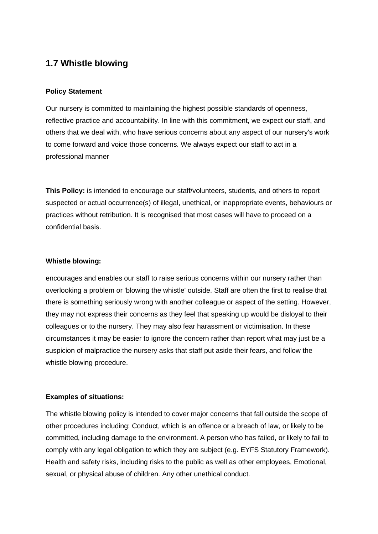## **1.7 Whistle blowing**

### **Policy Statement**

Our nursery is committed to maintaining the highest possible standards of openness, reflective practice and accountability. In line with this commitment, we expect our staff, and others that we deal with, who have serious concerns about any aspect of our nursery's work to come forward and voice those concerns. We always expect our staff to act in a professional manner

**This Policy:** is intended to encourage our staff/volunteers, students, and others to report suspected or actual occurrence(s) of illegal, unethical, or inappropriate events, behaviours or practices without retribution. It is recognised that most cases will have to proceed on a confidential basis.

#### **Whistle blowing:**

encourages and enables our staff to raise serious concerns within our nursery rather than overlooking a problem or 'blowing the whistle' outside. Staff are often the first to realise that there is something seriously wrong with another colleague or aspect of the setting. However, they may not express their concerns as they feel that speaking up would be disloyal to their colleagues or to the nursery. They may also fear harassment or victimisation. In these circumstances it may be easier to ignore the concern rather than report what may just be a suspicion of malpractice the nursery asks that staff put aside their fears, and follow the whistle blowing procedure.

#### **Examples of situations:**

The whistle blowing policy is intended to cover major concerns that fall outside the scope of other procedures including: Conduct, which is an offence or a breach of law, or likely to be committed, including damage to the environment. A person who has failed, or likely to fail to comply with any legal obligation to which they are subject (e.g. EYFS Statutory Framework). Health and safety risks, including risks to the public as well as other employees, Emotional, sexual, or physical abuse of children. Any other unethical conduct.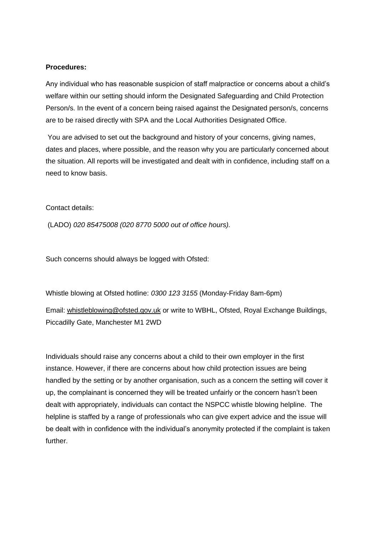#### **Procedures:**

Any individual who has reasonable suspicion of staff malpractice or concerns about a child's welfare within our setting should inform the Designated Safeguarding and Child Protection Person/s. In the event of a concern being raised against the Designated person/s, concerns are to be raised directly with SPA and the Local Authorities Designated Office.

You are advised to set out the background and history of your concerns, giving names, dates and places, where possible, and the reason why you are particularly concerned about the situation. All reports will be investigated and dealt with in confidence, including staff on a need to know basis.

Contact details:

(LADO) *020 85475008 (020 8770 5000 out of office hours).*

Such concerns should always be logged with Ofsted:

Whistle blowing at Ofsted hotline: *0300 123 3155* (Monday-Friday 8am-6pm) Email: [whistleblowing@ofsted.gov.uk](mailto:whistleblowing@ofsted.gov.uk) or write to WBHL, Ofsted, Royal Exchange Buildings, Piccadilly Gate, Manchester M1 2WD

Individuals should raise any concerns about a child to their own employer in the first instance. However, if there are concerns about how child protection issues are being handled by the setting or by another organisation, such as a concern the setting will cover it up, the complainant is concerned they will be treated unfairly or the concern hasn't been dealt with appropriately, individuals can contact the NSPCC whistle blowing helpline. The helpline is staffed by a range of professionals who can give expert advice and the issue will be dealt with in confidence with the individual's anonymity protected if the complaint is taken further.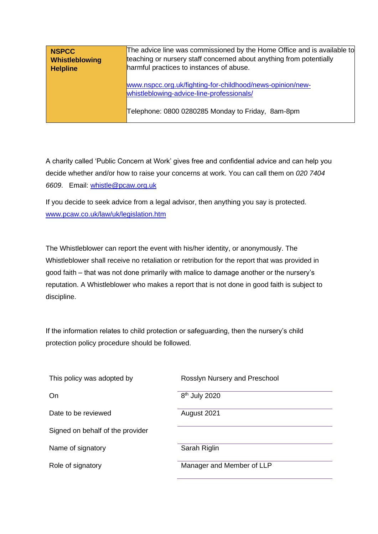| NSPCC<br><b>Whistleblowing</b><br><b>Helpline</b> | The advice line was commissioned by the Home Office and is available to<br>teaching or nursery staff concerned about anything from potentially<br>harmful practices to instances of abuse. |  |
|---------------------------------------------------|--------------------------------------------------------------------------------------------------------------------------------------------------------------------------------------------|--|
|                                                   | www.nspcc.org.uk/fighting-for-childhood/news-opinion/new-<br>whistleblowing-advice-line-professionals/                                                                                     |  |
|                                                   | Telephone: 0800 0280285 Monday to Friday, 8am-8pm                                                                                                                                          |  |

A charity called 'Public Concern at Work' gives free and confidential advice and can help you decide whether and/or how to raise your concerns at work. You can call them on *020 7404 6609*. Email: [whistle@pcaw.org.uk](mailto:whistle@pcaw.org.uk)

If you decide to seek advice from a legal advisor, then anything you say is protected. [www.pcaw.co.uk/law/uk/legislation.htm](http://www.pcaw.co.uk/law/uk/legislation.htm)

The Whistleblower can report the event with his/her identity, or anonymously. The Whistleblower shall receive no retaliation or retribution for the report that was provided in good faith – that was not done primarily with malice to damage another or the nursery's reputation. A Whistleblower who makes a report that is not done in good faith is subject to discipline.

If the information relates to child protection or safeguarding, then the nursery's child protection policy procedure should be followed.

| This policy was adopted by       | Rosslyn Nursery and Preschool |
|----------------------------------|-------------------------------|
| On                               | 8 <sup>th</sup> July 2020     |
| Date to be reviewed              | August 2021                   |
| Signed on behalf of the provider |                               |
| Name of signatory                | Sarah Riglin                  |
| Role of signatory                | Manager and Member of LLP     |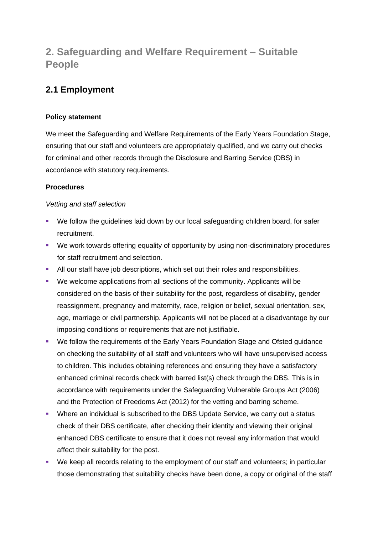# <span id="page-32-0"></span>**2. Safeguarding and Welfare Requirement – Suitable People**

## <span id="page-32-1"></span>**2.1 Employment**

## **Policy statement**

We meet the Safeguarding and Welfare Requirements of the Early Years Foundation Stage, ensuring that our staff and volunteers are appropriately qualified, and we carry out checks for criminal and other records through the Disclosure and Barring Service (DBS) in accordance with statutory requirements.

## **Procedures**

## *Vetting and staff selection*

- We follow the guidelines laid down by our local safeguarding children board, for safer recruitment.
- We work towards offering equality of opportunity by using non-discriminatory procedures for staff recruitment and selection.
- **E** All our staff have job descriptions, which set out their roles and responsibilities.
- We welcome applications from all sections of the community. Applicants will be considered on the basis of their suitability for the post, regardless of disability, gender reassignment, pregnancy and maternity, race, religion or belief, sexual orientation, sex, age, marriage or civil partnership. Applicants will not be placed at a disadvantage by our imposing conditions or requirements that are not justifiable.
- We follow the requirements of the Early Years Foundation Stage and Ofsted guidance on checking the suitability of all staff and volunteers who will have unsupervised access to children. This includes obtaining references and ensuring they have a satisfactory enhanced criminal records check with barred list(s) check through the DBS. This is in accordance with requirements under the Safeguarding Vulnerable Groups Act (2006) and the Protection of Freedoms Act (2012) for the vetting and barring scheme.
- Where an individual is subscribed to the DBS Update Service, we carry out a status check of their DBS certificate, after checking their identity and viewing their original enhanced DBS certificate to ensure that it does not reveal any information that would affect their suitability for the post.
- We keep all records relating to the employment of our staff and volunteers; in particular those demonstrating that suitability checks have been done, a copy or original of the staff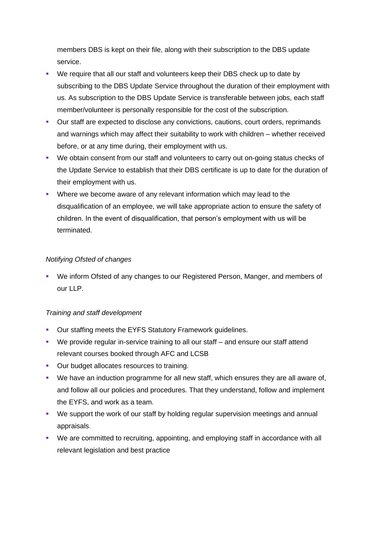members DBS is kept on their file, along with their subscription to the DBS update service.

- We require that all our staff and volunteers keep their DBS check up to date by subscribing to the DBS Update Service throughout the duration of their employment with us. As subscription to the DBS Update Service is transferable between jobs, each staff member/volunteer is personally responsible for the cost of the subscription.
- Our staff are expected to disclose any convictions, cautions, court orders, reprimands and warnings which may affect their suitability to work with children – whether received before, or at any time during, their employment with us.
- We obtain consent from our staff and volunteers to carry out on-going status checks of the Update Service to establish that their DBS certificate is up to date for the duration of their employment with us.
- Where we become aware of any relevant information which may lead to the disqualification of an employee, we will take appropriate action to ensure the safety of children. In the event of disqualification, that person's employment with us will be terminated.

## *Notifying Ofsted of changes*

▪ We inform Ofsted of any changes to our Registered Person, Manger, and members of our LLP.

## *Training and staff development*

- Our staffing meets the EYFS Statutory Framework guidelines.
- We provide regular in-service training to all our staff and ensure our staff attend relevant courses booked through AFC and LCSB
- **Our budget allocates resources to training.**
- We have an induction programme for all new staff, which ensures they are all aware of, and follow all our policies and procedures. That they understand, follow and implement the EYFS, and work as a team.
- We support the work of our staff by holding regular supervision meetings and annual appraisals.
- We are committed to recruiting, appointing, and employing staff in accordance with all relevant legislation and best practice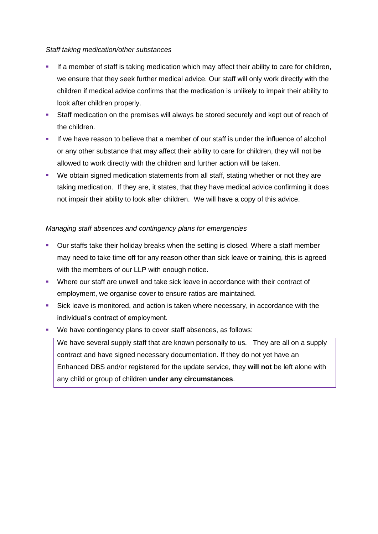#### *Staff taking medication/other substances*

- **EXEDENT If a member of staff is taking medication which may affect their ability to care for children,** we ensure that they seek further medical advice. Our staff will only work directly with the children if medical advice confirms that the medication is unlikely to impair their ability to look after children properly.
- **EXECT** Staff medication on the premises will always be stored securely and kept out of reach of the children.
- If we have reason to believe that a member of our staff is under the influence of alcohol or any other substance that may affect their ability to care for children, they will not be allowed to work directly with the children and further action will be taken.
- We obtain signed medication statements from all staff, stating whether or not they are taking medication. If they are, it states, that they have medical advice confirming it does not impair their ability to look after children. We will have a copy of this advice.

### *Managing staff absences and contingency plans for emergencies*

- Our staffs take their holiday breaks when the setting is closed. Where a staff member may need to take time off for any reason other than sick leave or training, this is agreed with the members of our LLP with enough notice.
- Where our staff are unwell and take sick leave in accordance with their contract of employment, we organise cover to ensure ratios are maintained.
- Sick leave is monitored, and action is taken where necessary, in accordance with the individual's contract of employment.
- We have contingency plans to cover staff absences, as follows:

We have several supply staff that are known personally to us. They are all on a supply contract and have signed necessary documentation. If they do not yet have an Enhanced DBS and/or registered for the update service, they **will not** be left alone with any child or group of children **under any circumstances**.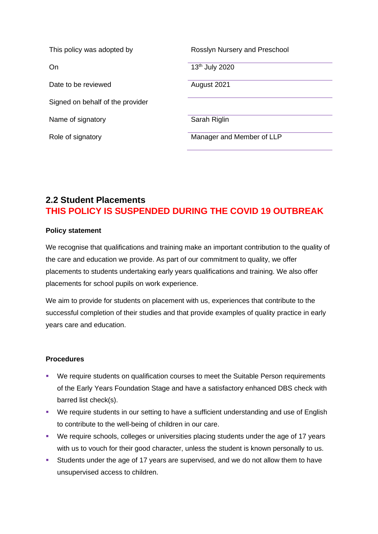| This policy was adopted by       | Rosslyn Nursery and Preschool |
|----------------------------------|-------------------------------|
| On                               | 13th July 2020                |
| Date to be reviewed              | August 2021                   |
| Signed on behalf of the provider |                               |
| Name of signatory                | Sarah Riglin                  |
| Role of signatory                | Manager and Member of LLP     |

## <span id="page-35-0"></span>**2.2 Student Placements THIS POLICY IS SUSPENDED DURING THE COVID 19 OUTBREAK**

### **Policy statement**

We recognise that qualifications and training make an important contribution to the quality of the care and education we provide. As part of our commitment to quality, we offer placements to students undertaking early years qualifications and training. We also offer placements for school pupils on work experience.

We aim to provide for students on placement with us, experiences that contribute to the successful completion of their studies and that provide examples of quality practice in early years care and education.

#### **Procedures**

- We require students on qualification courses to meet the Suitable Person requirements of the Early Years Foundation Stage and have a satisfactory enhanced DBS check with barred list check(s).
- We require students in our setting to have a sufficient understanding and use of English to contribute to the well-being of children in our care.
- We require schools, colleges or universities placing students under the age of 17 years with us to vouch for their good character, unless the student is known personally to us.
- Students under the age of 17 years are supervised, and we do not allow them to have unsupervised access to children.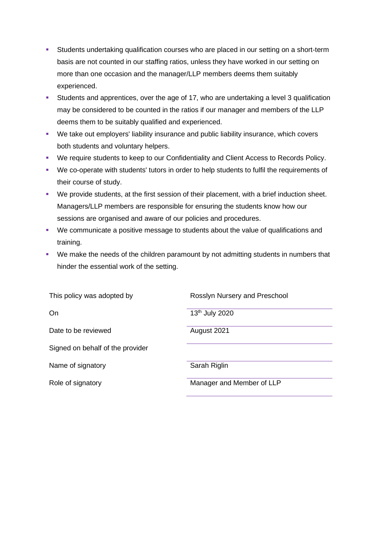- **EXECT ATTS:** Students undertaking qualification courses who are placed in our setting on a short-term basis are not counted in our staffing ratios, unless they have worked in our setting on more than one occasion and the manager/LLP members deems them suitably experienced.
- Students and apprentices, over the age of 17, who are undertaking a level 3 qualification may be considered to be counted in the ratios if our manager and members of the LLP deems them to be suitably qualified and experienced.
- We take out employers' liability insurance and public liability insurance, which covers both students and voluntary helpers.
- We require students to keep to our Confidentiality and Client Access to Records Policy.
- We co-operate with students' tutors in order to help students to fulfil the requirements of their course of study.
- We provide students, at the first session of their placement, with a brief induction sheet. Managers/LLP members are responsible for ensuring the students know how our sessions are organised and aware of our policies and procedures.
- We communicate a positive message to students about the value of qualifications and training.
- We make the needs of the children paramount by not admitting students in numbers that hinder the essential work of the setting.

| This policy was adopted by       | Rosslyn Nursery and Preschool |
|----------------------------------|-------------------------------|
| On                               | 13 <sup>th</sup> July 2020    |
| Date to be reviewed              | August 2021                   |
| Signed on behalf of the provider |                               |
| Name of signatory                | Sarah Riglin                  |
| Role of signatory                | Manager and Member of LLP     |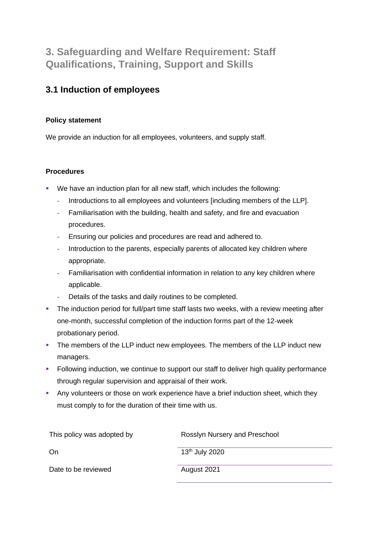# **3. Safeguarding and Welfare Requirement: Staff Qualifications, Training, Support and Skills**

## **3.1 Induction of employees**

## **Policy statement**

We provide an induction for all employees, volunteers, and supply staff.

## **Procedures**

- We have an induction plan for all new staff, which includes the following:
	- **-** Introductions to all employees and volunteers [including members of the LLP].
	- **-** Familiarisation with the building, health and safety, and fire and evacuation procedures.
	- **-** Ensuring our policies and procedures are read and adhered to.
	- **-** Introduction to the parents, especially parents of allocated key children where appropriate.
	- **-** Familiarisation with confidential information in relation to any key children where applicable.
	- **-** Details of the tasks and daily routines to be completed.
- **•** The induction period for full/part time staff lasts two weeks, with a review meeting after one-month, successful completion of the induction forms part of the 12-week probationary period.
- **•** The members of the LLP induct new employees. The members of the LLP induct new managers.
- **Following induction, we continue to support our staff to deliver high quality performance** through regular supervision and appraisal of their work.
- **Any volunteers or those on work experience have a brief induction sheet, which they** must comply to for the duration of their time with us.

| This policy was adopted by | Rosslyn Nursery and Preschool |
|----------------------------|-------------------------------|
| On                         | 13 <sup>th</sup> July 2020    |
| Date to be reviewed        | August 2021                   |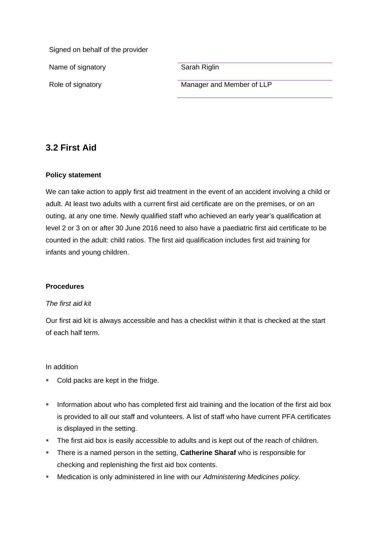Signed on behalf of the provider

Name of signatory **Sarah Riglin** 

Role of signatory **Manager and Member of LLP** 

## **3.2 First Aid**

## **Policy statement**

We can take action to apply first aid treatment in the event of an accident involving a child or adult. At least two adults with a current first aid certificate are on the premises, or on an outing, at any one time. Newly qualified staff who achieved an early year's qualification at level 2 or 3 on or after 30 June 2016 need to also have a paediatric first aid certificate to be counted in the adult: child ratios. The first aid qualification includes first aid training for infants and young children.

## **Procedures**

#### *The first aid kit*

Our first aid kit is always accessible and has a checklist within it that is checked at the start of each half term.

#### In addition

- Cold packs are kept in the fridge.
- **·** Information about who has completed first aid training and the location of the first aid box is provided to all our staff and volunteers. A list of staff who have current PFA certificates is displayed in the setting.
- **•** The first aid box is easily accessible to adults and is kept out of the reach of children.
- **EXECT** There is a named person in the setting, **Catherine Sharaf** who is responsible for checking and replenishing the first aid box contents.
- Medication is only administered in line with our *Administering Medicines policy.*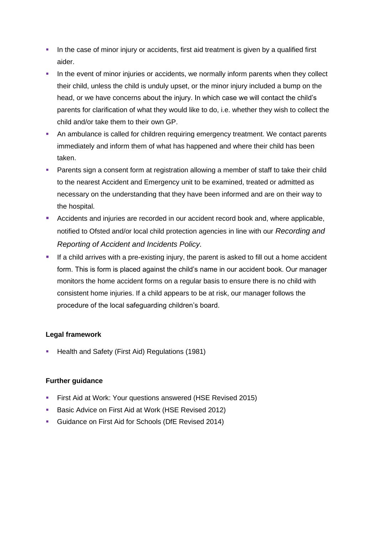- **•** In the case of minor injury or accidents, first aid treatment is given by a qualified first aider.
- **•** In the event of minor injuries or accidents, we normally inform parents when they collect their child, unless the child is unduly upset, or the minor injury included a bump on the head, or we have concerns about the injury. In which case we will contact the child's parents for clarification of what they would like to do, i.e. whether they wish to collect the child and/or take them to their own GP.
- **An ambulance is called for children requiring emergency treatment. We contact parents** immediately and inform them of what has happened and where their child has been taken.
- Parents sign a consent form at registration allowing a member of staff to take their child to the nearest Accident and Emergency unit to be examined, treated or admitted as necessary on the understanding that they have been informed and are on their way to the hospital.
- Accidents and injuries are recorded in our accident record book and, where applicable, notified to Ofsted and/or local child protection agencies in line with our *Recording and Reporting of Accident and Incidents Policy.*
- **E** If a child arrives with a pre-existing injury, the parent is asked to fill out a home accident form. This is form is placed against the child's name in our accident book. Our manager monitors the home accident forms on a regular basis to ensure there is no child with consistent home injuries. If a child appears to be at risk, our manager follows the procedure of the local safeguarding children's board.

## **Legal framework**

**E** Health and Safety (First Aid) Regulations (1981)

## **Further guidance**

- **EXECT:** First Aid at Work: Your questions answered (HSE Revised 2015)
- **Basic Advice on First Aid at Work (HSE Revised 2012)**
- Guidance on First Aid for Schools (DfE Revised 2014)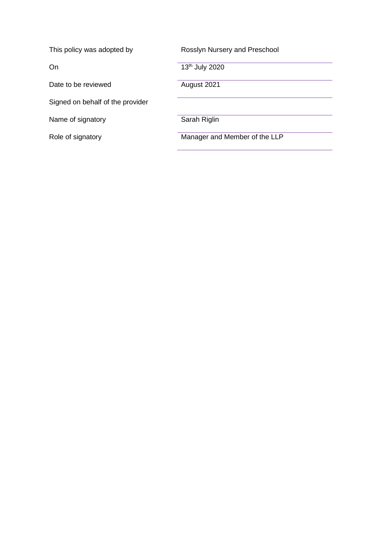| This policy was adopted by       | Rosslyn Nursery and Preschool |
|----------------------------------|-------------------------------|
| On                               | 13 <sup>th</sup> July 2020    |
| Date to be reviewed              | August 2021                   |
| Signed on behalf of the provider |                               |
| Name of signatory                | Sarah Riglin                  |
| Role of signatory                | Manager and Member of the LLP |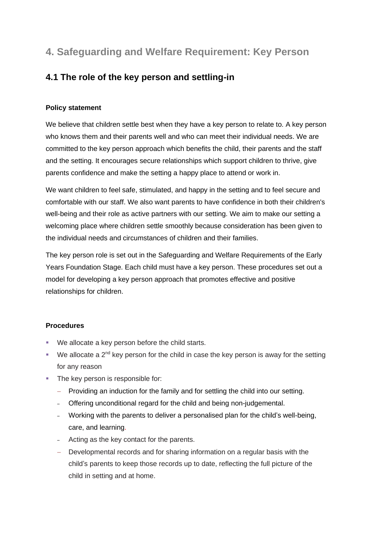# **4. Safeguarding and Welfare Requirement: Key Person**

## **4.1 The role of the key person and settling-in**

## **Policy statement**

We believe that children settle best when they have a key person to relate to. A key person who knows them and their parents well and who can meet their individual needs. We are committed to the key person approach which benefits the child, their parents and the staff and the setting. It encourages secure relationships which support children to thrive, give parents confidence and make the setting a happy place to attend or work in.

We want children to feel safe, stimulated, and happy in the setting and to feel secure and comfortable with our staff. We also want parents to have confidence in both their children's well-being and their role as active partners with our setting. We aim to make our setting a welcoming place where children settle smoothly because consideration has been given to the individual needs and circumstances of children and their families.

The key person role is set out in the Safeguarding and Welfare Requirements of the Early Years Foundation Stage. Each child must have a key person. These procedures set out a model for developing a key person approach that promotes effective and positive relationships for children.

## **Procedures**

- We allocate a key person before the child starts.
- $\bullet$  We allocate a 2<sup>nd</sup> key person for the child in case the key person is away for the setting for any reason
- The key person is responsible for:
	- − Providing an induction for the family and for settling the child into our setting.
	- Offering unconditional regard for the child and being non-judgemental.
	- Working with the parents to deliver a personalised plan for the child's well-being, care, and learning.
	- ‒ Acting as the key contact for the parents.
	- − Developmental records and for sharing information on a regular basis with the child's parents to keep those records up to date, reflecting the full picture of the child in setting and at home.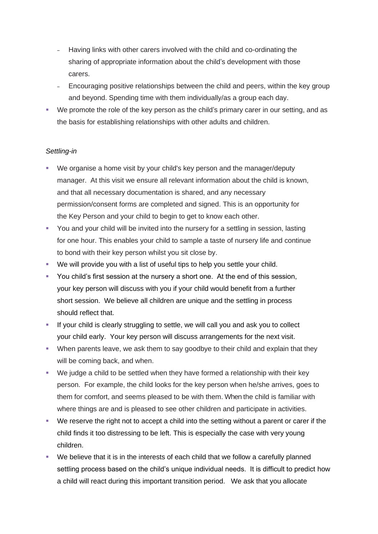- ‒ Having links with other carers involved with the child and co-ordinating the sharing of appropriate information about the child's development with those carers.
- ‒ Encouraging positive relationships between the child and peers, within the key group and beyond. Spending time with them individually/as a group each day.
- We promote the role of the key person as the child's primary carer in our setting, and as the basis for establishing relationships with other adults and children.

## *Settling-in*

- We organise a home visit by your child's key person and the manager/deputy manager. At this visit we ensure all relevant information about the child is known, and that all necessary documentation is shared, and any necessary permission/consent forms are completed and signed. This is an opportunity for the Key Person and your child to begin to get to know each other.
- **•** You and your child will be invited into the nursery for a settling in session, lasting for one hour. This enables your child to sample a taste of nursery life and continue to bond with their key person whilst you sit close by.
- We will provide you with a list of useful tips to help you settle your child.
- You child's first session at the nursery a short one. At the end of this session, your key person will discuss with you if your child would benefit from a further short session. We believe all children are unique and the settling in process should reflect that.
- **EXT** If your child is clearly struggling to settle, we will call you and ask you to collect your child early. Your key person will discuss arrangements for the next visit.
- **•** When parents leave, we ask them to say goodbye to their child and explain that they will be coming back, and when.
- We judge a child to be settled when they have formed a relationship with their key person. For example, the child looks for the key person when he/she arrives, goes to them for comfort, and seems pleased to be with them. When the child is familiar with where things are and is pleased to see other children and participate in activities.
- We reserve the right not to accept a child into the setting without a parent or carer if the child finds it too distressing to be left. This is especially the case with very young children.
- We believe that it is in the interests of each child that we follow a carefully planned settling process based on the child's unique individual needs. It is difficult to predict how a child will react during this important transition period. We ask that you allocate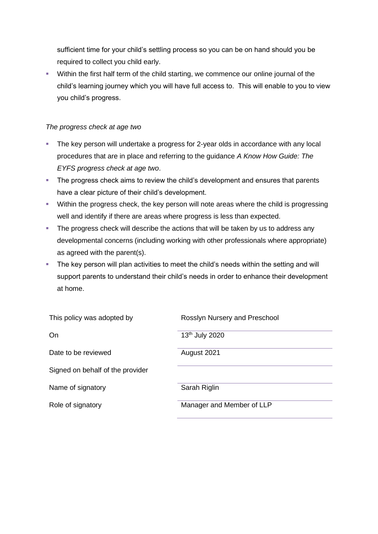sufficient time for your child's settling process so you can be on hand should you be required to collect you child early.

▪ Within the first half term of the child starting, we commence our online journal of the child's learning journey which you will have full access to. This will enable to you to view you child's progress.

#### *The progress check at age two*

- **The key person will undertake a progress for 2-year olds in accordance with any local** procedures that are in place and referring to the guidance *A Know How Guide: The EYFS progress check at age two*.
- **The progress check aims to review the child's development and ensures that parents** have a clear picture of their child's development.
- **EXECT Within the progress check, the key person will note areas where the child is progressing** well and identify if there are areas where progress is less than expected.
- **The progress check will describe the actions that will be taken by us to address any** developmental concerns (including working with other professionals where appropriate) as agreed with the parent(s).
- The key person will plan activities to meet the child's needs within the setting and will support parents to understand their child's needs in order to enhance their development at home.

| This policy was adopted by       | Rosslyn Nursery and Preschool |
|----------------------------------|-------------------------------|
| On                               | 13th July 2020                |
| Date to be reviewed              | August 2021                   |
| Signed on behalf of the provider |                               |
| Name of signatory                | Sarah Riglin                  |
| Role of signatory                | Manager and Member of LLP     |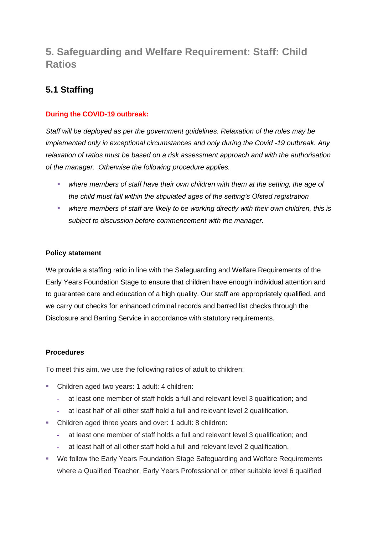# **5. Safeguarding and Welfare Requirement: Staff: Child Ratios**

## **5.1 Staffing**

## **During the COVID-19 outbreak:**

*Staff will be deployed as per the government guidelines. Relaxation of the rules may be implemented only in exceptional circumstances and only during the Covid -19 outbreak. Any relaxation of ratios must be based on a risk assessment approach and with the authorisation of the manager. Otherwise the following procedure applies.*

- where members of staff have their own children with them at the setting, the age of *the child must fall within the stipulated ages of the setting's Ofsted registration*
- *where members of staff are likely to be working directly with their own children, this is subject to discussion before commencement with the manager.*

#### **Policy statement**

We provide a staffing ratio in line with the Safeguarding and Welfare Requirements of the Early Years Foundation Stage to ensure that children have enough individual attention and to guarantee care and education of a high quality. Our staff are appropriately qualified, and we carry out checks for enhanced criminal records and barred list checks through the Disclosure and Barring Service in accordance with statutory requirements.

#### **Procedures**

To meet this aim, we use the following ratios of adult to children:

- Children aged two years: 1 adult: 4 children:
	- **-** at least one member of staff holds a full and relevant level 3 qualification; and
	- **-** at least half of all other staff hold a full and relevant level 2 qualification.
- Children aged three years and over: 1 adult: 8 children:
	- **-** at least one member of staff holds a full and relevant level 3 qualification; and
	- **-** at least half of all other staff hold a full and relevant level 2 qualification.
- We follow the Early Years Foundation Stage Safeguarding and Welfare Requirements where a Qualified Teacher, Early Years Professional or other suitable level 6 qualified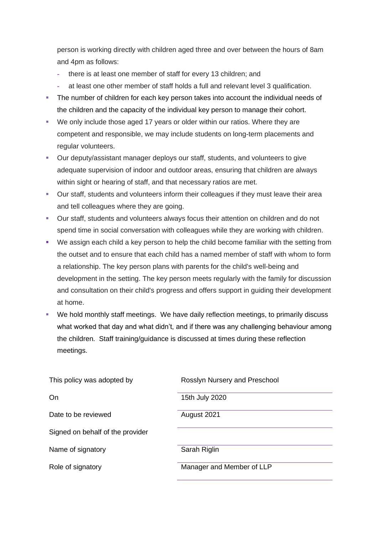person is working directly with children aged three and over between the hours of 8am and 4pm as follows:

- **-** there is at least one member of staff for every 13 children; and
- **-** at least one other member of staff holds a full and relevant level 3 qualification.
- **•** The number of children for each key person takes into account the individual needs of the children and the capacity of the individual key person to manage their cohort.
- We only include those aged 17 years or older within our ratios. Where they are competent and responsible, we may include students on long-term placements and regular volunteers.
- Our deputy/assistant manager deploys our staff, students, and volunteers to give adequate supervision of indoor and outdoor areas, ensuring that children are always within sight or hearing of staff, and that necessary ratios are met.
- Our staff, students and volunteers inform their colleagues if they must leave their area and tell colleagues where they are going.
- Our staff, students and volunteers always focus their attention on children and do not spend time in social conversation with colleagues while they are working with children.
- We assign each child a key person to help the child become familiar with the setting from the outset and to ensure that each child has a named member of staff with whom to form a relationship. The key person plans with parents for the child's well-being and development in the setting. The key person meets regularly with the family for discussion and consultation on their child's progress and offers support in guiding their development at home.
- We hold monthly staff meetings. We have daily reflection meetings, to primarily discuss what worked that day and what didn't, and if there was any challenging behaviour among the children. Staff training/guidance is discussed at times during these reflection meetings.

| This policy was adopted by       | Rosslyn Nursery and Preschool |
|----------------------------------|-------------------------------|
| On                               | 15th July 2020                |
| Date to be reviewed              | August 2021                   |
| Signed on behalf of the provider |                               |
| Name of signatory                | Sarah Riglin                  |
| Role of signatory                | Manager and Member of LLP     |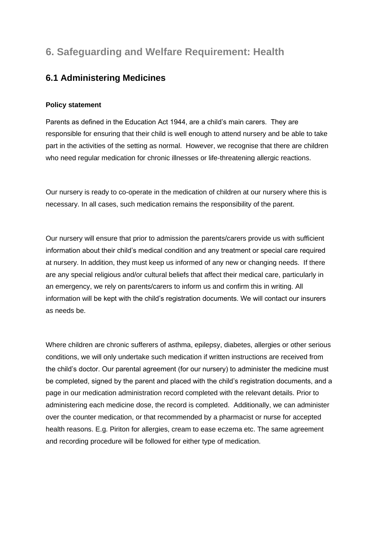# **6. Safeguarding and Welfare Requirement: Health**

## **6.1 Administering Medicines**

#### **Policy statement**

Parents as defined in the Education Act 1944, are a child's main carers. They are responsible for ensuring that their child is well enough to attend nursery and be able to take part in the activities of the setting as normal. However, we recognise that there are children who need regular medication for chronic illnesses or life-threatening allergic reactions.

Our nursery is ready to co-operate in the medication of children at our nursery where this is necessary. In all cases, such medication remains the responsibility of the parent.

Our nursery will ensure that prior to admission the parents/carers provide us with sufficient information about their child's medical condition and any treatment or special care required at nursery. In addition, they must keep us informed of any new or changing needs. If there are any special religious and/or cultural beliefs that affect their medical care, particularly in an emergency, we rely on parents/carers to inform us and confirm this in writing. All information will be kept with the child's registration documents. We will contact our insurers as needs be.

Where children are chronic sufferers of asthma, epilepsy, diabetes, allergies or other serious conditions, we will only undertake such medication if written instructions are received from the child's doctor. Our parental agreement (for our nursery) to administer the medicine must be completed, signed by the parent and placed with the child's registration documents, and a page in our medication administration record completed with the relevant details. Prior to administering each medicine dose, the record is completed. Additionally, we can administer over the counter medication, or that recommended by a pharmacist or nurse for accepted health reasons. E.g. Piriton for allergies, cream to ease eczema etc. The same agreement and recording procedure will be followed for either type of medication.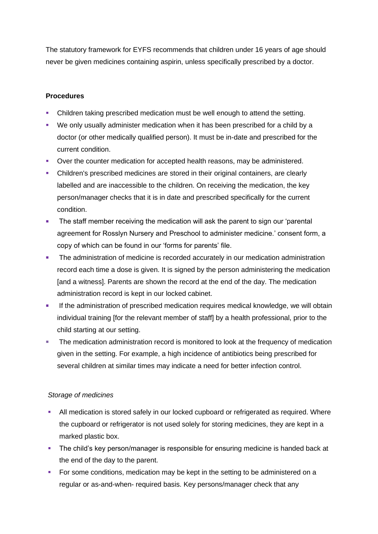The statutory framework for EYFS recommends that children under 16 years of age should never be given medicines containing aspirin, unless specifically prescribed by a doctor.

#### **Procedures**

- Children taking prescribed medication must be well enough to attend the setting.
- We only usually administer medication when it has been prescribed for a child by a doctor (or other medically qualified person). It must be in-date and prescribed for the current condition.
- Over the counter medication for accepted health reasons, may be administered.
- Children's prescribed medicines are stored in their original containers, are clearly labelled and are inaccessible to the children. On receiving the medication, the key person/manager checks that it is in date and prescribed specifically for the current condition.
- **•** The staff member receiving the medication will ask the parent to sign our 'parental agreement for Rosslyn Nursery and Preschool to administer medicine.' consent form, a copy of which can be found in our 'forms for parents' file.
- **•** The administration of medicine is recorded accurately in our medication administration record each time a dose is given. It is signed by the person administering the medication [and a witness]. Parents are shown the record at the end of the day. The medication administration record is kept in our locked cabinet.
- **EXECT** If the administration of prescribed medication requires medical knowledge, we will obtain individual training [for the relevant member of staff] by a health professional, prior to the child starting at our setting.
- The medication administration record is monitored to look at the frequency of medication given in the setting. For example, a high incidence of antibiotics being prescribed for several children at similar times may indicate a need for better infection control.

#### *Storage of medicines*

- All medication is stored safely in our locked cupboard or refrigerated as required. Where the cupboard or refrigerator is not used solely for storing medicines, they are kept in a marked plastic box.
- **•** The child's key person/manager is responsible for ensuring medicine is handed back at the end of the day to the parent.
- For some conditions, medication may be kept in the setting to be administered on a regular or as-and-when- required basis. Key persons/manager check that any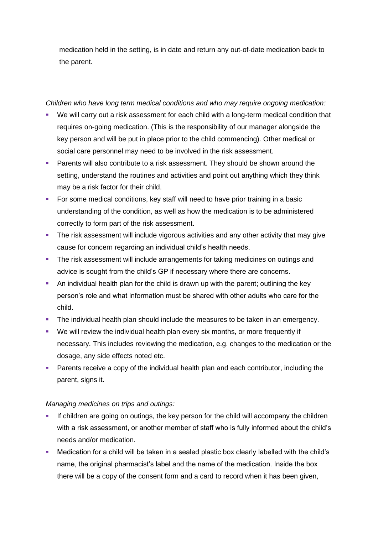medication held in the setting, is in date and return any out-of-date medication back to the parent.

#### *Children who have long term medical conditions and who may require ongoing medication:*

- We will carry out a risk assessment for each child with a long-term medical condition that requires on-going medication. (This is the responsibility of our manager alongside the key person and will be put in place prior to the child commencing). Other medical or social care personnel may need to be involved in the risk assessment.
- **Parents will also contribute to a risk assessment. They should be shown around the** setting, understand the routines and activities and point out anything which they think may be a risk factor for their child.
- For some medical conditions, key staff will need to have prior training in a basic understanding of the condition, as well as how the medication is to be administered correctly to form part of the risk assessment.
- **•** The risk assessment will include vigorous activities and any other activity that may give cause for concern regarding an individual child's health needs.
- **The risk assessment will include arrangements for taking medicines on outings and** advice is sought from the child's GP if necessary where there are concerns.
- **•** An individual health plan for the child is drawn up with the parent; outlining the key person's role and what information must be shared with other adults who care for the child.
- **The individual health plan should include the measures to be taken in an emergency.**
- We will review the individual health plan every six months, or more frequently if necessary. This includes reviewing the medication, e.g. changes to the medication or the dosage, any side effects noted etc.
- Parents receive a copy of the individual health plan and each contributor, including the parent, signs it.

## *Managing medicines on trips and outings:*

- If children are going on outings, the key person for the child will accompany the children with a risk assessment, or another member of staff who is fully informed about the child's needs and/or medication.
- Medication for a child will be taken in a sealed plastic box clearly labelled with the child's name, the original pharmacist's label and the name of the medication. Inside the box there will be a copy of the consent form and a card to record when it has been given,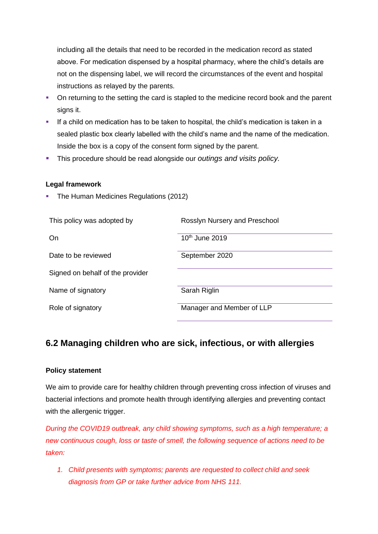including all the details that need to be recorded in the medication record as stated above. For medication dispensed by a hospital pharmacy, where the child's details are not on the dispensing label, we will record the circumstances of the event and hospital instructions as relayed by the parents.

- On returning to the setting the card is stapled to the medicine record book and the parent signs it.
- **EXECT** If a child on medication has to be taken to hospital, the child's medication is taken in a sealed plastic box clearly labelled with the child's name and the name of the medication. Inside the box is a copy of the consent form signed by the parent.
- This procedure should be read alongside our *outings and visits policy.*

#### **Legal framework**

**• The Human Medicines Regulations (2012)** 

| This policy was adopted by       | Rosslyn Nursery and Preschool |
|----------------------------------|-------------------------------|
| <b>On</b>                        | 10 <sup>th</sup> June 2019    |
| Date to be reviewed              | September 2020                |
| Signed on behalf of the provider |                               |
| Name of signatory                | Sarah Riglin                  |
| Role of signatory                | Manager and Member of LLP     |

## **6.2 Managing children who are sick, infectious, or with allergies**

#### **Policy statement**

We aim to provide care for healthy children through preventing cross infection of viruses and bacterial infections and promote health through identifying allergies and preventing contact with the allergenic trigger.

*During the COVID19 outbreak, any child showing symptoms, such as a high temperature; a new continuous cough, loss or taste of smell, the following sequence of actions need to be taken:*

*1. Child presents with symptoms; parents are requested to collect child and seek diagnosis from GP or take further advice from NHS 111.*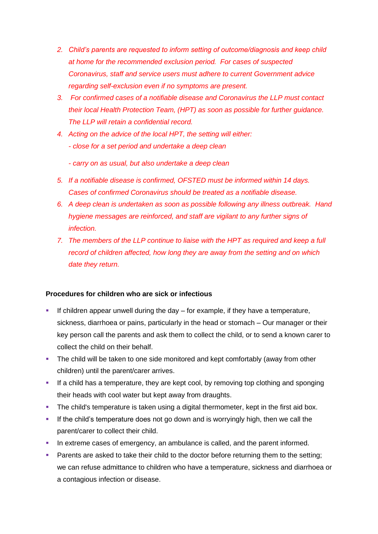- *2. Child's parents are requested to inform setting of outcome/diagnosis and keep child at home for the recommended exclusion period. For cases of suspected Coronavirus, staff and service users must adhere to current Government advice regarding self-exclusion even if no symptoms are present.*
- *3. For confirmed cases of a notifiable disease and Coronavirus the LLP must contact their local Health Protection Team, (HPT) as soon as possible for further guidance. The LLP will retain a confidential record.*
- *4. Acting on the advice of the local HPT, the setting will either: - close for a set period and undertake a deep clean*
	- *- carry on as usual, but also undertake a deep clean*
- *5. If a notifiable disease is confirmed, OFSTED must be informed within 14 days. Cases of confirmed Coronavirus should be treated as a notifiable disease.*
- *6. A deep clean is undertaken as soon as possible following any illness outbreak. Hand hygiene messages are reinforced, and staff are vigilant to any further signs of infection.*
- *7. The members of the LLP continue to liaise with the HPT as required and keep a full record of children affected, how long they are away from the setting and on which date they return.*

#### **Procedures for children who are sick or infectious**

- If children appear unwell during the day  $-$  for example, if they have a temperature, sickness, diarrhoea or pains, particularly in the head or stomach – Our manager or their key person call the parents and ask them to collect the child, or to send a known carer to collect the child on their behalf.
- **•** The child will be taken to one side monitored and kept comfortably (away from other children) until the parent/carer arrives.
- **EXT** If a child has a temperature, they are kept cool, by removing top clothing and sponging their heads with cool water but kept away from draughts.
- The child's temperature is taken using a digital thermometer, kept in the first aid box.
- **.** If the child's temperature does not go down and is worryingly high, then we call the parent/carer to collect their child.
- **·** In extreme cases of emergency, an ambulance is called, and the parent informed.
- **Parents are asked to take their child to the doctor before returning them to the setting;** we can refuse admittance to children who have a temperature, sickness and diarrhoea or a contagious infection or disease.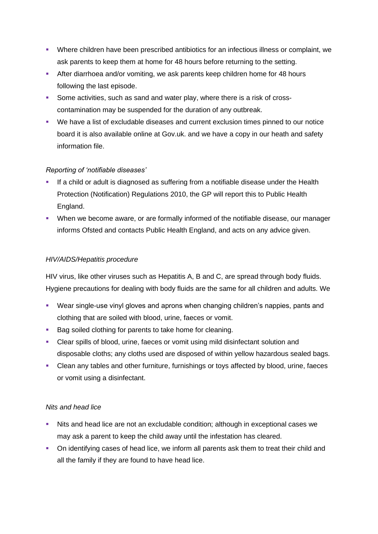- Where children have been prescribed antibiotics for an infectious illness or complaint, we ask parents to keep them at home for 48 hours before returning to the setting.
- **EXTER After diarrhoea and/or vomiting, we ask parents keep children home for 48 hours** following the last episode.
- Some activities, such as sand and water play, where there is a risk of crosscontamination may be suspended for the duration of any outbreak.
- We have a list of excludable diseases and current exclusion times pinned to our notice board it is also available online at Gov.uk. and we have a copy in our heath and safety information file.

## *Reporting of 'notifiable diseases'*

- **■** If a child or adult is diagnosed as suffering from a notifiable disease under the Health Protection (Notification) Regulations 2010, the GP will report this to Public Health England.
- When we become aware, or are formally informed of the notifiable disease, our manager informs Ofsted and contacts Public Health England, and acts on any advice given.

#### *HIV/AIDS/Hepatitis procedure*

HIV virus, like other viruses such as Hepatitis A, B and C, are spread through body fluids. Hygiene precautions for dealing with body fluids are the same for all children and adults. We

- Wear single-use vinyl gloves and aprons when changing children's nappies, pants and clothing that are soiled with blood, urine, faeces or vomit.
- Bag soiled clothing for parents to take home for cleaning.
- Clear spills of blood, urine, faeces or vomit using mild disinfectant solution and disposable cloths; any cloths used are disposed of within yellow hazardous sealed bags.
- Clean any tables and other furniture, furnishings or toys affected by blood, urine, faeces or vomit using a disinfectant.

## *Nits and head lice*

- Nits and head lice are not an excludable condition; although in exceptional cases we may ask a parent to keep the child away until the infestation has cleared.
- On identifying cases of head lice, we inform all parents ask them to treat their child and all the family if they are found to have head lice.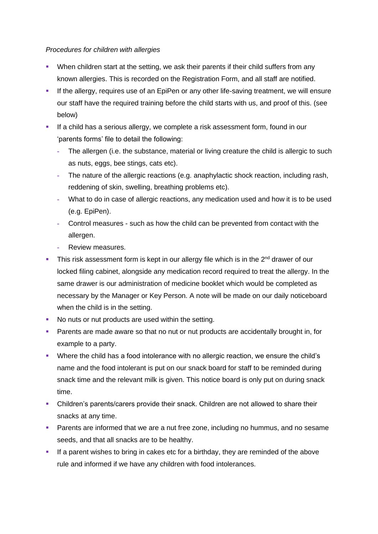#### *Procedures for children with allergies*

- When children start at the setting, we ask their parents if their child suffers from any known allergies. This is recorded on the Registration Form, and all staff are notified.
- **.** If the allergy, requires use of an EpiPen or any other life-saving treatment, we will ensure our staff have the required training before the child starts with us, and proof of this. (see below)
- **EXT** If a child has a serious allergy, we complete a risk assessment form, found in our 'parents forms' file to detail the following:
	- **-** The allergen (i.e. the substance, material or living creature the child is allergic to such as nuts, eggs, bee stings, cats etc).
	- **-** The nature of the allergic reactions (e.g. anaphylactic shock reaction, including rash, reddening of skin, swelling, breathing problems etc).
	- **-** What to do in case of allergic reactions, any medication used and how it is to be used (e.g. EpiPen).
	- **-** Control measures such as how the child can be prevented from contact with the allergen.
	- **-** Review measures.
- **•** This risk assessment form is kept in our allergy file which is in the  $2^{nd}$  drawer of our locked filing cabinet, alongside any medication record required to treat the allergy. In the same drawer is our administration of medicine booklet which would be completed as necessary by the Manager or Key Person. A note will be made on our daily noticeboard when the child is in the setting.
- No nuts or nut products are used within the setting.
- **Parents are made aware so that no nut or nut products are accidentally brought in, for** example to a party.
- Where the child has a food intolerance with no allergic reaction, we ensure the child's name and the food intolerant is put on our snack board for staff to be reminded during snack time and the relevant milk is given. This notice board is only put on during snack time.
- **•** Children's parents/carers provide their snack. Children are not allowed to share their snacks at any time.
- **E** Parents are informed that we are a nut free zone, including no hummus, and no sesame seeds, and that all snacks are to be healthy.
- **.** If a parent wishes to bring in cakes etc for a birthday, they are reminded of the above rule and informed if we have any children with food intolerances.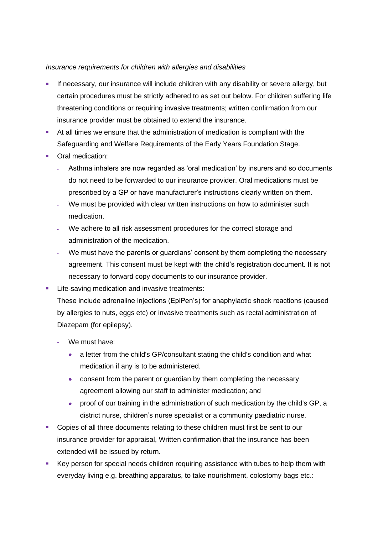#### *Insurance requirements for children with allergies and disabilities*

- If necessary, our insurance will include children with any disability or severe allergy, but certain procedures must be strictly adhered to as set out below. For children suffering life threatening conditions or requiring invasive treatments; written confirmation from our insurance provider must be obtained to extend the insurance.
- At all times we ensure that the administration of medication is compliant with the Safeguarding and Welfare Requirements of the Early Years Foundation Stage.
- Oral medication:
	- **-** Asthma inhalers are now regarded as 'oral medication' by insurers and so documents do not need to be forwarded to our insurance provider. Oral medications must be prescribed by a GP or have manufacturer's instructions clearly written on them.
	- **-** We must be provided with clear written instructions on how to administer such medication.
	- **-** We adhere to all risk assessment procedures for the correct storage and administration of the medication.
	- **-** We must have the parents or guardians' consent by them completing the necessary agreement. This consent must be kept with the child's registration document. It is not necessary to forward copy documents to our insurance provider.
- **EXECTE:** Life-saving medication and invasive treatments:

These include adrenaline injections (EpiPen's) for anaphylactic shock reactions (caused by allergies to nuts, eggs etc) or invasive treatments such as rectal administration of Diazepam (for epilepsy).

- **-** We must have:
	- a letter from the child's GP/consultant stating the child's condition and what medication if any is to be administered.
	- consent from the parent or quardian by them completing the necessary agreement allowing our staff to administer medication; and
	- proof of our training in the administration of such medication by the child's GP, a district nurse, children's nurse specialist or a community paediatric nurse.
- Copies of all three documents relating to these children must first be sent to our insurance provider for appraisal, Written confirmation that the insurance has been extended will be issued by return.
- Key person for special needs children requiring assistance with tubes to help them with everyday living e.g. breathing apparatus, to take nourishment, colostomy bags etc.: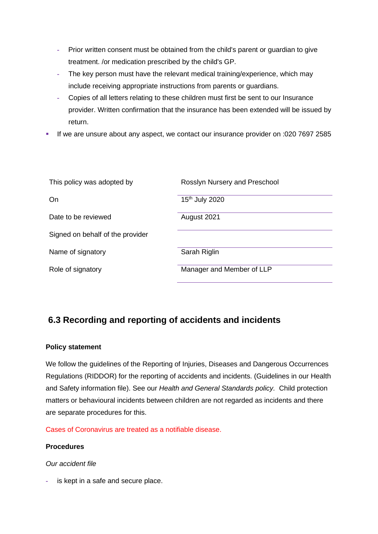- **-** Prior written consent must be obtained from the child's parent or guardian to give treatment. /or medication prescribed by the child's GP.
- **-** The key person must have the relevant medical training/experience, which may include receiving appropriate instructions from parents or guardians.
- **-** Copies of all letters relating to these children must first be sent to our Insurance provider. Written confirmation that the insurance has been extended will be issued by return.
- If we are unsure about any aspect, we contact our insurance provider on :020 7697 2585

| This policy was adopted by       | Rosslyn Nursery and Preschool |
|----------------------------------|-------------------------------|
| On                               | 15 <sup>th</sup> July 2020    |
| Date to be reviewed              | August 2021                   |
| Signed on behalf of the provider |                               |
| Name of signatory                | Sarah Riglin                  |
| Role of signatory                | Manager and Member of LLP     |

## **6.3 Recording and reporting of accidents and incidents**

## **Policy statement**

We follow the guidelines of the Reporting of Injuries, Diseases and Dangerous Occurrences Regulations (RIDDOR) for the reporting of accidents and incidents. (Guidelines in our Health and Safety information file). See our *Health and General Standards policy.* Child protection matters or behavioural incidents between children are not regarded as incidents and there are separate procedures for this.

Cases of Coronavirus are treated as a notifiable disease.

#### **Procedures**

#### *Our accident file*

**-** is kept in a safe and secure place.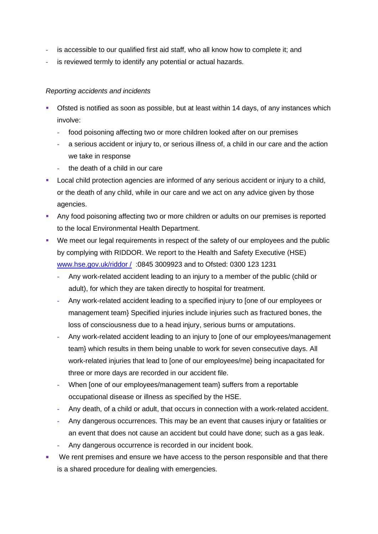- **-** is accessible to our qualified first aid staff, who all know how to complete it; and
- **-** is reviewed termly to identify any potential or actual hazards.

#### *Reporting accidents and incidents*

- **•** Ofsted is notified as soon as possible, but at least within 14 days, of any instances which involve:
	- **-** food poisoning affecting two or more children looked after on our premises
	- **-** a serious accident or injury to, or serious illness of, a child in our care and the action we take in response
	- **-** the death of a child in our care
- **EXECT** Local child protection agencies are informed of any serious accident or injury to a child, or the death of any child, while in our care and we act on any advice given by those agencies.
- **Any food poisoning affecting two or more children or adults on our premises is reported** to the local Environmental Health Department.
- We meet our legal requirements in respect of the safety of our employees and the public by complying with RIDDOR. We report to the Health and Safety Executive (HSE) [www.hse.gov.uk/riddor /](http://www.hse.gov.uk/riddor%20/) :0845 3009923 and to Ofsted: 0300 123 1231
	- **-** Any work-related accident leading to an injury to a member of the public (child or adult), for which they are taken directly to hospital for treatment.
	- **-** Any work-related accident leading to a specified injury to [one of our employees or management team} Specified injuries include injuries such as fractured bones, the loss of consciousness due to a head injury, serious burns or amputations.
	- **-** Any work-related accident leading to an injury to [one of our employees/management team} which results in them being unable to work for seven consecutive days. All work-related injuries that lead to [one of our employees/me} being incapacitated for three or more days are recorded in our accident file.
	- **-** When [one of our employees/management team} suffers from a reportable occupational disease or illness as specified by the HSE.
	- **-** Any death, of a child or adult, that occurs in connection with a work-related accident.
	- **-** Any dangerous occurrences. This may be an event that causes injury or fatalities or an event that does not cause an accident but could have done; such as a gas leak.
	- **-** Any dangerous occurrence is recorded in our incident book.
- We rent premises and ensure we have access to the person responsible and that there is a shared procedure for dealing with emergencies.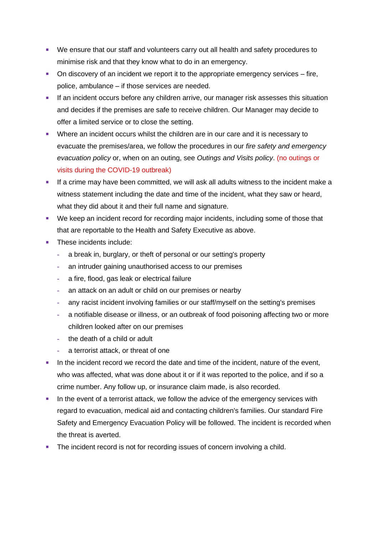- We ensure that our staff and volunteers carry out all health and safety procedures to minimise risk and that they know what to do in an emergency.
- On discovery of an incident we report it to the appropriate emergency services fire, police, ambulance – if those services are needed.
- **EXECUTE:** If an incident occurs before any children arrive, our manager risk assesses this situation and decides if the premises are safe to receive children. Our Manager may decide to offer a limited service or to close the setting.
- Where an incident occurs whilst the children are in our care and it is necessary to evacuate the premises/area, we follow the procedures in our *fire safety and emergency evacuation policy* or, when on an outing, see *Outings and Visits policy*. (no outings or visits during the COVID-19 outbreak)
- **EXECT** If a crime may have been committed, we will ask all adults witness to the incident make a witness statement including the date and time of the incident, what they saw or heard, what they did about it and their full name and signature.
- We keep an incident record for recording major incidents, including some of those that that are reportable to the Health and Safety Executive as above.
- These incidents include:
	- **-** a break in, burglary, or theft of personal or our setting's property
	- **-** an intruder gaining unauthorised access to our premises
	- **-** a fire, flood, gas leak or electrical failure
	- **-** an attack on an adult or child on our premises or nearby
	- **-** any racist incident involving families or our staff/myself on the setting's premises
	- **-** a notifiable disease or illness, or an outbreak of food poisoning affecting two or more children looked after on our premises
	- **-** the death of a child or adult
	- **-** a terrorist attack, or threat of one
- **•** In the incident record we record the date and time of the incident, nature of the event, who was affected, what was done about it or if it was reported to the police, and if so a crime number. Any follow up, or insurance claim made, is also recorded.
- In the event of a terrorist attack, we follow the advice of the emergency services with regard to evacuation, medical aid and contacting children's families. Our standard Fire Safety and Emergency Evacuation Policy will be followed. The incident is recorded when the threat is averted.
- The incident record is not for recording issues of concern involving a child.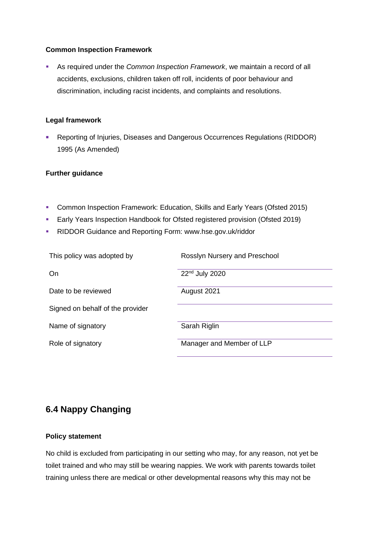#### **Common Inspection Framework**

▪ As required under the *Common Inspection Framework*, we maintain a record of all accidents, exclusions, children taken off roll, incidents of poor behaviour and discrimination, including racist incidents, and complaints and resolutions.

#### **Legal framework**

■ Reporting of Injuries, Diseases and Dangerous Occurrences Regulations (RIDDOR) 1995 (As Amended)

#### **Further guidance**

- Common Inspection Framework: Education, Skills and Early Years (Ofsted 2015)
- **Early Years Inspection Handbook for Ofsted registered provision (Ofsted 2019)**
- RIDDOR Guidance and Reporting Form: www.hse.gov.uk/riddor

| This policy was adopted by       | Rosslyn Nursery and Preschool |
|----------------------------------|-------------------------------|
| On                               | 22 <sup>nd</sup> July 2020    |
| Date to be reviewed              | August 2021                   |
| Signed on behalf of the provider |                               |
| Name of signatory                | Sarah Riglin                  |
| Role of signatory                | Manager and Member of LLP     |

## **6.4 Nappy Changing**

#### **Policy statement**

No child is excluded from participating in our setting who may, for any reason, not yet be toilet trained and who may still be wearing nappies. We work with parents towards toilet training unless there are medical or other developmental reasons why this may not be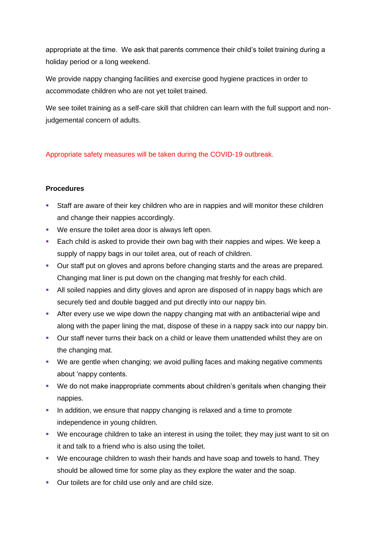appropriate at the time. We ask that parents commence their child's toilet training during a holiday period or a long weekend.

We provide nappy changing facilities and exercise good hygiene practices in order to accommodate children who are not yet toilet trained.

We see toilet training as a self-care skill that children can learn with the full support and nonjudgemental concern of adults.

## Appropriate safety measures will be taken during the COVID-19 outbreak.

## **Procedures**

- **•** Staff are aware of their key children who are in nappies and will monitor these children and change their nappies accordingly.
- We ensure the toilet area door is always left open.
- Each child is asked to provide their own bag with their nappies and wipes. We keep a supply of nappy bags in our toilet area, out of reach of children.
- Our staff put on gloves and aprons before changing starts and the areas are prepared. Changing mat liner is put down on the changing mat freshly for each child.
- All soiled nappies and dirty gloves and apron are disposed of in nappy bags which are securely tied and double bagged and put directly into our nappy bin.
- **EXT** After every use we wipe down the nappy changing mat with an antibacterial wipe and along with the paper lining the mat, dispose of these in a nappy sack into our nappy bin.
- Our staff never turns their back on a child or leave them unattended whilst they are on the changing mat.
- We are gentle when changing; we avoid pulling faces and making negative comments about 'nappy contents.
- We do not make inappropriate comments about children's genitals when changing their nappies.
- **•** In addition, we ensure that nappy changing is relaxed and a time to promote independence in young children.
- We encourage children to take an interest in using the toilet; they may just want to sit on it and talk to a friend who is also using the toilet.
- We encourage children to wash their hands and have soap and towels to hand. They should be allowed time for some play as they explore the water and the soap.
- Our toilets are for child use only and are child size.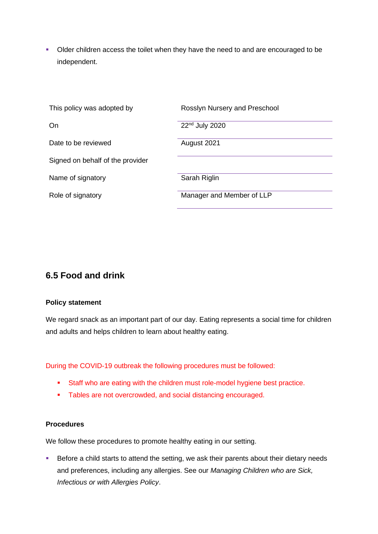■ Older children access the toilet when they have the need to and are encouraged to be independent.

| This policy was adopted by       | Rosslyn Nursery and Preschool |
|----------------------------------|-------------------------------|
| On                               | 22nd July 2020                |
| Date to be reviewed              | August 2021                   |
| Signed on behalf of the provider |                               |
| Name of signatory                | Sarah Riglin                  |
| Role of signatory                | Manager and Member of LLP     |

## **6.5 Food and drink**

#### **Policy statement**

We regard snack as an important part of our day. Eating represents a social time for children and adults and helps children to learn about healthy eating.

During the COVID-19 outbreak the following procedures must be followed:

- Staff who are eating with the children must role-model hygiene best practice.
- Tables are not overcrowded, and social distancing encouraged.

#### **Procedures**

We follow these procedures to promote healthy eating in our setting.

■ Before a child starts to attend the setting, we ask their parents about their dietary needs and preferences, including any allergies. See our *Managing Children who are Sick, Infectious or with Allergies Policy*.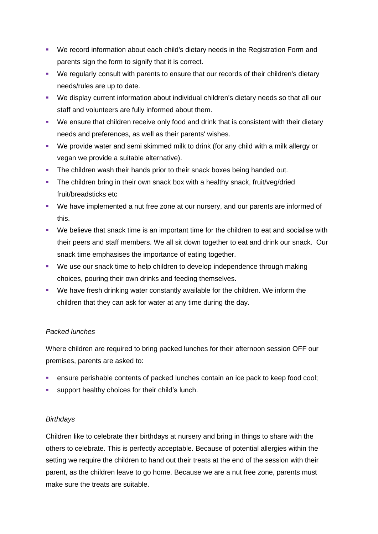- We record information about each child's dietary needs in the Registration Form and parents sign the form to signify that it is correct.
- We regularly consult with parents to ensure that our records of their children's dietary needs/rules are up to date.
- We display current information about individual children's dietary needs so that all our staff and volunteers are fully informed about them.
- We ensure that children receive only food and drink that is consistent with their dietary needs and preferences, as well as their parents' wishes.
- We provide water and semi skimmed milk to drink (for any child with a milk allergy or vegan we provide a suitable alternative).
- **The children wash their hands prior to their snack boxes being handed out.**
- **•** The children bring in their own snack box with a healthy snack, fruit/veg/dried fruit/breadsticks etc
- We have implemented a nut free zone at our nursery, and our parents are informed of this.
- We believe that snack time is an important time for the children to eat and socialise with their peers and staff members. We all sit down together to eat and drink our snack. Our snack time emphasises the importance of eating together.
- We use our snack time to help children to develop independence through making choices, pouring their own drinks and feeding themselves.
- We have fresh drinking water constantly available for the children. We inform the children that they can ask for water at any time during the day.

## *Packed lunches*

Where children are required to bring packed lunches for their afternoon session OFF our premises, parents are asked to:

- **EXECT** ensure perishable contents of packed lunches contain an ice pack to keep food cool;
- **EXECUTE:** support healthy choices for their child's lunch.

## *Birthdays*

Children like to celebrate their birthdays at nursery and bring in things to share with the others to celebrate. This is perfectly acceptable. Because of potential allergies within the setting we require the children to hand out their treats at the end of the session with their parent, as the children leave to go home. Because we are a nut free zone, parents must make sure the treats are suitable.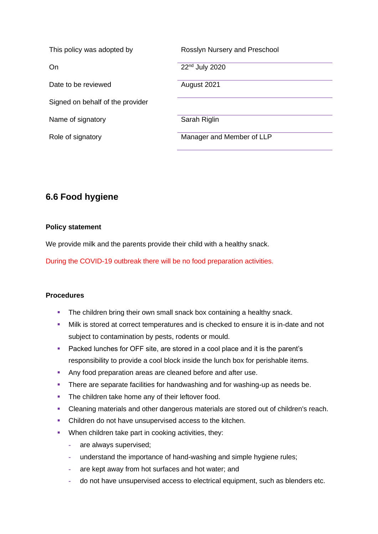| This policy was adopted by       | Rosslyn Nursery and Preschool |
|----------------------------------|-------------------------------|
| On                               | 22 <sup>nd</sup> July 2020    |
| Date to be reviewed              | August 2021                   |
| Signed on behalf of the provider |                               |
| Name of signatory                | Sarah Riglin                  |
| Role of signatory                | Manager and Member of LLP     |

## **6.6 Food hygiene**

#### **Policy statement**

We provide milk and the parents provide their child with a healthy snack.

During the COVID-19 outbreak there will be no food preparation activities.

## **Procedures**

- The children bring their own small snack box containing a healthy snack.
- **.** Milk is stored at correct temperatures and is checked to ensure it is in-date and not subject to contamination by pests, rodents or mould.
- Packed lunches for OFF site, are stored in a cool place and it is the parent's responsibility to provide a cool block inside the lunch box for perishable items.
- Any food preparation areas are cleaned before and after use.
- **•** There are separate facilities for handwashing and for washing-up as needs be.
- **•** The children take home any of their leftover food.
- Cleaning materials and other dangerous materials are stored out of children's reach.
- Children do not have unsupervised access to the kitchen.
- **•** When children take part in cooking activities, they:
	- **-** are always supervised;
	- **-** understand the importance of hand-washing and simple hygiene rules;
	- **-** are kept away from hot surfaces and hot water; and
	- **-** do not have unsupervised access to electrical equipment, such as blenders etc.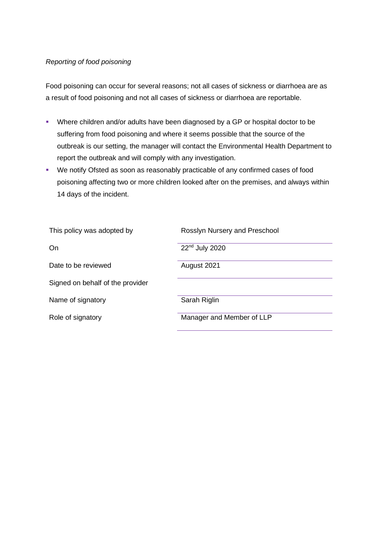#### *Reporting of food poisoning*

Food poisoning can occur for several reasons; not all cases of sickness or diarrhoea are as a result of food poisoning and not all cases of sickness or diarrhoea are reportable.

- Where children and/or adults have been diagnosed by a GP or hospital doctor to be suffering from food poisoning and where it seems possible that the source of the outbreak is our setting, the manager will contact the Environmental Health Department to report the outbreak and will comply with any investigation.
- We notify Ofsted as soon as reasonably practicable of any confirmed cases of food poisoning affecting two or more children looked after on the premises, and always within 14 days of the incident.

| This policy was adopted by       | Rosslyn Nursery and Preschool |
|----------------------------------|-------------------------------|
| On                               | 22 <sup>nd</sup> July 2020    |
| Date to be reviewed              | August 2021                   |
| Signed on behalf of the provider |                               |
| Name of signatory                | Sarah Riglin                  |
| Role of signatory                | Manager and Member of LLP     |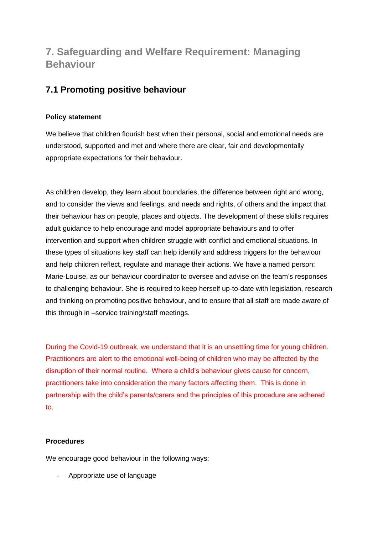# **7. Safeguarding and Welfare Requirement: Managing Behaviour**

## **7.1 Promoting positive behaviour**

## **Policy statement**

We believe that children flourish best when their personal, social and emotional needs are understood, supported and met and where there are clear, fair and developmentally appropriate expectations for their behaviour.

As children develop, they learn about boundaries, the difference between right and wrong, and to consider the views and feelings, and needs and rights, of others and the impact that their behaviour has on people, places and objects. The development of these skills requires adult guidance to help encourage and model appropriate behaviours and to offer intervention and support when children struggle with conflict and emotional situations. In these types of situations key staff can help identify and address triggers for the behaviour and help children reflect, regulate and manage their actions. We have a named person: Marie-Louise, as our behaviour coordinator to oversee and advise on the team's responses to challenging behaviour. She is required to keep herself up-to-date with legislation, research and thinking on promoting positive behaviour, and to ensure that all staff are made aware of this through in –service training/staff meetings.

During the Covid-19 outbreak, we understand that it is an unsettling time for young children. Practitioners are alert to the emotional well-being of children who may be affected by the disruption of their normal routine. Where a child's behaviour gives cause for concern, practitioners take into consideration the many factors affecting them. This is done in partnership with the child's parents/carers and the principles of this procedure are adhered to.

## **Procedures**

We encourage good behaviour in the following ways:

**-** Appropriate use of language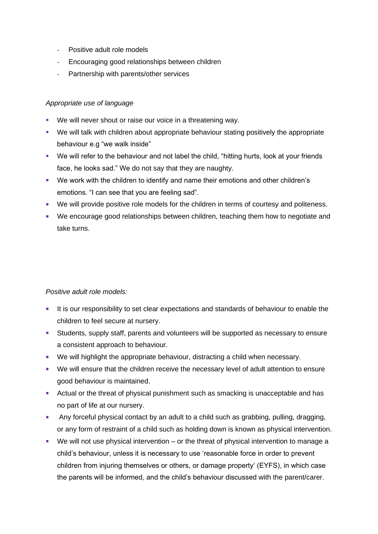- **-** Positive adult role models
- **-** Encouraging good relationships between children
- **-** Partnership with parents/other services

#### *Appropriate use of language*

- We will never shout or raise our voice in a threatening way.
- We will talk with children about appropriate behaviour stating positively the appropriate behaviour e.g "we walk inside"
- We will refer to the behaviour and not label the child, "hitting hurts, look at your friends face, he looks sad." We do not say that they are naughty.
- We work with the children to identify and name their emotions and other children's emotions. "I can see that you are feeling sad".
- We will provide positive role models for the children in terms of courtesy and politeness.
- We encourage good relationships between children, teaching them how to negotiate and take turns.

#### *Positive adult role models:*

- **.** It is our responsibility to set clear expectations and standards of behaviour to enable the children to feel secure at nursery.
- Students, supply staff, parents and volunteers will be supported as necessary to ensure a consistent approach to behaviour.
- We will highlight the appropriate behaviour, distracting a child when necessary.
- We will ensure that the children receive the necessary level of adult attention to ensure good behaviour is maintained.
- Actual or the threat of physical punishment such as smacking is unacceptable and has no part of life at our nursery.
- **EXECT** Any forceful physical contact by an adult to a child such as grabbing, pulling, dragging, or any form of restraint of a child such as holding down is known as physical intervention.
- $\blacksquare$  We will not use physical intervention or the threat of physical intervention to manage a child's behaviour, unless it is necessary to use 'reasonable force in order to prevent children from injuring themselves or others, or damage property' (EYFS), in which case the parents will be informed, and the child's behaviour discussed with the parent/carer.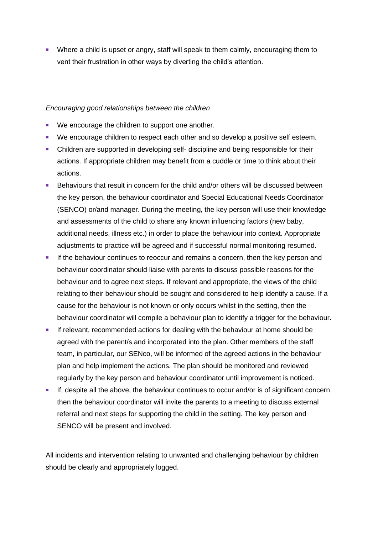■ Where a child is upset or angry, staff will speak to them calmly, encouraging them to vent their frustration in other ways by diverting the child's attention.

#### *Encouraging good relationships between the children*

- We encourage the children to support one another.
- We encourage children to respect each other and so develop a positive self esteem.
- **•** Children are supported in developing self- discipline and being responsible for their actions. If appropriate children may benefit from a cuddle or time to think about their actions.
- Behaviours that result in concern for the child and/or others will be discussed between the key person, the behaviour coordinator and Special Educational Needs Coordinator (SENCO) or/and manager. During the meeting, the key person will use their knowledge and assessments of the child to share any known influencing factors (new baby, additional needs, illness etc.) in order to place the behaviour into context. Appropriate adjustments to practice will be agreed and if successful normal monitoring resumed.
- **.** If the behaviour continues to reoccur and remains a concern, then the key person and behaviour coordinator should liaise with parents to discuss possible reasons for the behaviour and to agree next steps. If relevant and appropriate, the views of the child relating to their behaviour should be sought and considered to help identify a cause. If a cause for the behaviour is not known or only occurs whilst in the setting, then the behaviour coordinator will compile a behaviour plan to identify a trigger for the behaviour.
- If relevant, recommended actions for dealing with the behaviour at home should be agreed with the parent/s and incorporated into the plan. Other members of the staff team, in particular, our SENco, will be informed of the agreed actions in the behaviour plan and help implement the actions. The plan should be monitored and reviewed regularly by the key person and behaviour coordinator until improvement is noticed.
- If, despite all the above, the behaviour continues to occur and/or is of significant concern, then the behaviour coordinator will invite the parents to a meeting to discuss external referral and next steps for supporting the child in the setting. The key person and SENCO will be present and involved.

All incidents and intervention relating to unwanted and challenging behaviour by children should be clearly and appropriately logged.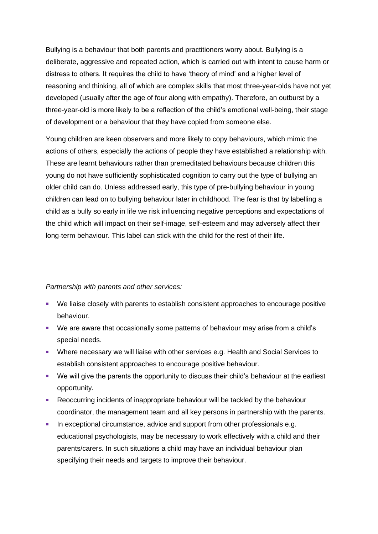Bullying is a behaviour that both parents and practitioners worry about. Bullying is a deliberate, aggressive and repeated action, which is carried out with intent to cause harm or distress to others. It requires the child to have 'theory of mind' and a higher level of reasoning and thinking, all of which are complex skills that most three-year-olds have not yet developed (usually after the age of four along with empathy). Therefore, an outburst by a three-year-old is more likely to be a reflection of the child's emotional well-being, their stage of development or a behaviour that they have copied from someone else.

Young children are keen observers and more likely to copy behaviours, which mimic the actions of others, especially the actions of people they have established a relationship with. These are learnt behaviours rather than premeditated behaviours because children this young do not have sufficiently sophisticated cognition to carry out the type of bullying an older child can do. Unless addressed early, this type of pre-bullying behaviour in young children can lead on to bullying behaviour later in childhood. The fear is that by labelling a child as a bully so early in life we risk influencing negative perceptions and expectations of the child which will impact on their self-image, self-esteem and may adversely affect their long-term behaviour. This label can stick with the child for the rest of their life.

#### *Partnership with parents and other services:*

- We liaise closely with parents to establish consistent approaches to encourage positive behaviour.
- We are aware that occasionally some patterns of behaviour may arise from a child's special needs.
- Where necessary we will liaise with other services e.g. Health and Social Services to establish consistent approaches to encourage positive behaviour.
- We will give the parents the opportunity to discuss their child's behaviour at the earliest opportunity.
- Reoccurring incidents of inappropriate behaviour will be tackled by the behaviour coordinator, the management team and all key persons in partnership with the parents.
- **EXECTED** In exceptional circumstance, advice and support from other professionals e.g. educational psychologists, may be necessary to work effectively with a child and their parents/carers. In such situations a child may have an individual behaviour plan specifying their needs and targets to improve their behaviour.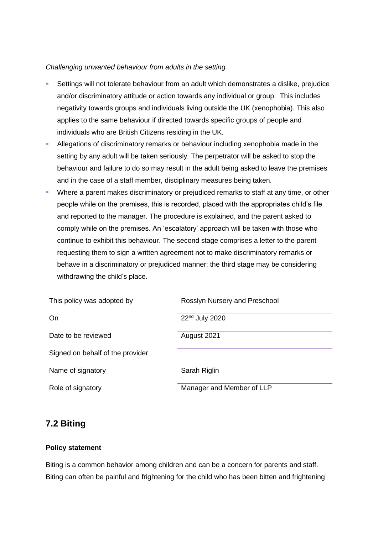#### *Challenging unwanted behaviour from adults in the setting*

- Settings will not tolerate behaviour from an adult which demonstrates a dislike, prejudice and/or discriminatory attitude or action towards any individual or group. This includes negativity towards groups and individuals living outside the UK (xenophobia). This also applies to the same behaviour if directed towards specific groups of people and individuals who are British Citizens residing in the UK.
- Allegations of discriminatory remarks or behaviour including xenophobia made in the setting by any adult will be taken seriously. The perpetrator will be asked to stop the behaviour and failure to do so may result in the adult being asked to leave the premises and in the case of a staff member, disciplinary measures being taken.
- Where a parent makes discriminatory or prejudiced remarks to staff at any time, or other people while on the premises, this is recorded, placed with the appropriates child's file and reported to the manager. The procedure is explained, and the parent asked to comply while on the premises. An 'escalatory' approach will be taken with those who continue to exhibit this behaviour. The second stage comprises a letter to the parent requesting them to sign a written agreement not to make discriminatory remarks or behave in a discriminatory or prejudiced manner; the third stage may be considering withdrawing the child's place.

| This policy was adopted by       | Rosslyn Nursery and Preschool |
|----------------------------------|-------------------------------|
| On                               | 22 <sup>nd</sup> July 2020    |
| Date to be reviewed              | August 2021                   |
| Signed on behalf of the provider |                               |
| Name of signatory                | Sarah Riglin                  |
| Role of signatory                | Manager and Member of LLP     |

## **7.2 Biting**

## **Policy statement**

Biting is a common behavior among children and can be a concern for parents and staff. Biting can often be painful and frightening for the child who has been bitten and frightening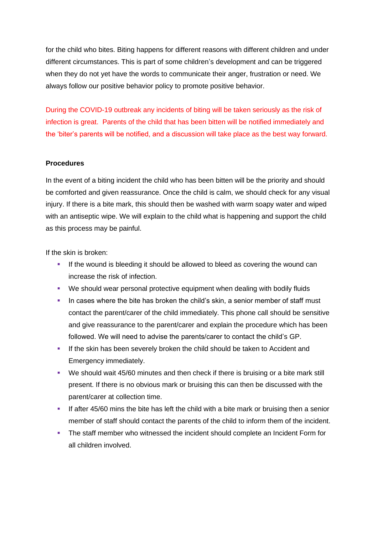for the child who bites. Biting happens for different reasons with different children and under different circumstances. This is part of some children's development and can be triggered when they do not yet have the words to communicate their anger, frustration or need. We always follow our positive behavior policy to promote positive behavior.

During the COVID-19 outbreak any incidents of biting will be taken seriously as the risk of infection is great. Parents of the child that has been bitten will be notified immediately and the 'biter's parents will be notified, and a discussion will take place as the best way forward.

#### **Procedures**

In the event of a biting incident the child who has been bitten will be the priority and should be comforted and given reassurance. Once the child is calm, we should check for any visual injury. If there is a bite mark, this should then be washed with warm soapy water and wiped with an antiseptic wipe. We will explain to the child what is happening and support the child as this process may be painful.

If the skin is broken:

- **.** If the wound is bleeding it should be allowed to bleed as covering the wound can increase the risk of infection.
- We should wear personal protective equipment when dealing with bodily fluids
- **•** In cases where the bite has broken the child's skin, a senior member of staff must contact the parent/carer of the child immediately. This phone call should be sensitive and give reassurance to the parent/carer and explain the procedure which has been followed. We will need to advise the parents/carer to contact the child's GP.
- **.** If the skin has been severely broken the child should be taken to Accident and Emergency immediately.
- We should wait 45/60 minutes and then check if there is bruising or a bite mark still present. If there is no obvious mark or bruising this can then be discussed with the parent/carer at collection time.
- **.** If after 45/60 mins the bite has left the child with a bite mark or bruising then a senior member of staff should contact the parents of the child to inform them of the incident.
- **The staff member who witnessed the incident should complete an Incident Form for** all children involved.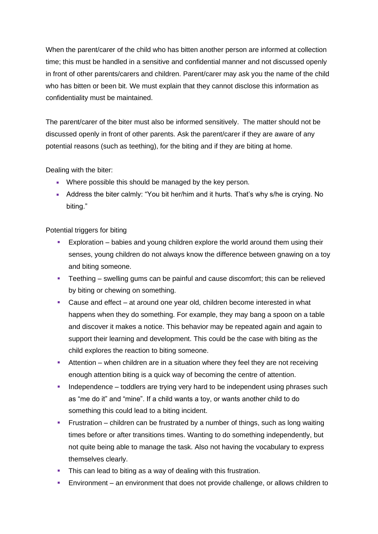When the parent/carer of the child who has bitten another person are informed at collection time; this must be handled in a sensitive and confidential manner and not discussed openly in front of other parents/carers and children. Parent/carer may ask you the name of the child who has bitten or been bit. We must explain that they cannot disclose this information as confidentiality must be maintained.

The parent/carer of the biter must also be informed sensitively. The matter should not be discussed openly in front of other parents. Ask the parent/carer if they are aware of any potential reasons (such as teething), for the biting and if they are biting at home.

Dealing with the biter:

- **Where possible this should be managed by the key person.**
- **EXECT** Address the biter calmly: "You bit her/him and it hurts. That's why s/he is crying. No biting."

Potential triggers for biting

- **Exploration** babies and young children explore the world around them using their senses, young children do not always know the difference between gnawing on a toy and biting someone.
- **•** Teething swelling gums can be painful and cause discomfort; this can be relieved by biting or chewing on something.
- Cause and effect at around one year old, children become interested in what happens when they do something. For example, they may bang a spoon on a table and discover it makes a notice. This behavior may be repeated again and again to support their learning and development. This could be the case with biting as the child explores the reaction to biting someone.
- **E** Attention when children are in a situation where they feel they are not receiving enough attention biting is a quick way of becoming the centre of attention.
- **•** Independence toddlers are trying very hard to be independent using phrases such as "me do it" and "mine". If a child wants a toy, or wants another child to do something this could lead to a biting incident.
- **•** Frustration children can be frustrated by a number of things, such as long waiting times before or after transitions times. Wanting to do something independently, but not quite being able to manage the task. Also not having the vocabulary to express themselves clearly.
- **•** This can lead to biting as a way of dealing with this frustration.
- Environment an environment that does not provide challenge, or allows children to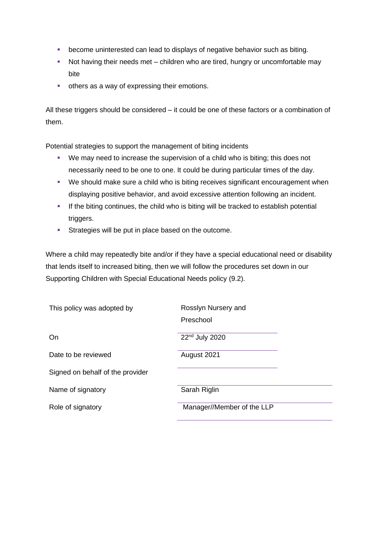- become uninterested can lead to displays of negative behavior such as biting.
- Not having their needs met children who are tired, hungry or uncomfortable may bite
- **•** others as a way of expressing their emotions.

All these triggers should be considered – it could be one of these factors or a combination of them.

Potential strategies to support the management of biting incidents

- We may need to increase the supervision of a child who is biting; this does not necessarily need to be one to one. It could be during particular times of the day.
- We should make sure a child who is biting receives significant encouragement when displaying positive behavior, and avoid excessive attention following an incident.
- **•** If the biting continues, the child who is biting will be tracked to establish potential triggers.
- **EXECUTE:** Strategies will be put in place based on the outcome.

Where a child may repeatedly bite and/or if they have a special educational need or disability that lends itself to increased biting, then we will follow the procedures set down in our Supporting Children with Special Educational Needs policy (9.2).

| This policy was adopted by       | Rosslyn Nursery and<br>Preschool |
|----------------------------------|----------------------------------|
| On                               | 22 <sup>nd</sup> July 2020       |
| Date to be reviewed              | August 2021                      |
| Signed on behalf of the provider |                                  |
| Name of signatory                | Sarah Riglin                     |
| Role of signatory                | Manager//Member of the LLP       |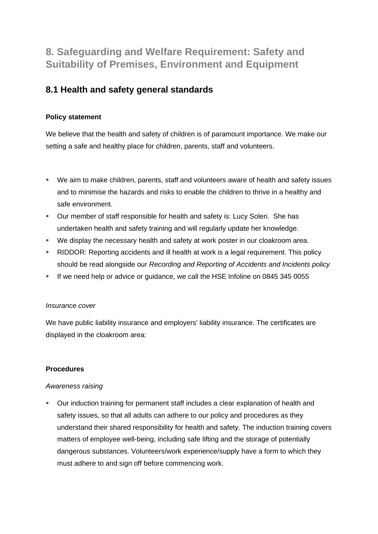# **8. Safeguarding and Welfare Requirement: Safety and Suitability of Premises, Environment and Equipment**

## **8.1 Health and safety general standards**

## **Policy statement**

We believe that the health and safety of children is of paramount importance. We make our setting a safe and healthy place for children, parents, staff and volunteers.

- We aim to make children, parents, staff and volunteers aware of health and safety issues and to minimise the hazards and risks to enable the children to thrive in a healthy and safe environment.
- Our member of staff responsible for health and safety is: Lucy Soleri. She has undertaken health and safety training and will regularly update her knowledge.
- We display the necessary health and safety at work poster in our cloakroom area.
- **RIDDOR: Reporting accidents and ill health at work is a legal requirement. This policy** should be read alongside our *Recording and Reporting of Accidents and Incidents policy*
- If we need help or advice or guidance, we call the HSE Infoline on 0845 345 0055

## *Insurance cover*

We have public liability insurance and employers' liability insurance. The certificates are displayed in the cloakroom area:

## **Procedures**

## *Awareness raising*

■ Our induction training for permanent staff includes a clear explanation of health and safety issues, so that all adults can adhere to our policy and procedures as they understand their shared responsibility for health and safety. The induction training covers matters of employee well-being, including safe lifting and the storage of potentially dangerous substances. Volunteers/work experience/supply have a form to which they must adhere to and sign off before commencing work.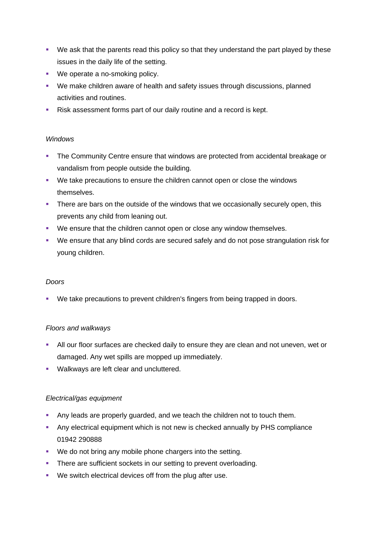- We ask that the parents read this policy so that they understand the part played by these issues in the daily life of the setting.
- We operate a no-smoking policy.
- We make children aware of health and safety issues through discussions, planned activities and routines.
- Risk assessment forms part of our daily routine and a record is kept.

## *Windows*

- **The Community Centre ensure that windows are protected from accidental breakage or** vandalism from people outside the building.
- We take precautions to ensure the children cannot open or close the windows themselves.
- **•** There are bars on the outside of the windows that we occasionally securely open, this prevents any child from leaning out.
- We ensure that the children cannot open or close any window themselves.
- We ensure that any blind cords are secured safely and do not pose strangulation risk for young children.

## *Doors*

■ We take precautions to prevent children's fingers from being trapped in doors.

## *Floors and walkways*

- **EXECT** All our floor surfaces are checked daily to ensure they are clean and not uneven, wet or damaged. Any wet spills are mopped up immediately.
- Walkways are left clear and uncluttered.

## *Electrical/gas equipment*

- Any leads are properly guarded, and we teach the children not to touch them.
- **EXECT** Any electrical equipment which is not new is checked annually by PHS compliance 01942 290888
- We do not bring any mobile phone chargers into the setting.
- **EXECT** There are sufficient sockets in our setting to prevent overloading.
- We switch electrical devices off from the plug after use.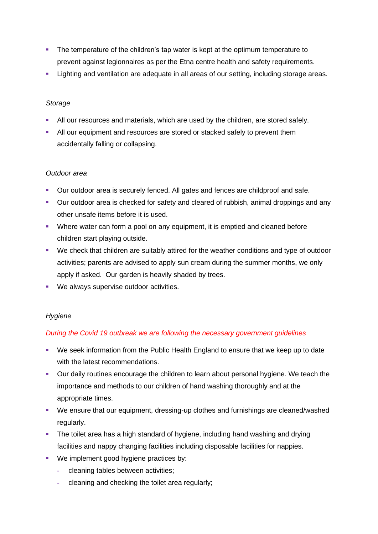- **•** The temperature of the children's tap water is kept at the optimum temperature to prevent against legionnaires as per the Etna centre health and safety requirements.
- **EXECT** Lighting and ventilation are adequate in all areas of our setting, including storage areas.

## *Storage*

- All our resources and materials, which are used by the children, are stored safely.
- **EXEL All our equipment and resources are stored or stacked safely to prevent them** accidentally falling or collapsing.

## *Outdoor area*

- Our outdoor area is securely fenced. All gates and fences are childproof and safe.
- Our outdoor area is checked for safety and cleared of rubbish, animal droppings and any other unsafe items before it is used.
- **Where water can form a pool on any equipment, it is emptied and cleaned before** children start playing outside.
- We check that children are suitably attired for the weather conditions and type of outdoor activities; parents are advised to apply sun cream during the summer months, we only apply if asked. Our garden is heavily shaded by trees.
- We always supervise outdoor activities.

## *Hygiene*

## *During the Covid 19 outbreak we are following the necessary government guidelines*

- We seek information from the Public Health England to ensure that we keep up to date with the latest recommendations.
- Our daily routines encourage the children to learn about personal hygiene. We teach the importance and methods to our children of hand washing thoroughly and at the appropriate times.
- We ensure that our equipment, dressing-up clothes and furnishings are cleaned/washed regularly.
- **•** The toilet area has a high standard of hygiene, including hand washing and drying facilities and nappy changing facilities including disposable facilities for nappies.
- We implement good hygiene practices by:
	- **-** cleaning tables between activities;
	- **-** cleaning and checking the toilet area regularly;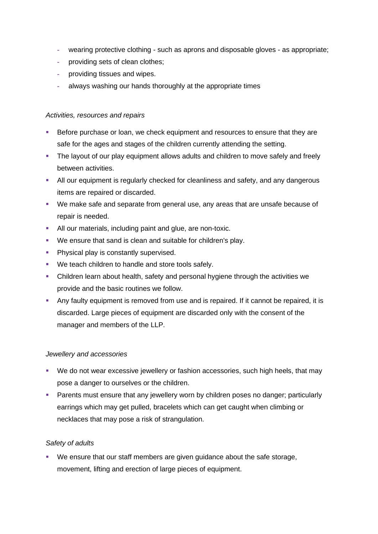- **-** wearing protective clothing such as aprons and disposable gloves as appropriate;
- **-** providing sets of clean clothes;
- **-** providing tissues and wipes.
- **-** always washing our hands thoroughly at the appropriate times

## *Activities, resources and repairs*

- Before purchase or loan, we check equipment and resources to ensure that they are safe for the ages and stages of the children currently attending the setting.
- **•** The layout of our play equipment allows adults and children to move safely and freely between activities.
- **E** All our equipment is regularly checked for cleanliness and safety, and any dangerous items are repaired or discarded.
- We make safe and separate from general use, any areas that are unsafe because of repair is needed.
- **EXECT** All our materials, including paint and glue, are non-toxic.
- We ensure that sand is clean and suitable for children's play.
- **Physical play is constantly supervised.**
- We teach children to handle and store tools safely.
- **•** Children learn about health, safety and personal hygiene through the activities we provide and the basic routines we follow.
- Any faulty equipment is removed from use and is repaired. If it cannot be repaired, it is discarded. Large pieces of equipment are discarded only with the consent of the manager and members of the LLP.

## *Jewellery and accessories*

- We do not wear excessive jewellery or fashion accessories, such high heels, that may pose a danger to ourselves or the children.
- **E** Parents must ensure that any jewellery worn by children poses no danger; particularly earrings which may get pulled, bracelets which can get caught when climbing or necklaces that may pose a risk of strangulation.

## *Safety of adults*

▪ We ensure that our staff members are given guidance about the safe storage, movement, lifting and erection of large pieces of equipment.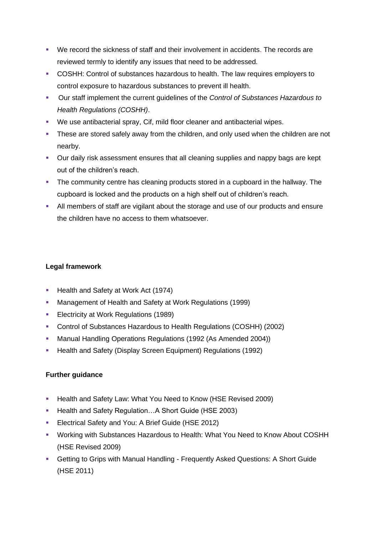- We record the sickness of staff and their involvement in accidents. The records are reviewed termly to identify any issues that need to be addressed.
- COSHH: Control of substances hazardous to health. The law requires employers to control exposure to hazardous substances to prevent ill health.
- Our staff implement the current guidelines of the *Control of Substances Hazardous to Health Regulations (COSHH)*.
- We use antibacterial spray, Cif, mild floor cleaner and antibacterial wipes.
- **.** These are stored safely away from the children, and only used when the children are not nearby.
- **Our daily risk assessment ensures that all cleaning supplies and nappy bags are kept** out of the children's reach.
- **•** The community centre has cleaning products stored in a cupboard in the hallway. The cupboard is locked and the products on a high shelf out of children's reach.
- **EXT** All members of staff are vigilant about the storage and use of our products and ensure the children have no access to them whatsoever.

## **Legal framework**

- Health and Safety at Work Act (1974)
- Management of Health and Safety at Work Regulations (1999)
- **Electricity at Work Regulations (1989)**
- Control of Substances Hazardous to Health Regulations (COSHH) (2002)
- Manual Handling Operations Regulations (1992 (As Amended 2004))
- Health and Safety (Display Screen Equipment) Regulations (1992)

## **Further guidance**

- Health and Safety Law: What You Need to Know (HSE Revised 2009)
- Health and Safety Regulation...A Short Guide (HSE 2003)
- **Electrical Safety and You: A Brief Guide (HSE 2012)**
- Working with Substances Hazardous to Health: What You Need to Know About COSHH (HSE Revised 2009)
- **Getting to Grips with Manual Handling Frequently Asked Questions: A Short Guide** (HSE 2011)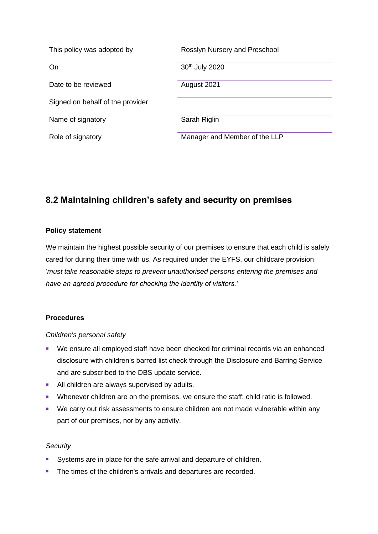| This policy was adopted by       | Rosslyn Nursery and Preschool |
|----------------------------------|-------------------------------|
| On                               | 30th July 2020                |
| Date to be reviewed              | August 2021                   |
| Signed on behalf of the provider |                               |
| Name of signatory                | Sarah Riglin                  |
| Role of signatory                | Manager and Member of the LLP |

## **8.2 Maintaining children's safety and security on premises**

## **Policy statement**

We maintain the highest possible security of our premises to ensure that each child is safely cared for during their time with us. As required under the EYFS, our childcare provision '*must take reasonable steps to prevent unauthorised persons entering the premises and have an agreed procedure for checking the identity of visitors.'*

## **Procedures**

*Children's personal safety*

- We ensure all employed staff have been checked for criminal records via an enhanced disclosure with children's barred list check through the Disclosure and Barring Service and are subscribed to the DBS update service.
- All children are always supervised by adults.
- **EXECT** Whenever children are on the premises, we ensure the staff: child ratio is followed.
- We carry out risk assessments to ensure children are not made vulnerable within any part of our premises, nor by any activity.

## *Security*

- Systems are in place for the safe arrival and departure of children.
- **The times of the children's arrivals and departures are recorded.**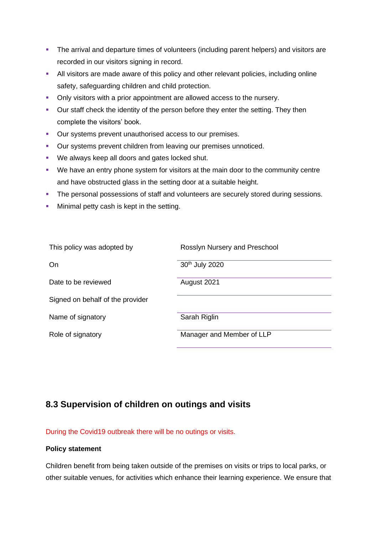- **•** The arrival and departure times of volunteers (including parent helpers) and visitors are recorded in our visitors signing in record.
- **EXECT** All visitors are made aware of this policy and other relevant policies, including online safety, safeguarding children and child protection.
- **Only visitors with a prior appointment are allowed access to the nursery.**
- Our staff check the identity of the person before they enter the setting. They then complete the visitors' book.
- Our systems prevent unauthorised access to our premises.
- Our systems prevent children from leaving our premises unnoticed.
- We always keep all doors and gates locked shut.
- We have an entry phone system for visitors at the main door to the community centre and have obstructed glass in the setting door at a suitable height.
- **The personal possessions of staff and volunteers are securely stored during sessions.**
- **■** Minimal petty cash is kept in the setting.

| This policy was adopted by       | Rosslyn Nursery and Preschool |
|----------------------------------|-------------------------------|
| On                               | 30th July 2020                |
| Date to be reviewed              | August 2021                   |
| Signed on behalf of the provider |                               |
| Name of signatory                | Sarah Riglin                  |
| Role of signatory                | Manager and Member of LLP     |

## **8.3 Supervision of children on outings and visits**

During the Covid19 outbreak there will be no outings or visits.

## **Policy statement**

Children benefit from being taken outside of the premises on visits or trips to local parks, or other suitable venues, for activities which enhance their learning experience. We ensure that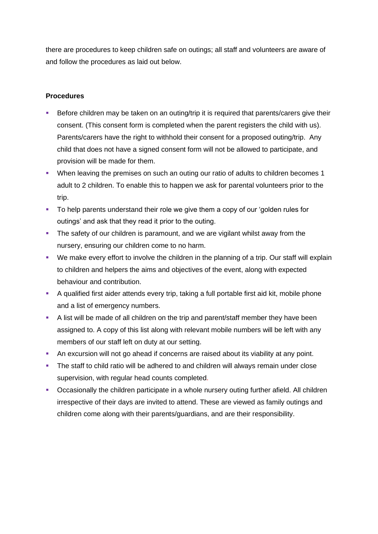there are procedures to keep children safe on outings; all staff and volunteers are aware of and follow the procedures as laid out below.

## **Procedures**

- Before children may be taken on an outing/trip it is required that parents/carers give their consent. (This consent form is completed when the parent registers the child with us). Parents/carers have the right to withhold their consent for a proposed outing/trip. Any child that does not have a signed consent form will not be allowed to participate, and provision will be made for them.
- When leaving the premises on such an outing our ratio of adults to children becomes 1 adult to 2 children. To enable this to happen we ask for parental volunteers prior to the trip.
- To help parents understand their role we give them a copy of our 'golden rules for outings' and ask that they read it prior to the outing.
- **•** The safety of our children is paramount, and we are vigilant whilst away from the nursery, ensuring our children come to no harm.
- We make every effort to involve the children in the planning of a trip. Our staff will explain to children and helpers the aims and objectives of the event, along with expected behaviour and contribution.
- A qualified first aider attends every trip, taking a full portable first aid kit, mobile phone and a list of emergency numbers.
- A list will be made of all children on the trip and parent/staff member they have been assigned to. A copy of this list along with relevant mobile numbers will be left with any members of our staff left on duty at our setting.
- **An excursion will not go ahead if concerns are raised about its viability at any point.**
- **•** The staff to child ratio will be adhered to and children will always remain under close supervision, with regular head counts completed.
- **•** Occasionally the children participate in a whole nursery outing further afield. All children irrespective of their days are invited to attend. These are viewed as family outings and children come along with their parents/guardians, and are their responsibility.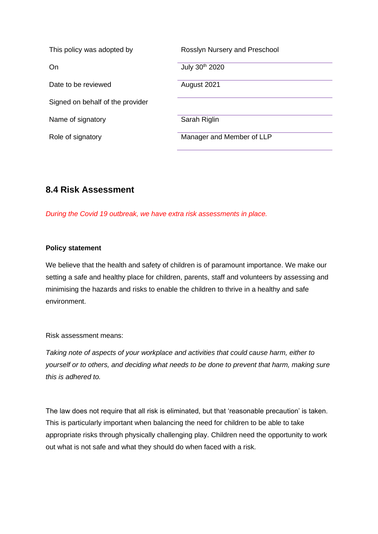| This policy was adopted by       | Rosslyn Nursery and Preschool |
|----------------------------------|-------------------------------|
| On                               | July 30th 2020                |
| Date to be reviewed              | August 2021                   |
| Signed on behalf of the provider |                               |
| Name of signatory                | Sarah Riglin                  |
| Role of signatory                | Manager and Member of LLP     |

## **8.4 Risk Assessment**

*During the Covid 19 outbreak, we have extra risk assessments in place.*

## **Policy statement**

We believe that the health and safety of children is of paramount importance. We make our setting a safe and healthy place for children, parents, staff and volunteers by assessing and minimising the hazards and risks to enable the children to thrive in a healthy and safe environment.

Risk assessment means:

*Taking note of aspects of your workplace and activities that could cause harm, either to yourself or to others, and deciding what needs to be done to prevent that harm, making sure this is adhered to.*

The law does not require that all risk is eliminated, but that 'reasonable precaution' is taken. This is particularly important when balancing the need for children to be able to take appropriate risks through physically challenging play. Children need the opportunity to work out what is not safe and what they should do when faced with a risk.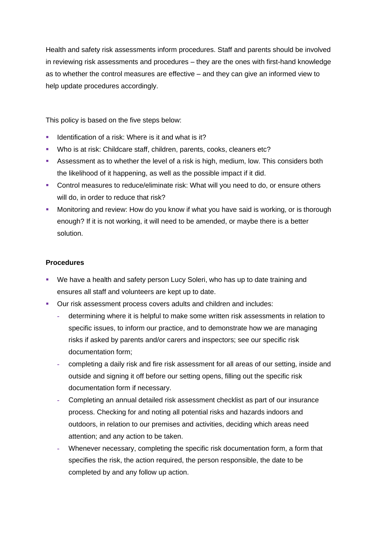Health and safety risk assessments inform procedures. Staff and parents should be involved in reviewing risk assessments and procedures – they are the ones with first-hand knowledge as to whether the control measures are effective – and they can give an informed view to help update procedures accordingly.

This policy is based on the five steps below:

- **EXEC** Identification of a risk: Where is it and what is it?
- Who is at risk: Childcare staff, children, parents, cooks, cleaners etc?
- **EXECT** Assessment as to whether the level of a risk is high, medium, low. This considers both the likelihood of it happening, as well as the possible impact if it did.
- Control measures to reduce/eliminate risk: What will you need to do, or ensure others will do, in order to reduce that risk?
- **■** Monitoring and review: How do you know if what you have said is working, or is thorough enough? If it is not working, it will need to be amended, or maybe there is a better solution.

## **Procedures**

- We have a health and safety person Lucy Soleri, who has up to date training and ensures all staff and volunteers are kept up to date.
- Our risk assessment process covers adults and children and includes:
	- **-** determining where it is helpful to make some written risk assessments in relation to specific issues, to inform our practice, and to demonstrate how we are managing risks if asked by parents and/or carers and inspectors; see our specific risk documentation form;
	- **-** completing a daily risk and fire risk assessment for all areas of our setting, inside and outside and signing it off before our setting opens, filling out the specific risk documentation form if necessary.
	- **-** Completing an annual detailed risk assessment checklist as part of our insurance process. Checking for and noting all potential risks and hazards indoors and outdoors, in relation to our premises and activities, deciding which areas need attention; and any action to be taken.
	- **-** Whenever necessary, completing the specific risk documentation form, a form that specifies the risk, the action required, the person responsible, the date to be completed by and any follow up action.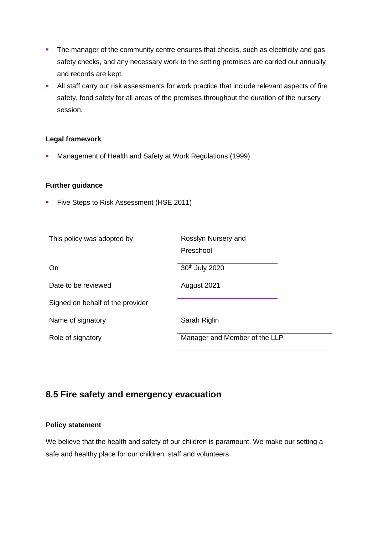- **•** The manager of the community centre ensures that checks, such as electricity and gas safety checks, and any necessary work to the setting premises are carried out annually and records are kept.
- **EXEL All staff carry out risk assessments for work practice that include relevant aspects of fire** safety, food safety for all areas of the premises throughout the duration of the nursery session.

## **Legal framework**

▪ Management of Health and Safety at Work Regulations (1999)

## **Further guidance**

**• Five Steps to Risk Assessment (HSE 2011)** 

| This policy was adopted by       | Rosslyn Nursery and<br>Preschool |
|----------------------------------|----------------------------------|
| On                               | 30 <sup>th</sup> July 2020       |
| Date to be reviewed              | August 2021                      |
| Signed on behalf of the provider |                                  |
| Name of signatory                | Sarah Riglin                     |
| Role of signatory                | Manager and Member of the LLP    |

## **8.5 Fire safety and emergency evacuation**

## **Policy statement**

We believe that the health and safety of our children is paramount. We make our setting a safe and healthy place for our children, staff and volunteers.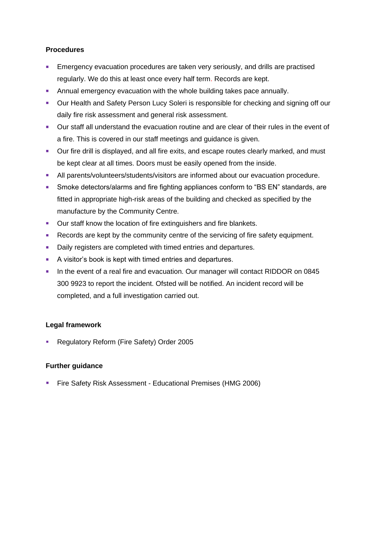## **Procedures**

- **Emergency evacuation procedures are taken very seriously, and drills are practised** regularly. We do this at least once every half term. Records are kept.
- **EXECT** Annual emergency evacuation with the whole building takes pace annually.
- Our Health and Safety Person Lucy Soleri is responsible for checking and signing off our daily fire risk assessment and general risk assessment.
- Our staff all understand the evacuation routine and are clear of their rules in the event of a fire. This is covered in our staff meetings and guidance is given.
- **•** Our fire drill is displayed, and all fire exits, and escape routes clearly marked, and must be kept clear at all times. Doors must be easily opened from the inside.
- **E** All parents/volunteers/students/visitors are informed about our evacuation procedure.
- Smoke detectors/alarms and fire fighting appliances conform to "BS EN" standards, are fitted in appropriate high-risk areas of the building and checked as specified by the manufacture by the Community Centre.
- Our staff know the location of fire extinguishers and fire blankets.
- Records are kept by the community centre of the servicing of fire safety equipment.
- Daily registers are completed with timed entries and departures.
- A visitor's book is kept with timed entries and departures.
- **•** In the event of a real fire and evacuation. Our manager will contact RIDDOR on 0845 300 9923 to report the incident. Ofsted will be notified. An incident record will be completed, and a full investigation carried out.

## **Legal framework**

■ Regulatory Reform (Fire Safety) Order 2005

## **Further guidance**

**E** Fire Safety Risk Assessment - Educational Premises (HMG 2006)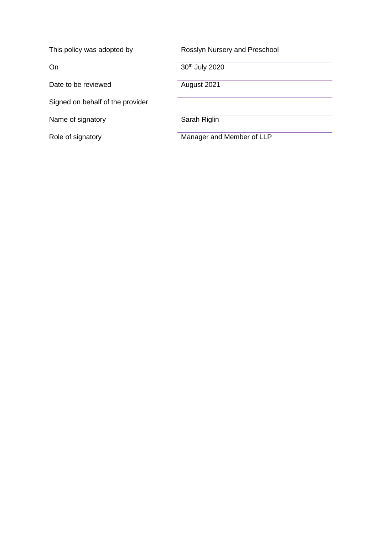| This policy was adopted by       | Rosslyn Nursery and Preschool |
|----------------------------------|-------------------------------|
| On                               | 30th July 2020                |
| Date to be reviewed              | August 2021                   |
| Signed on behalf of the provider |                               |
| Name of signatory                | Sarah Riglin                  |
| Role of signatory                | Manager and Member of LLP     |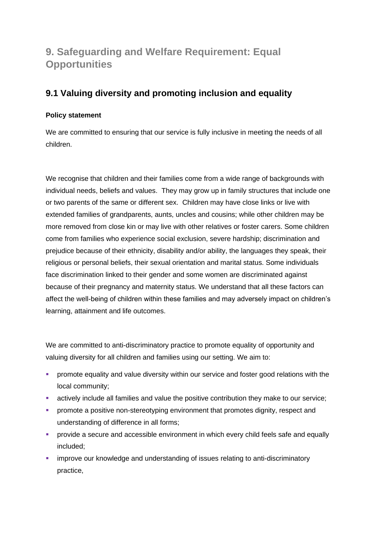# **9. Safeguarding and Welfare Requirement: Equal Opportunities**

## **9.1 Valuing diversity and promoting inclusion and equality**

## **Policy statement**

We are committed to ensuring that our service is fully inclusive in meeting the needs of all children.

We recognise that children and their families come from a wide range of backgrounds with individual needs, beliefs and values. They may grow up in family structures that include one or two parents of the same or different sex. Children may have close links or live with extended families of grandparents, aunts, uncles and cousins; while other children may be more removed from close kin or may live with other relatives or foster carers. Some children come from families who experience social exclusion, severe hardship; discrimination and prejudice because of their ethnicity, disability and/or ability, the languages they speak, their religious or personal beliefs, their sexual orientation and marital status. Some individuals face discrimination linked to their gender and some women are discriminated against because of their pregnancy and maternity status. We understand that all these factors can affect the well-being of children within these families and may adversely impact on children's learning, attainment and life outcomes.

We are committed to anti-discriminatory practice to promote equality of opportunity and valuing diversity for all children and families using our setting. We aim to:

- **•** promote equality and value diversity within our service and foster good relations with the local community;
- **EXECT** actively include all families and value the positive contribution they make to our service;
- **•** promote a positive non-stereotyping environment that promotes dignity, respect and understanding of difference in all forms;
- **•** provide a secure and accessible environment in which every child feels safe and equally included;
- **EXEDENT** improve our knowledge and understanding of issues relating to anti-discriminatory practice,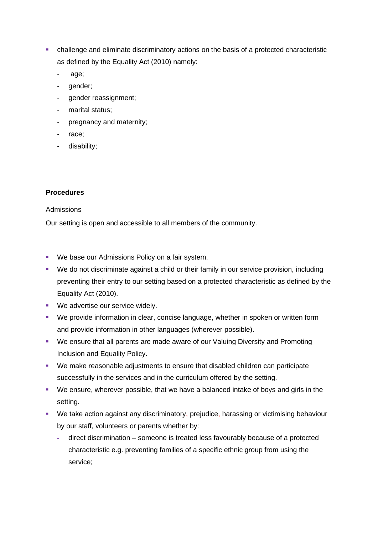- challenge and eliminate discriminatory actions on the basis of a protected characteristic as defined by the Equality Act (2010) namely:
	- age;
	- gender;
	- gender reassignment;
	- marital status;
	- pregnancy and maternity;
	- race;
	- disability;

## **Procedures**

#### Admissions

Our setting is open and accessible to all members of the community.

- We base our Admissions Policy on a fair system.
- We do not discriminate against a child or their family in our service provision, including preventing their entry to our setting based on a protected characteristic as defined by the Equality Act (2010).
- We advertise our service widely.
- We provide information in clear, concise language, whether in spoken or written form and provide information in other languages (wherever possible).
- We ensure that all parents are made aware of our Valuing Diversity and Promoting Inclusion and Equality Policy.
- We make reasonable adjustments to ensure that disabled children can participate successfully in the services and in the curriculum offered by the setting.
- We ensure, wherever possible, that we have a balanced intake of boys and girls in the setting.
- We take action against any discriminatory, prejudice, harassing or victimising behaviour by our staff, volunteers or parents whether by:
	- **-** direct discrimination someone is treated less favourably because of a protected characteristic e.g. preventing families of a specific ethnic group from using the service;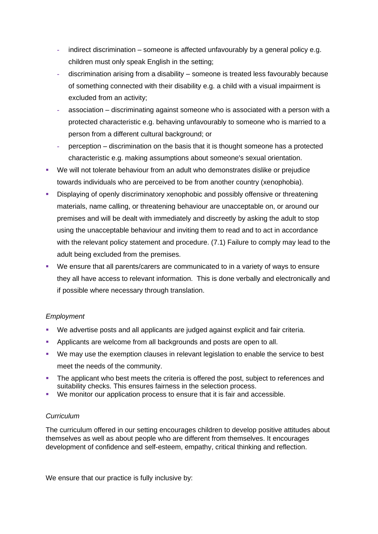- **-** indirect discrimination someone is affected unfavourably by a general policy e.g. children must only speak English in the setting;
- **-** discrimination arising from a disability someone is treated less favourably because of something connected with their disability e.g. a child with a visual impairment is excluded from an activity;
- **-** association discriminating against someone who is associated with a person with a protected characteristic e.g. behaving unfavourably to someone who is married to a person from a different cultural background; or
- **-** perception discrimination on the basis that it is thought someone has a protected characteristic e.g. making assumptions about someone's sexual orientation.
- We will not tolerate behaviour from an adult who demonstrates dislike or prejudice towards individuals who are perceived to be from another country (xenophobia).
- Displaying of openly discriminatory xenophobic and possibly offensive or threatening materials, name calling, or threatening behaviour are unacceptable on, or around our premises and will be dealt with immediately and discreetly by asking the adult to stop using the unacceptable behaviour and inviting them to read and to act in accordance with the relevant policy statement and procedure. (7.1) Failure to comply may lead to the adult being excluded from the premises.
- We ensure that all parents/carers are communicated to in a variety of ways to ensure they all have access to relevant information. This is done verbally and electronically and if possible where necessary through translation.

## *Employment*

- We advertise posts and all applicants are judged against explicit and fair criteria.
- Applicants are welcome from all backgrounds and posts are open to all.
- We may use the exemption clauses in relevant legislation to enable the service to best meet the needs of the community.
- **•** The applicant who best meets the criteria is offered the post, subject to references and suitability checks. This ensures fairness in the selection process.
- We monitor our application process to ensure that it is fair and accessible.

## *Curriculum*

The curriculum offered in our setting encourages children to develop positive attitudes about themselves as well as about people who are different from themselves. It encourages development of confidence and self-esteem, empathy, critical thinking and reflection.

We ensure that our practice is fully inclusive by: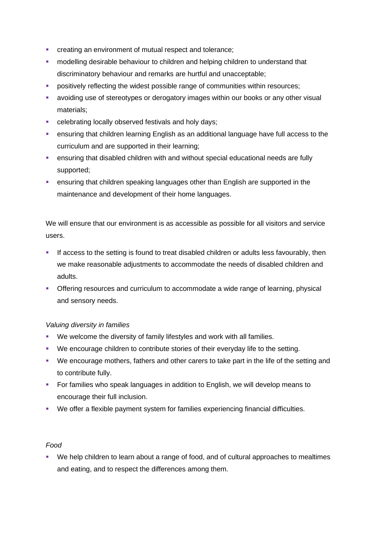- **creating an environment of mutual respect and tolerance;**
- **•** modelling desirable behaviour to children and helping children to understand that discriminatory behaviour and remarks are hurtful and unacceptable;
- **•** positively reflecting the widest possible range of communities within resources;
- **•** avoiding use of stereotypes or derogatory images within our books or any other visual materials;
- celebrating locally observed festivals and holy days;
- **ensuring that children learning English as an additional language have full access to the** curriculum and are supported in their learning;
- **ensuring that disabled children with and without special educational needs are fully** supported;
- **EXEDENT** ensuring that children speaking languages other than English are supported in the maintenance and development of their home languages.

We will ensure that our environment is as accessible as possible for all visitors and service users.

- **.** If access to the setting is found to treat disabled children or adults less favourably, then we make reasonable adjustments to accommodate the needs of disabled children and adults.
- **Offering resources and curriculum to accommodate a wide range of learning, physical** and sensory needs.

## *Valuing diversity in families*

- We welcome the diversity of family lifestyles and work with all families.
- We encourage children to contribute stories of their everyday life to the setting.
- We encourage mothers, fathers and other carers to take part in the life of the setting and to contribute fully.
- For families who speak languages in addition to English, we will develop means to encourage their full inclusion.
- We offer a flexible payment system for families experiencing financial difficulties.

## *Food*

■ We help children to learn about a range of food, and of cultural approaches to mealtimes and eating, and to respect the differences among them.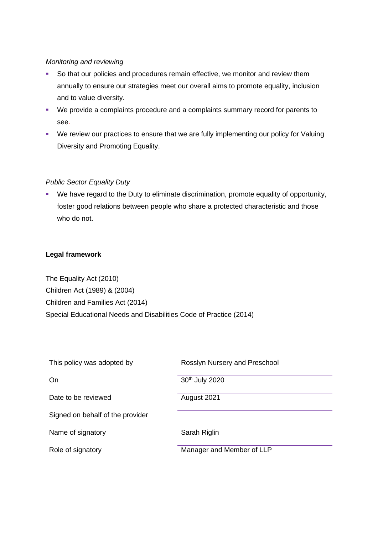## *Monitoring and reviewing*

- So that our policies and procedures remain effective, we monitor and review them annually to ensure our strategies meet our overall aims to promote equality, inclusion and to value diversity.
- We provide a complaints procedure and a complaints summary record for parents to see.
- We review our practices to ensure that we are fully implementing our policy for Valuing Diversity and Promoting Equality.

## *Public Sector Equality Duty*

▪ We have regard to the Duty to eliminate discrimination, promote equality of opportunity, foster good relations between people who share a protected characteristic and those who do not.

## **Legal framework**

The Equality Act (2010) Children Act (1989) & (2004) Children and Families Act (2014) Special Educational Needs and Disabilities Code of Practice (2014)

| This policy was adopted by       | Rosslyn Nursery and Preschool |
|----------------------------------|-------------------------------|
| On                               | 30th July 2020                |
| Date to be reviewed              | August 2021                   |
| Signed on behalf of the provider |                               |
| Name of signatory                | Sarah Riglin                  |
| Role of signatory                | Manager and Member of LLP     |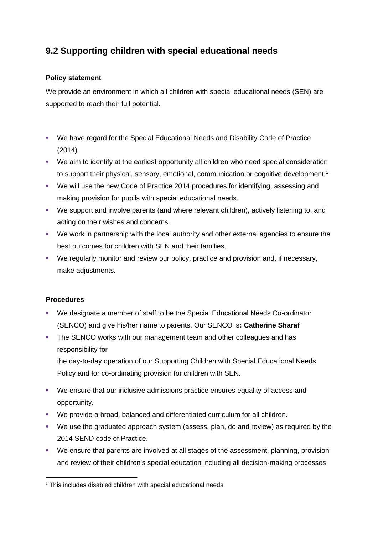## **9.2 Supporting children with special educational needs**

## **Policy statement**

We provide an environment in which all children with special educational needs (SEN) are supported to reach their full potential.

- We have regard for the Special Educational Needs and Disability Code of Practice (2014).
- We aim to identify at the earliest opportunity all children who need special consideration to support their physical, sensory, emotional, communication or cognitive development.<sup>1</sup>
- We will use the new Code of Practice 2014 procedures for identifying, assessing and making provision for pupils with special educational needs.
- We support and involve parents (and where relevant children), actively listening to, and acting on their wishes and concerns.
- We work in partnership with the local authority and other external agencies to ensure the best outcomes for children with SEN and their families.
- We regularly monitor and review our policy, practice and provision and, if necessary, make adjustments.

## **Procedures**

- We designate a member of staff to be the Special Educational Needs Co-ordinator (SENCO) and give his/her name to parents. Our SENCO is**: Catherine Sharaf**
- The SENCO works with our management team and other colleagues and has responsibility for

the day-to-day operation of our Supporting Children with Special Educational Needs Policy and for co-ordinating provision for children with SEN.

- We ensure that our inclusive admissions practice ensures equality of access and opportunity.
- We provide a broad, balanced and differentiated curriculum for all children.
- We use the graduated approach system (assess, plan, do and review) as required by the 2014 SEND code of Practice.
- We ensure that parents are involved at all stages of the assessment, planning, provision and review of their children's special education including all decision-making processes

 $1$  This includes disabled children with special educational needs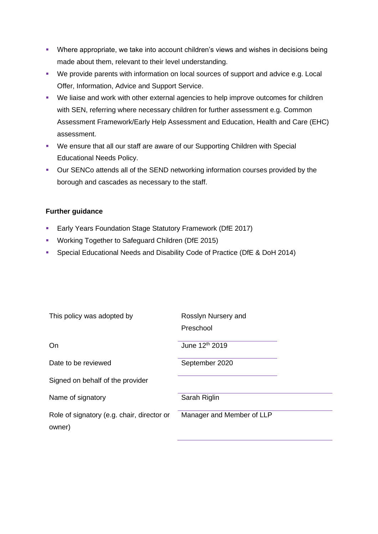- **Where appropriate, we take into account children's views and wishes in decisions being** made about them, relevant to their level understanding.
- We provide parents with information on local sources of support and advice e.g. Local Offer, Information, Advice and Support Service.
- We liaise and work with other external agencies to help improve outcomes for children with SEN, referring where necessary children for further assessment e.g. Common Assessment Framework/Early Help Assessment and Education, Health and Care (EHC) assessment.
- We ensure that all our staff are aware of our Supporting Children with Special Educational Needs Policy.
- Our SENCo attends all of the SEND networking information courses provided by the borough and cascades as necessary to the staff.

## **Further guidance**

- **Early Years Foundation Stage Statutory Framework (DfE 2017)**
- Working Together to Safeguard Children (DfE 2015)
- Special Educational Needs and Disability Code of Practice (DfE & DoH 2014)

| This policy was adopted by                           | Rosslyn Nursery and<br>Preschool |
|------------------------------------------------------|----------------------------------|
| On                                                   | June 12 <sup>th</sup> 2019       |
| Date to be reviewed                                  | September 2020                   |
| Signed on behalf of the provider                     |                                  |
| Name of signatory                                    | Sarah Riglin                     |
| Role of signatory (e.g. chair, director or<br>owner) | Manager and Member of LLP        |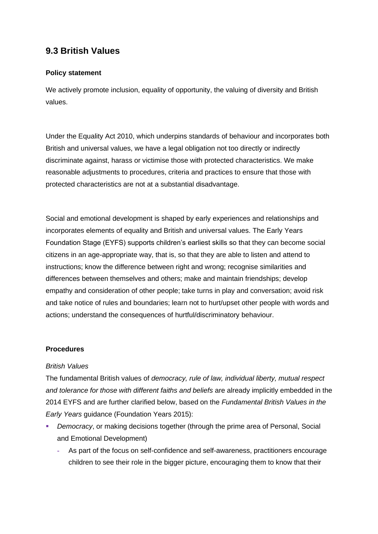## **9.3 British Values**

## **Policy statement**

We actively promote inclusion, equality of opportunity, the valuing of diversity and British values.

Under the Equality Act 2010, which underpins standards of behaviour and incorporates both British and universal values, we have a legal obligation not too directly or indirectly discriminate against, harass or victimise those with protected characteristics. We make reasonable adjustments to procedures, criteria and practices to ensure that those with protected characteristics are not at a substantial disadvantage.

Social and emotional development is shaped by early experiences and relationships and incorporates elements of equality and British and universal values. The Early Years Foundation Stage (EYFS) supports children's earliest skills so that they can become social citizens in an age-appropriate way, that is, so that they are able to listen and attend to instructions; know the difference between right and wrong; recognise similarities and differences between themselves and others; make and maintain friendships; develop empathy and consideration of other people; take turns in play and conversation; avoid risk and take notice of rules and boundaries; learn not to hurt/upset other people with words and actions; understand the consequences of hurtful/discriminatory behaviour.

## **Procedures**

## *British Values*

The fundamental British values of *democracy, rule of law, individual liberty, mutual respect and tolerance for those with different faiths and beliefs* are already implicitly embedded in the 2014 EYFS and are further clarified below, based on the *Fundamental British Values in the Early Years* guidance (Foundation Years 2015):

- *Democracy*, or making decisions together (through the prime area of Personal, Social and Emotional Development)
	- **-** As part of the focus on self-confidence and self-awareness, practitioners encourage children to see their role in the bigger picture, encouraging them to know that their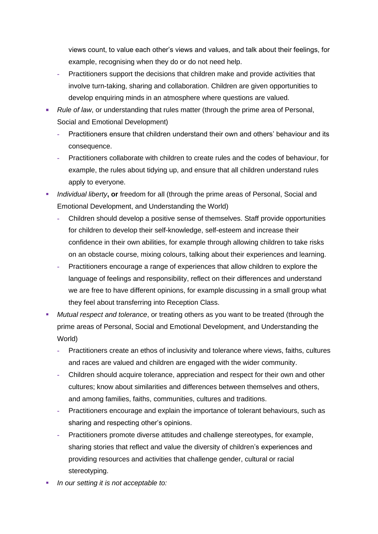views count, to value each other's views and values, and talk about their feelings, for example, recognising when they do or do not need help.

- **-** Practitioners support the decisions that children make and provide activities that involve turn-taking, sharing and collaboration. Children are given opportunities to develop enquiring minds in an atmosphere where questions are valued.
- *Rule of law*, or understanding that rules matter (through the prime area of Personal, Social and Emotional Development)
	- **-** Practitioners ensure that children understand their own and others' behaviour and its consequence.
	- **-** Practitioners collaborate with children to create rules and the codes of behaviour, for example, the rules about tidying up, and ensure that all children understand rules apply to everyone.
- **·** *Individual liberty*, or freedom for all (through the prime areas of Personal, Social and Emotional Development, and Understanding the World)
	- **-** Children should develop a positive sense of themselves. Staff provide opportunities for children to develop their self-knowledge, self-esteem and increase their confidence in their own abilities, for example through allowing children to take risks on an obstacle course, mixing colours, talking about their experiences and learning.
	- **-** Practitioners encourage a range of experiences that allow children to explore the language of feelings and responsibility, reflect on their differences and understand we are free to have different opinions, for example discussing in a small group what they feel about transferring into Reception Class.
- *Mutual respect and tolerance*, or treating others as you want to be treated (through the prime areas of Personal, Social and Emotional Development, and Understanding the World)
	- **-** Practitioners create an ethos of inclusivity and tolerance where views, faiths, cultures and races are valued and children are engaged with the wider community.
	- **-** Children should acquire tolerance, appreciation and respect for their own and other cultures; know about similarities and differences between themselves and others, and among families, faiths, communities, cultures and traditions.
	- **-** Practitioners encourage and explain the importance of tolerant behaviours, such as sharing and respecting other's opinions.
	- **-** Practitioners promote diverse attitudes and challenge stereotypes, for example, sharing stories that reflect and value the diversity of children's experiences and providing resources and activities that challenge gender, cultural or racial stereotyping.
- In our setting it is not acceptable to: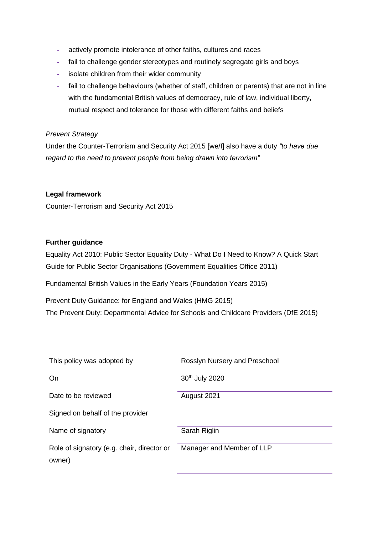- **-** actively promote intolerance of other faiths, cultures and races
- **-** fail to challenge gender stereotypes and routinely segregate girls and boys
- **-** isolate children from their wider community
- **-** fail to challenge behaviours (whether of staff, children or parents) that are not in line with the fundamental British values of democracy, rule of law, individual liberty, mutual respect and tolerance for those with different faiths and beliefs

## *Prevent Strategy*

Under the Counter-Terrorism and Security Act 2015 [we/I] also have a duty *"to have due regard to the need to prevent people from being drawn into terrorism"*

## **Legal framework**

Counter-Terrorism and Security Act 2015

## **Further guidance**

Equality Act 2010: Public Sector Equality Duty - What Do I Need to Know? A Quick Start Guide for Public Sector Organisations (Government Equalities Office 2011)

Fundamental British Values in the Early Years (Foundation Years 2015)

Prevent Duty Guidance: for England and Wales (HMG 2015) The Prevent Duty: Departmental Advice for Schools and Childcare Providers (DfE 2015)

| This policy was adopted by                           | Rosslyn Nursery and Preschool |
|------------------------------------------------------|-------------------------------|
| On                                                   | 30th July 2020                |
| Date to be reviewed                                  | August 2021                   |
| Signed on behalf of the provider                     |                               |
| Name of signatory                                    | Sarah Riglin                  |
| Role of signatory (e.g. chair, director or<br>owner) | Manager and Member of LLP     |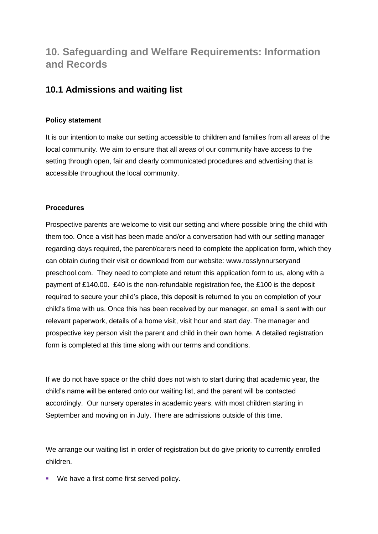# **10. Safeguarding and Welfare Requirements: Information and Records**

## **10.1 Admissions and waiting list**

## **Policy statement**

It is our intention to make our setting accessible to children and families from all areas of the local community. We aim to ensure that all areas of our community have access to the setting through open, fair and clearly communicated procedures and advertising that is accessible throughout the local community.

## **Procedures**

Prospective parents are welcome to visit our setting and where possible bring the child with them too. Once a visit has been made and/or a conversation had with our setting manager regarding days required, the parent/carers need to complete the application form, which they can obtain during their visit or download from our website: www.rosslynnurseryand preschool.com. They need to complete and return this application form to us, along with a payment of £140.00. £40 is the non-refundable registration fee, the £100 is the deposit required to secure your child's place, this deposit is returned to you on completion of your child's time with us. Once this has been received by our manager, an email is sent with our relevant paperwork, details of a home visit, visit hour and start day. The manager and prospective key person visit the parent and child in their own home. A detailed registration form is completed at this time along with our terms and conditions.

If we do not have space or the child does not wish to start during that academic year, the child's name will be entered onto our waiting list, and the parent will be contacted accordingly. Our nursery operates in academic years, with most children starting in September and moving on in July. There are admissions outside of this time.

We arrange our waiting list in order of registration but do give priority to currently enrolled children.

■ We have a first come first served policy.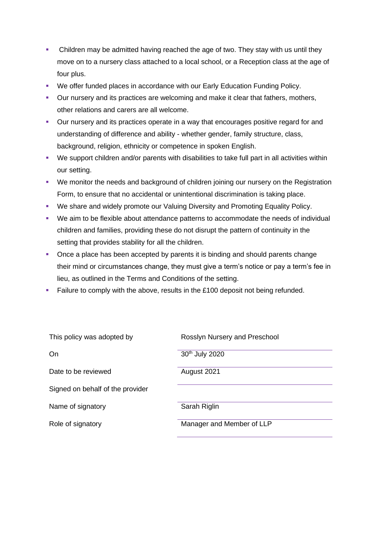- Children may be admitted having reached the age of two. They stay with us until they move on to a nursery class attached to a local school, or a Reception class at the age of four plus.
- We offer funded places in accordance with our Early Education Funding Policy.
- Our nursery and its practices are welcoming and make it clear that fathers, mothers, other relations and carers are all welcome.
- Our nursery and its practices operate in a way that encourages positive regard for and understanding of difference and ability - whether gender, family structure, class, background, religion, ethnicity or competence in spoken English.
- We support children and/or parents with disabilities to take full part in all activities within our setting.
- We monitor the needs and background of children joining our nursery on the Registration Form, to ensure that no accidental or unintentional discrimination is taking place.
- We share and widely promote our Valuing Diversity and Promoting Equality Policy.
- We aim to be flexible about attendance patterns to accommodate the needs of individual children and families, providing these do not disrupt the pattern of continuity in the setting that provides stability for all the children.
- Once a place has been accepted by parents it is binding and should parents change their mind or circumstances change, they must give a term's notice or pay a term's fee in lieu, as outlined in the Terms and Conditions of the setting.
- **Example 1** Failure to comply with the above, results in the  $£100$  deposit not being refunded.

| This policy was adopted by       | Rosslyn Nursery and Preschool |
|----------------------------------|-------------------------------|
| On                               | 30th July 2020                |
| Date to be reviewed              | August 2021                   |
| Signed on behalf of the provider |                               |
| Name of signatory                | Sarah Riglin                  |
| Role of signatory                | Manager and Member of LLP     |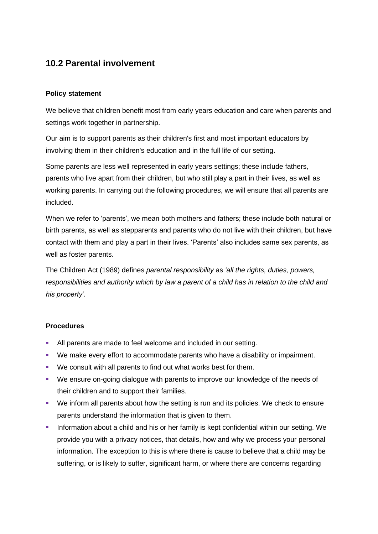## **10.2 Parental involvement**

## **Policy statement**

We believe that children benefit most from early years education and care when parents and settings work together in partnership.

Our aim is to support parents as their children's first and most important educators by involving them in their children's education and in the full life of our setting.

Some parents are less well represented in early years settings; these include fathers, parents who live apart from their children, but who still play a part in their lives, as well as working parents. In carrying out the following procedures, we will ensure that all parents are included.

When we refer to 'parents', we mean both mothers and fathers; these include both natural or birth parents, as well as stepparents and parents who do not live with their children, but have contact with them and play a part in their lives. 'Parents' also includes same sex parents, as well as foster parents.

The Children Act (1989) defines *parental responsibility* as *'all the rights, duties, powers, responsibilities and authority which by law a parent of a child has in relation to the child and his property'*.

## **Procedures**

- **EXEL All parents are made to feel welcome and included in our setting.**
- We make every effort to accommodate parents who have a disability or impairment.
- We consult with all parents to find out what works best for them.
- We ensure on-going dialogue with parents to improve our knowledge of the needs of their children and to support their families.
- We inform all parents about how the setting is run and its policies. We check to ensure parents understand the information that is given to them.
- **•** Information about a child and his or her family is kept confidential within our setting. We provide you with a privacy notices, that details, how and why we process your personal information. The exception to this is where there is cause to believe that a child may be suffering, or is likely to suffer, significant harm, or where there are concerns regarding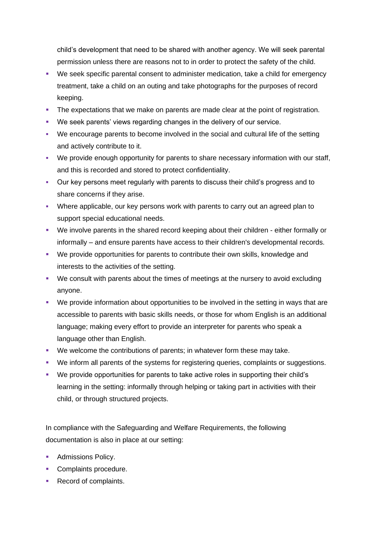child's development that need to be shared with another agency. We will seek parental permission unless there are reasons not to in order to protect the safety of the child.

- We seek specific parental consent to administer medication, take a child for emergency treatment, take a child on an outing and take photographs for the purposes of record keeping.
- **The expectations that we make on parents are made clear at the point of registration.**
- We seek parents' views regarding changes in the delivery of our service.
- We encourage parents to become involved in the social and cultural life of the setting and actively contribute to it.
- We provide enough opportunity for parents to share necessary information with our staff, and this is recorded and stored to protect confidentiality.
- Our key persons meet regularly with parents to discuss their child's progress and to share concerns if they arise.
- Where applicable, our key persons work with parents to carry out an agreed plan to support special educational needs.
- We involve parents in the shared record keeping about their children either formally or informally – and ensure parents have access to their children's developmental records.
- We provide opportunities for parents to contribute their own skills, knowledge and interests to the activities of the setting.
- We consult with parents about the times of meetings at the nursery to avoid excluding anyone.
- We provide information about opportunities to be involved in the setting in ways that are accessible to parents with basic skills needs, or those for whom English is an additional language; making every effort to provide an interpreter for parents who speak a language other than English.
- We welcome the contributions of parents; in whatever form these may take.
- We inform all parents of the systems for registering queries, complaints or suggestions.
- We provide opportunities for parents to take active roles in supporting their child's learning in the setting: informally through helping or taking part in activities with their child, or through structured projects.

In compliance with the Safeguarding and Welfare Requirements, the following documentation is also in place at our setting:

- Admissions Policy.
- Complaints procedure.
- Record of complaints.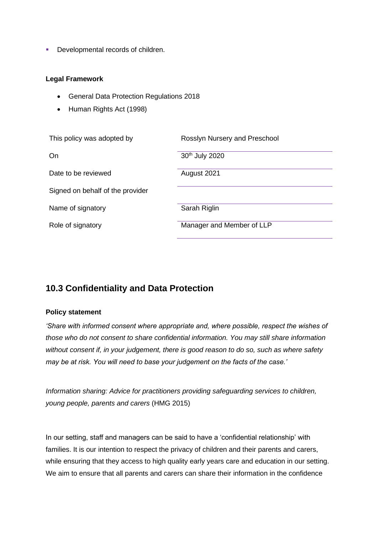■ Developmental records of children.

#### **Legal Framework**

- General Data Protection Regulations 2018
- Human Rights Act (1998)

| This policy was adopted by       | Rosslyn Nursery and Preschool |
|----------------------------------|-------------------------------|
| On                               | 30th July 2020                |
| Date to be reviewed              | August 2021                   |
| Signed on behalf of the provider |                               |
| Name of signatory                | Sarah Riglin                  |
| Role of signatory                | Manager and Member of LLP     |

## **10.3 Confidentiality and Data Protection**

## **Policy statement**

*'Share with informed consent where appropriate and, where possible, respect the wishes of those who do not consent to share confidential information. You may still share information without consent if, in your judgement, there is good reason to do so, such as where safety may be at risk. You will need to base your judgement on the facts of the case.'*

*Information sharing: Advice for practitioners providing safeguarding services to children, young people, parents and carers* (HMG 2015)

In our setting, staff and managers can be said to have a 'confidential relationship' with families. It is our intention to respect the privacy of children and their parents and carers, while ensuring that they access to high quality early years care and education in our setting. We aim to ensure that all parents and carers can share their information in the confidence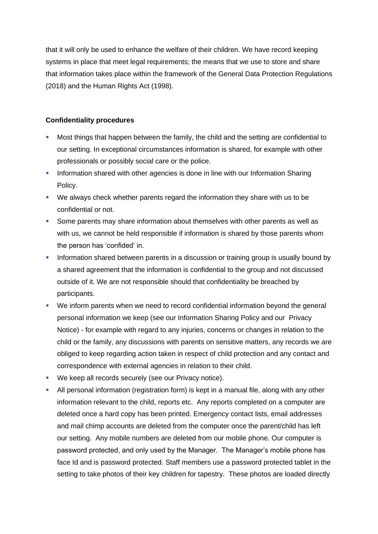that it will only be used to enhance the welfare of their children. We have record keeping systems in place that meet legal requirements; the means that we use to store and share that information takes place within the framework of the General Data Protection Regulations (2018) and the Human Rights Act (1998).

## **Confidentiality procedures**

- Most things that happen between the family, the child and the setting are confidential to our setting. In exceptional circumstances information is shared, for example with other professionals or possibly social care or the police.
- **Information shared with other agencies is done in line with our Information Sharing** Policy.
- We always check whether parents regard the information they share with us to be confidential or not.
- **•** Some parents may share information about themselves with other parents as well as with us, we cannot be held responsible if information is shared by those parents whom the person has 'confided' in.
- **•** Information shared between parents in a discussion or training group is usually bound by a shared agreement that the information is confidential to the group and not discussed outside of it. We are not responsible should that confidentiality be breached by participants.
- We inform parents when we need to record confidential information beyond the general personal information we keep (see our Information Sharing Policy and our Privacy Notice) - for example with regard to any injuries, concerns or changes in relation to the child or the family, any discussions with parents on sensitive matters, any records we are obliged to keep regarding action taken in respect of child protection and any contact and correspondence with external agencies in relation to their child.
- We keep all records securely (see our Privacy notice).
- **EXT** All personal information (registration form) is kept in a manual file, along with any other information relevant to the child, reports etc. Any reports completed on a computer are deleted once a hard copy has been printed. Emergency contact lists, email addresses and mail chimp accounts are deleted from the computer once the parent/child has left our setting. Any mobile numbers are deleted from our mobile phone. Our computer is password protected, and only used by the Manager. The Manager's mobile phone has face Id and is password protected. Staff members use a password protected tablet in the setting to take photos of their key children for tapestry. These photos are loaded directly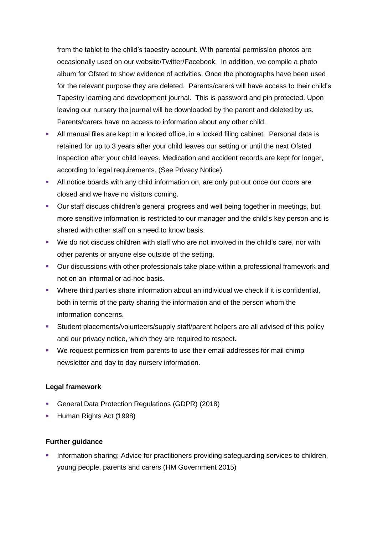from the tablet to the child's tapestry account. With parental permission photos are occasionally used on our website/Twitter/Facebook. In addition, we compile a photo album for Ofsted to show evidence of activities. Once the photographs have been used for the relevant purpose they are deleted. Parents/carers will have access to their child's Tapestry learning and development journal. This is password and pin protected. Upon leaving our nursery the journal will be downloaded by the parent and deleted by us. Parents/carers have no access to information about any other child.

- All manual files are kept in a locked office, in a locked filing cabinet. Personal data is retained for up to 3 years after your child leaves our setting or until the next Ofsted inspection after your child leaves. Medication and accident records are kept for longer, according to legal requirements. (See Privacy Notice).
- **EXTEND 10** All notice boards with any child information on, are only put out once our doors are closed and we have no visitors coming.
- Our staff discuss children's general progress and well being together in meetings, but more sensitive information is restricted to our manager and the child's key person and is shared with other staff on a need to know basis.
- We do not discuss children with staff who are not involved in the child's care, nor with other parents or anyone else outside of the setting.
- Our discussions with other professionals take place within a professional framework and not on an informal or ad-hoc basis.
- Where third parties share information about an individual we check if it is confidential, both in terms of the party sharing the information and of the person whom the information concerns.
- **EXECT:** Student placements/volunteers/supply staff/parent helpers are all advised of this policy and our privacy notice, which they are required to respect.
- We request permission from parents to use their email addresses for mail chimp newsletter and day to day nursery information.

## **Legal framework**

- General Data Protection Regulations (GDPR) (2018)
- **E** Human Rights Act (1998)

## **Further guidance**

Information sharing: Advice for practitioners providing safeguarding services to children, young people, parents and carers (HM Government 2015)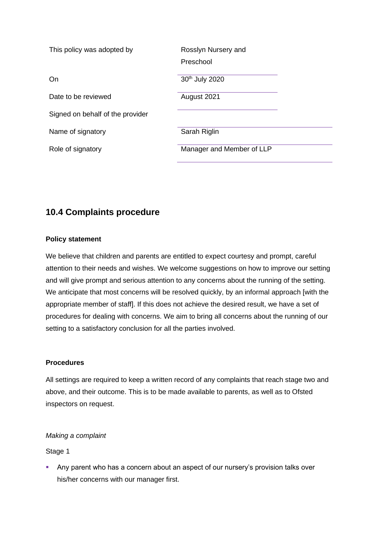| This policy was adopted by       | Rosslyn Nursery and<br>Preschool |
|----------------------------------|----------------------------------|
| On                               | 30 <sup>th</sup> July 2020       |
| Date to be reviewed              | August 2021                      |
| Signed on behalf of the provider |                                  |
| Name of signatory                | Sarah Riglin                     |
| Role of signatory                | Manager and Member of LLP        |

## **10.4 Complaints procedure**

## **Policy statement**

We believe that children and parents are entitled to expect courtesy and prompt, careful attention to their needs and wishes. We welcome suggestions on how to improve our setting and will give prompt and serious attention to any concerns about the running of the setting. We anticipate that most concerns will be resolved quickly, by an informal approach [with the appropriate member of staff]. If this does not achieve the desired result, we have a set of procedures for dealing with concerns. We aim to bring all concerns about the running of our setting to a satisfactory conclusion for all the parties involved.

## **Procedures**

All settings are required to keep a written record of any complaints that reach stage two and above, and their outcome. This is to be made available to parents, as well as to Ofsted inspectors on request.

## *Making a complaint*

## Stage 1

**EXT** Any parent who has a concern about an aspect of our nursery's provision talks over his/her concerns with our manager first.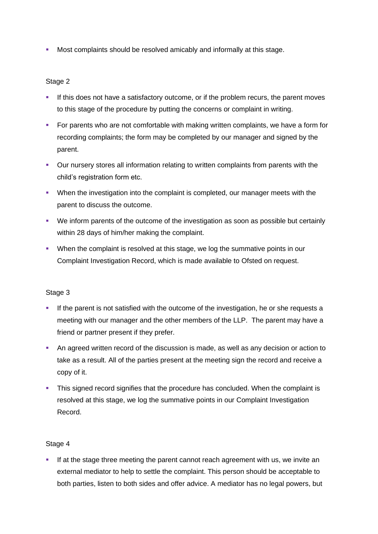**• Most complaints should be resolved amicably and informally at this stage.** 

## Stage 2

- **.** If this does not have a satisfactory outcome, or if the problem recurs, the parent moves to this stage of the procedure by putting the concerns or complaint in writing.
- For parents who are not comfortable with making written complaints, we have a form for recording complaints; the form may be completed by our manager and signed by the parent.
- Our nursery stores all information relating to written complaints from parents with the child's registration form etc.
- **•** When the investigation into the complaint is completed, our manager meets with the parent to discuss the outcome.
- We inform parents of the outcome of the investigation as soon as possible but certainly within 28 days of him/her making the complaint.
- When the complaint is resolved at this stage, we log the summative points in our Complaint Investigation Record, which is made available to Ofsted on request.

## Stage 3

- **.** If the parent is not satisfied with the outcome of the investigation, he or she requests a meeting with our manager and the other members of the LLP. The parent may have a friend or partner present if they prefer.
- An agreed written record of the discussion is made, as well as any decision or action to take as a result. All of the parties present at the meeting sign the record and receive a copy of it.
- **This signed record signifies that the procedure has concluded. When the complaint is** resolved at this stage, we log the summative points in our Complaint Investigation Record.

## Stage 4

**.** If at the stage three meeting the parent cannot reach agreement with us, we invite an external mediator to help to settle the complaint. This person should be acceptable to both parties, listen to both sides and offer advice. A mediator has no legal powers, but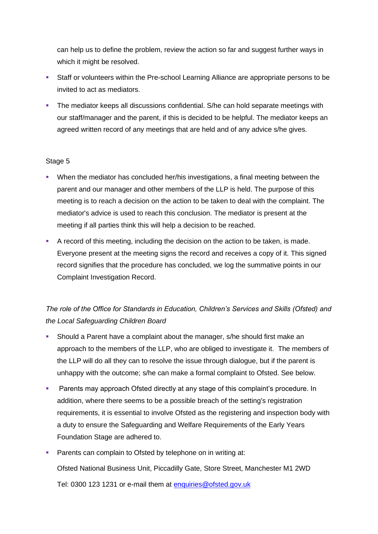can help us to define the problem, review the action so far and suggest further ways in which it might be resolved.

- Staff or volunteers within the Pre-school Learning Alliance are appropriate persons to be invited to act as mediators.
- **•** The mediator keeps all discussions confidential. S/he can hold separate meetings with our staff/manager and the parent, if this is decided to be helpful. The mediator keeps an agreed written record of any meetings that are held and of any advice s/he gives.

## Stage 5

- When the mediator has concluded her/his investigations, a final meeting between the parent and our manager and other members of the LLP is held. The purpose of this meeting is to reach a decision on the action to be taken to deal with the complaint. The mediator's advice is used to reach this conclusion. The mediator is present at the meeting if all parties think this will help a decision to be reached.
- A record of this meeting, including the decision on the action to be taken, is made. Everyone present at the meeting signs the record and receives a copy of it. This signed record signifies that the procedure has concluded, we log the summative points in our Complaint Investigation Record.

## *The role of the Office for Standards in Education, Children's Services and Skills (Ofsted) and the Local Safeguarding Children Board*

- Should a Parent have a complaint about the manager, s/he should first make an approach to the members of the LLP, who are obliged to investigate it. The members of the LLP will do all they can to resolve the issue through dialogue, but if the parent is unhappy with the outcome; s/he can make a formal complaint to Ofsted. See below.
- **Parents may approach Ofsted directly at any stage of this complaint's procedure. In** addition, where there seems to be a possible breach of the setting's registration requirements, it is essential to involve Ofsted as the registering and inspection body with a duty to ensure the Safeguarding and Welfare Requirements of the Early Years Foundation Stage are adhered to.
- **Parents can complain to Ofsted by telephone on in writing at:** Ofsted National Business Unit, Piccadilly Gate, Store Street, Manchester M1 2WD Tel: 0300 123 1231 or e-mail them at [enquiries@ofsted.gov.uk](mailto:enquiries@ofsted.gov.uk)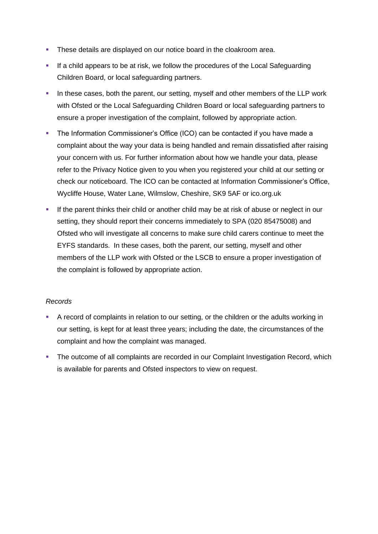- **•** These details are displayed on our notice board in the cloakroom area.
- **.** If a child appears to be at risk, we follow the procedures of the Local Safeguarding Children Board, or local safeguarding partners.
- **.** In these cases, both the parent, our setting, myself and other members of the LLP work with Ofsted or the Local Safeguarding Children Board or local safeguarding partners to ensure a proper investigation of the complaint, followed by appropriate action.
- The Information Commissioner's Office (ICO) can be contacted if you have made a complaint about the way your data is being handled and remain dissatisfied after raising your concern with us. For further information about how we handle your data, please refer to the Privacy Notice given to you when you registered your child at our setting or check our noticeboard. The ICO can be contacted at Information Commissioner's Office, Wycliffe House, Water Lane, Wilmslow, Cheshire, SK9 5AF or ico.org.uk
- **.** If the parent thinks their child or another child may be at risk of abuse or neglect in our setting, they should report their concerns immediately to SPA (020 85475008) and Ofsted who will investigate all concerns to make sure child carers continue to meet the EYFS standards. In these cases, both the parent, our setting, myself and other members of the LLP work with Ofsted or the LSCB to ensure a proper investigation of the complaint is followed by appropriate action.

## *Records*

- **•** A record of complaints in relation to our setting, or the children or the adults working in our setting, is kept for at least three years; including the date, the circumstances of the complaint and how the complaint was managed.
- **The outcome of all complaints are recorded in our Complaint Investigation Record, which** is available for parents and Ofsted inspectors to view on request.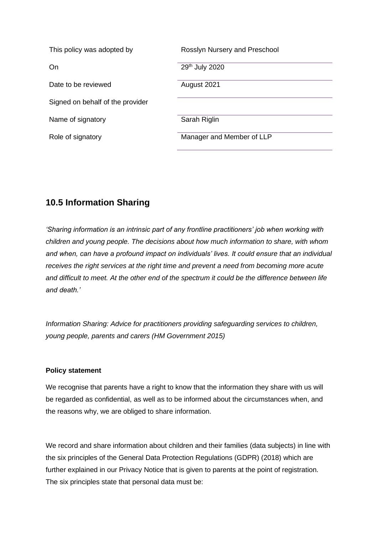| This policy was adopted by       | Rosslyn Nursery and Preschool |
|----------------------------------|-------------------------------|
| On                               | 29th July 2020                |
| Date to be reviewed              | August 2021                   |
| Signed on behalf of the provider |                               |
| Name of signatory                | Sarah Riglin                  |
| Role of signatory                | Manager and Member of LLP     |

## **10.5 Information Sharing**

*'Sharing information is an intrinsic part of any frontline practitioners' job when working with children and young people. The decisions about how much information to share, with whom and when, can have a profound impact on individuals' lives. It could ensure that an individual receives the right services at the right time and prevent a need from becoming more acute and difficult to meet. At the other end of the spectrum it could be the difference between life and death.'*

*Information Sharing: Advice for practitioners providing safeguarding services to children, young people, parents and carers (HM Government 2015)*

## **Policy statement**

We recognise that parents have a right to know that the information they share with us will be regarded as confidential, as well as to be informed about the circumstances when, and the reasons why, we are obliged to share information.

We record and share information about children and their families (data subjects) in line with the six principles of the General Data Protection Regulations (GDPR) (2018) which are further explained in our Privacy Notice that is given to parents at the point of registration. The six principles state that personal data must be: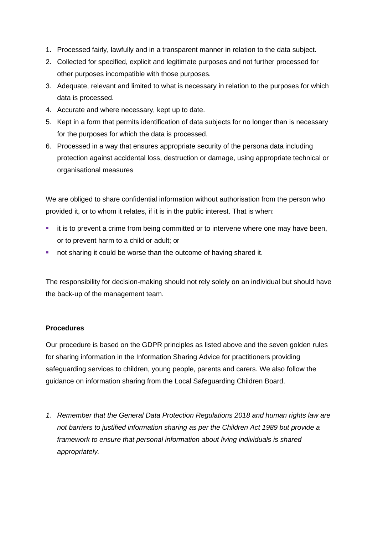- 1. Processed fairly, lawfully and in a transparent manner in relation to the data subject.
- 2. Collected for specified, explicit and legitimate purposes and not further processed for other purposes incompatible with those purposes.
- 3. Adequate, relevant and limited to what is necessary in relation to the purposes for which data is processed.
- 4. Accurate and where necessary, kept up to date.
- 5. Kept in a form that permits identification of data subjects for no longer than is necessary for the purposes for which the data is processed.
- 6. Processed in a way that ensures appropriate security of the persona data including protection against accidental loss, destruction or damage, using appropriate technical or organisational measures

We are obliged to share confidential information without authorisation from the person who provided it, or to whom it relates, if it is in the public interest. That is when:

- **·** it is to prevent a crime from being committed or to intervene where one may have been, or to prevent harm to a child or adult; or
- not sharing it could be worse than the outcome of having shared it.

The responsibility for decision-making should not rely solely on an individual but should have the back-up of the management team.

## **Procedures**

Our procedure is based on the GDPR principles as listed above and the seven golden rules for sharing information in the Information Sharing Advice for practitioners providing safeguarding services to children, young people, parents and carers*.* We also follow the guidance on information sharing from the Local Safeguarding Children Board.

*1. Remember that the General Data Protection Regulations 2018 and human rights law are not barriers to justified information sharing as per the Children Act 1989 but provide a framework to ensure that personal information about living individuals is shared appropriately.*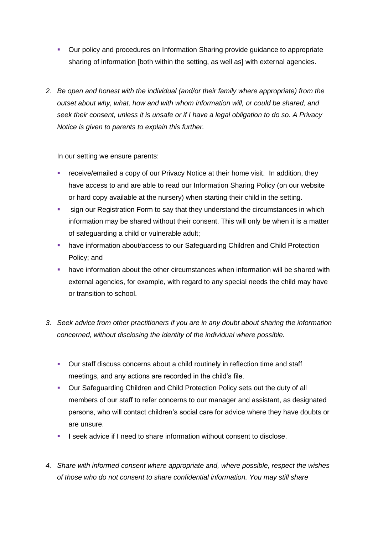- Our policy and procedures on Information Sharing provide guidance to appropriate sharing of information [both within the setting, as well as] with external agencies.
- *2. Be open and honest with the individual (and/or their family where appropriate) from the outset about why, what, how and with whom information will, or could be shared, and seek their consent, unless it is unsafe or if I have a legal obligation to do so. A Privacy Notice is given to parents to explain this further.*

In our setting we ensure parents:

- **EXP** receive/emailed a copy of our Privacy Notice at their home visit. In addition, they have access to and are able to read our Information Sharing Policy (on our website or hard copy available at the nursery) when starting their child in the setting.
- **•** sign our Registration Form to say that they understand the circumstances in which information may be shared without their consent. This will only be when it is a matter of safeguarding a child or vulnerable adult;
- **■** have information about/access to our Safeguarding Children and Child Protection Policy; and
- have information about the other circumstances when information will be shared with external agencies, for example, with regard to any special needs the child may have or transition to school.
- *3. Seek advice from other practitioners if you are in any doubt about sharing the information concerned, without disclosing the identity of the individual where possible.*
	- Our staff discuss concerns about a child routinely in reflection time and staff meetings, and any actions are recorded in the child's file.
	- Our Safeguarding Children and Child Protection Policy sets out the duty of all members of our staff to refer concerns to our manager and assistant, as designated persons, who will contact children's social care for advice where they have doubts or are unsure.
	- I seek advice if I need to share information without consent to disclose.
- *4. Share with informed consent where appropriate and, where possible, respect the wishes of those who do not consent to share confidential information. You may still share*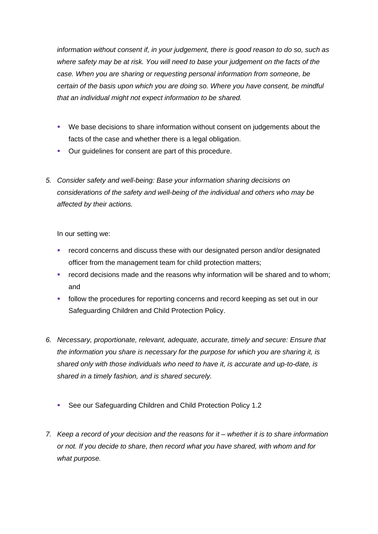*information without consent if, in your judgement, there is good reason to do so, such as where safety may be at risk. You will need to base your judgement on the facts of the case. When you are sharing or requesting personal information from someone, be certain of the basis upon which you are doing so. Where you have consent, be mindful that an individual might not expect information to be shared.* 

- We base decisions to share information without consent on judgements about the facts of the case and whether there is a legal obligation.
- Our quidelines for consent are part of this procedure.
- *5. Consider safety and well-being: Base your information sharing decisions on considerations of the safety and well-being of the individual and others who may be affected by their actions.*

In our setting we:

- record concerns and discuss these with our designated person and/or designated officer from the management team for child protection matters;
- **•** record decisions made and the reasons why information will be shared and to whom; and
- **•** follow the procedures for reporting concerns and record keeping as set out in our Safeguarding Children and Child Protection Policy.
- *6. Necessary, proportionate, relevant, adequate, accurate, timely and secure: Ensure that the information you share is necessary for the purpose for which you are sharing it, is shared only with those individuals who need to have it, is accurate and up-to-date, is shared in a timely fashion, and is shared securely.*
	- See our Safeguarding Children and Child Protection Policy 1.2
- *7. Keep a record of your decision and the reasons for it – whether it is to share information or not. If you decide to share, then record what you have shared, with whom and for what purpose.*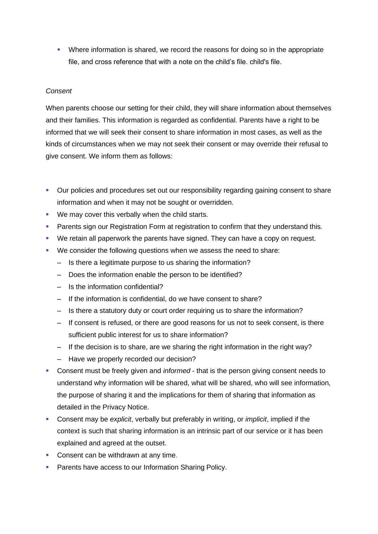**•** Where information is shared, we record the reasons for doing so in the appropriate file, and cross reference that with a note on the child's file. child's file.

### *Consent*

When parents choose our setting for their child, they will share information about themselves and their families. This information is regarded as confidential. Parents have a right to be informed that we will seek their consent to share information in most cases, as well as the kinds of circumstances when we may not seek their consent or may override their refusal to give consent. We inform them as follows:

- Our policies and procedures set out our responsibility regarding gaining consent to share information and when it may not be sought or overridden.
- We may cover this verbally when the child starts.
- **Parents sign our Registration Form at registration to confirm that they understand this.**
- We retain all paperwork the parents have signed. They can have a copy on request.
- We consider the following questions when we assess the need to share:
	- Is there a legitimate purpose to us sharing the information?
	- Does the information enable the person to be identified?
	- Is the information confidential?
	- If the information is confidential, do we have consent to share?
	- Is there a statutory duty or court order requiring us to share the information?
	- If consent is refused, or there are good reasons for us not to seek consent, is there sufficient public interest for us to share information?
	- If the decision is to share, are we sharing the right information in the right way?
	- Have we properly recorded our decision?
- Consent must be freely given and *informed* that is the person giving consent needs to understand why information will be shared, what will be shared, who will see information, the purpose of sharing it and the implications for them of sharing that information as detailed in the Privacy Notice.
- Consent may be *explicit*, verbally but preferably in writing, or *implicit*, implied if the context is such that sharing information is an intrinsic part of our service or it has been explained and agreed at the outset.
- Consent can be withdrawn at any time.
- Parents have access to our Information Sharing Policy.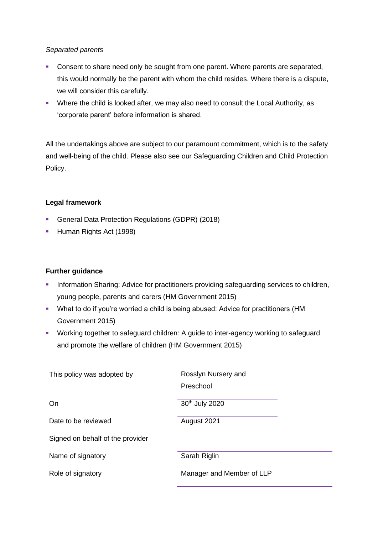#### *Separated parents*

- Consent to share need only be sought from one parent. Where parents are separated, this would normally be the parent with whom the child resides. Where there is a dispute, we will consider this carefully.
- **Where the child is looked after, we may also need to consult the Local Authority, as** 'corporate parent' before information is shared.

All the undertakings above are subject to our paramount commitment, which is to the safety and well-being of the child. Please also see our Safeguarding Children and Child Protection Policy.

# **Legal framework**

- General Data Protection Regulations (GDPR) (2018)
- **Human Rights Act (1998)**

# **Further guidance**

- **Information Sharing: Advice for practitioners providing safeguarding services to children,** young people, parents and carers (HM Government 2015)
- What to do if you're worried a child is being abused: Advice for practitioners (HM Government 2015)
- Working together to safeguard children: A guide to inter-agency working to safeguard and promote the welfare of children (HM Government 2015)

| This policy was adopted by       | Rosslyn Nursery and       |
|----------------------------------|---------------------------|
|                                  | Preschool                 |
| On                               | 30th July 2020            |
| Date to be reviewed              | August 2021               |
| Signed on behalf of the provider |                           |
| Name of signatory                | Sarah Riglin              |
| Role of signatory                | Manager and Member of LLP |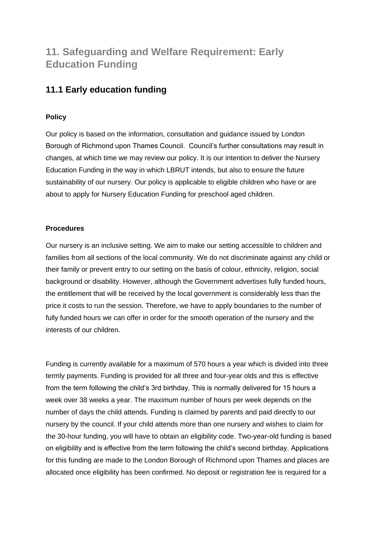# **11. Safeguarding and Welfare Requirement: Early Education Funding**

# **11.1 Early education funding**

# **Policy**

Our policy is based on the information, consultation and guidance issued by London Borough of Richmond upon Thames Council. Council's further consultations may result in changes, at which time we may review our policy. It is our intention to deliver the Nursery Education Funding in the way in which LBRUT intends, but also to ensure the future sustainability of our nursery. Our policy is applicable to eligible children who have or are about to apply for Nursery Education Funding for preschool aged children.

# **Procedures**

Our nursery is an inclusive setting. We aim to make our setting accessible to children and families from all sections of the local community. We do not discriminate against any child or their family or prevent entry to our setting on the basis of colour, ethnicity, religion, social background or disability. However, although the Government advertises fully funded hours, the entitlement that will be received by the local government is considerably less than the price it costs to run the session. Therefore, we have to apply boundaries to the number of fully funded hours we can offer in order for the smooth operation of the nursery and the interests of our children.

Funding is currently available for a maximum of 570 hours a year which is divided into three termly payments. Funding is provided for all three and four-year olds and this is effective from the term following the child's 3rd birthday. This is normally delivered for 15 hours a week over 38 weeks a year. The maximum number of hours per week depends on the number of days the child attends. Funding is claimed by parents and paid directly to our nursery by the council. If your child attends more than one nursery and wishes to claim for the 30-hour funding, you will have to obtain an eligibility code. Two-year-old funding is based on eligibility and is effective from the term following the child's second birthday. Applications for this funding are made to the London Borough of Richmond upon Thames and places are allocated once eligibility has been confirmed. No deposit or registration fee is required for a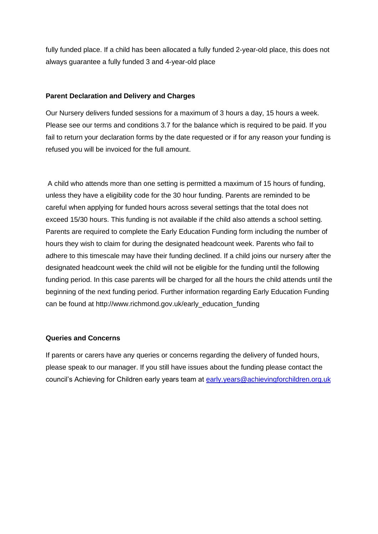fully funded place. If a child has been allocated a fully funded 2-year-old place, this does not always guarantee a fully funded 3 and 4-year-old place

#### **Parent Declaration and Delivery and Charges**

Our Nursery delivers funded sessions for a maximum of 3 hours a day, 15 hours a week. Please see our terms and conditions 3.7 for the balance which is required to be paid. If you fail to return your declaration forms by the date requested or if for any reason your funding is refused you will be invoiced for the full amount.

A child who attends more than one setting is permitted a maximum of 15 hours of funding, unless they have a eligibility code for the 30 hour funding. Parents are reminded to be careful when applying for funded hours across several settings that the total does not exceed 15/30 hours. This funding is not available if the child also attends a school setting. Parents are required to complete the Early Education Funding form including the number of hours they wish to claim for during the designated headcount week. Parents who fail to adhere to this timescale may have their funding declined. If a child joins our nursery after the designated headcount week the child will not be eligible for the funding until the following funding period. In this case parents will be charged for all the hours the child attends until the beginning of the next funding period. Further information regarding Early Education Funding can be found at http://www.richmond.gov.uk/early\_education\_funding

#### **Queries and Concerns**

If parents or carers have any queries or concerns regarding the delivery of funded hours, please speak to our manager. If you still have issues about the funding please contact the council's Achieving for Children early years team at [early.years@achievingforchildren.org.uk](mailto:early.years@achievingforchildren.org.uk)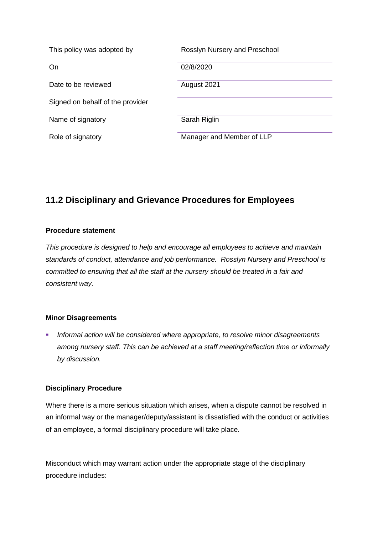| This policy was adopted by       | Rosslyn Nursery and Preschool |
|----------------------------------|-------------------------------|
| On                               | 02/8/2020                     |
| Date to be reviewed              | August 2021                   |
| Signed on behalf of the provider |                               |
| Name of signatory                | Sarah Riglin                  |
| Role of signatory                | Manager and Member of LLP     |

# **11.2 Disciplinary and Grievance Procedures for Employees**

### **Procedure statement**

*This procedure is designed to help and encourage all employees to achieve and maintain standards of conduct, attendance and job performance. Rosslyn Nursery and Preschool is committed to ensuring that all the staff at the nursery should be treated in a fair and consistent way.* 

#### **Minor Disagreements**

▪ *Informal action will be considered where appropriate, to resolve minor disagreements among nursery staff. This can be achieved at a staff meeting/reflection time or informally by discussion.*

#### **Disciplinary Procedure**

Where there is a more serious situation which arises, when a dispute cannot be resolved in an informal way or the manager/deputy/assistant is dissatisfied with the conduct or activities of an employee, a formal disciplinary procedure will take place.

Misconduct which may warrant action under the appropriate stage of the disciplinary procedure includes: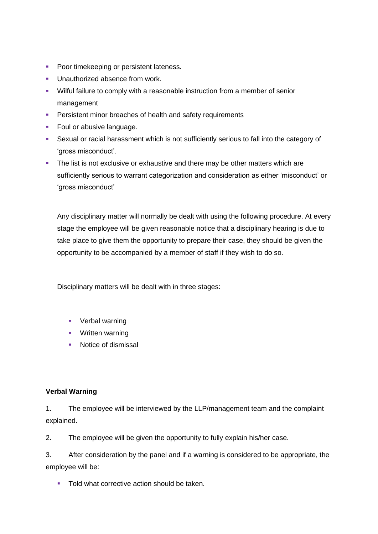- Poor timekeeping or persistent lateness.
- **■** Unauthorized absence from work.
- Wilful failure to comply with a reasonable instruction from a member of senior management
- **EXECUTE:** Persistent minor breaches of health and safety requirements
- Foul or abusive language.
- Sexual or racial harassment which is not sufficiently serious to fall into the category of 'gross misconduct'.
- **•** The list is not exclusive or exhaustive and there may be other matters which are sufficiently serious to warrant categorization and consideration as either 'misconduct' or 'gross misconduct'

Any disciplinary matter will normally be dealt with using the following procedure. At every stage the employee will be given reasonable notice that a disciplinary hearing is due to take place to give them the opportunity to prepare their case, they should be given the opportunity to be accompanied by a member of staff if they wish to do so.

Disciplinary matters will be dealt with in three stages:

- Verbal warning
- Written warning
- Notice of dismissal

#### **Verbal Warning**

1. The employee will be interviewed by the LLP/management team and the complaint explained.

2. The employee will be given the opportunity to fully explain his/her case.

3. After consideration by the panel and if a warning is considered to be appropriate, the employee will be:

■ Told what corrective action should be taken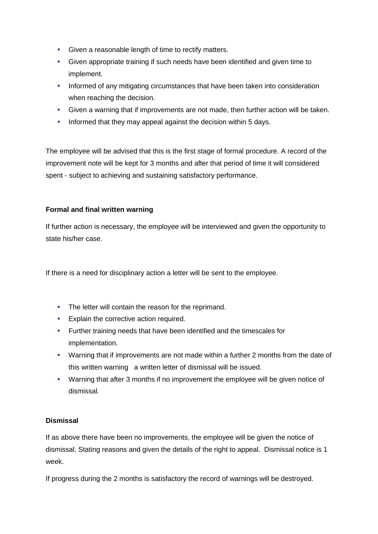- Given a reasonable length of time to rectify matters.
- Given appropriate training if such needs have been identified and given time to implement.
- **•** Informed of any mitigating circumstances that have been taken into consideration when reaching the decision.
- Given a warning that if improvements are not made, then further action will be taken.
- **Informed that they may appeal against the decision within 5 days.**

The employee will be advised that this is the first stage of formal procedure. A record of the improvement note will be kept for 3 months and after that period of time it will considered spent - subject to achieving and sustaining satisfactory performance.

### **Formal and final written warning**

If further action is necessary, the employee will be interviewed and given the opportunity to state his/her case.

If there is a need for disciplinary action a letter will be sent to the employee.

- **•** The letter will contain the reason for the reprimand.
- **Explain the corrective action required.**
- Further training needs that have been identified and the timescales for implementation.
- Warning that if improvements are not made within a further 2 months from the date of this written warning a written letter of dismissal will be issued.
- Warning that after 3 months if no improvement the employee will be given notice of dismissal.

# **Dismissal**

If as above there have been no improvements, the employee will be given the notice of dismissal. Stating reasons and given the details of the right to appeal. Dismissal notice is 1 week.

If progress during the 2 months is satisfactory the record of warnings will be destroyed.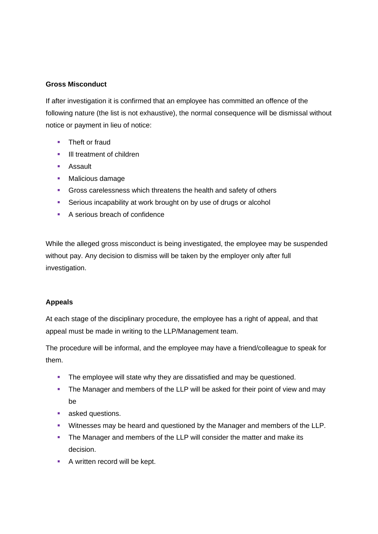### **Gross Misconduct**

If after investigation it is confirmed that an employee has committed an offence of the following nature (the list is not exhaustive), the normal consequence will be dismissal without notice or payment in lieu of notice:

- Theft or fraud
- **•** III treatment of children
- Assault
- Malicious damage
- **EXECTS** Gross carelessness which threatens the health and safety of others
- **EXECT:** Serious incapability at work brought on by use of drugs or alcohol
- A serious breach of confidence

While the alleged gross misconduct is being investigated, the employee may be suspended without pay. Any decision to dismiss will be taken by the employer only after full investigation.

# **Appeals**

At each stage of the disciplinary procedure, the employee has a right of appeal, and that appeal must be made in writing to the LLP/Management team.

The procedure will be informal, and the employee may have a friend/colleague to speak for them.

- **•** The employee will state why they are dissatisfied and may be questioned.
- **The Manager and members of the LLP will be asked for their point of view and may** be
- asked questions.
- Witnesses may be heard and questioned by the Manager and members of the LLP.
- **The Manager and members of the LLP will consider the matter and make its** decision.
- A written record will be kept.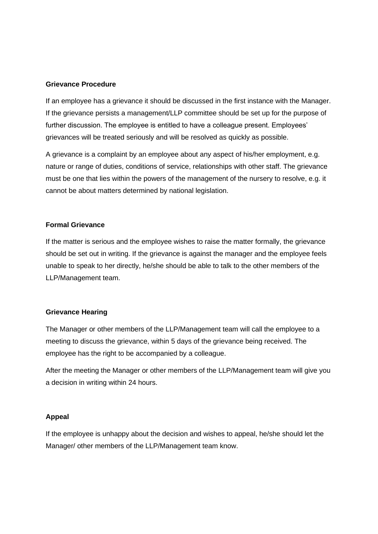#### **Grievance Procedure**

If an employee has a grievance it should be discussed in the first instance with the Manager. If the grievance persists a management/LLP committee should be set up for the purpose of further discussion. The employee is entitled to have a colleague present. Employees' grievances will be treated seriously and will be resolved as quickly as possible.

A grievance is a complaint by an employee about any aspect of his/her employment, e.g. nature or range of duties, conditions of service, relationships with other staff. The grievance must be one that lies within the powers of the management of the nursery to resolve, e.g. it cannot be about matters determined by national legislation.

#### **Formal Grievance**

If the matter is serious and the employee wishes to raise the matter formally, the grievance should be set out in writing. If the grievance is against the manager and the employee feels unable to speak to her directly, he/she should be able to talk to the other members of the LLP/Management team.

#### **Grievance Hearing**

The Manager or other members of the LLP/Management team will call the employee to a meeting to discuss the grievance, within 5 days of the grievance being received. The employee has the right to be accompanied by a colleague.

After the meeting the Manager or other members of the LLP/Management team will give you a decision in writing within 24 hours.

#### **Appeal**

If the employee is unhappy about the decision and wishes to appeal, he/she should let the Manager/ other members of the LLP/Management team know.